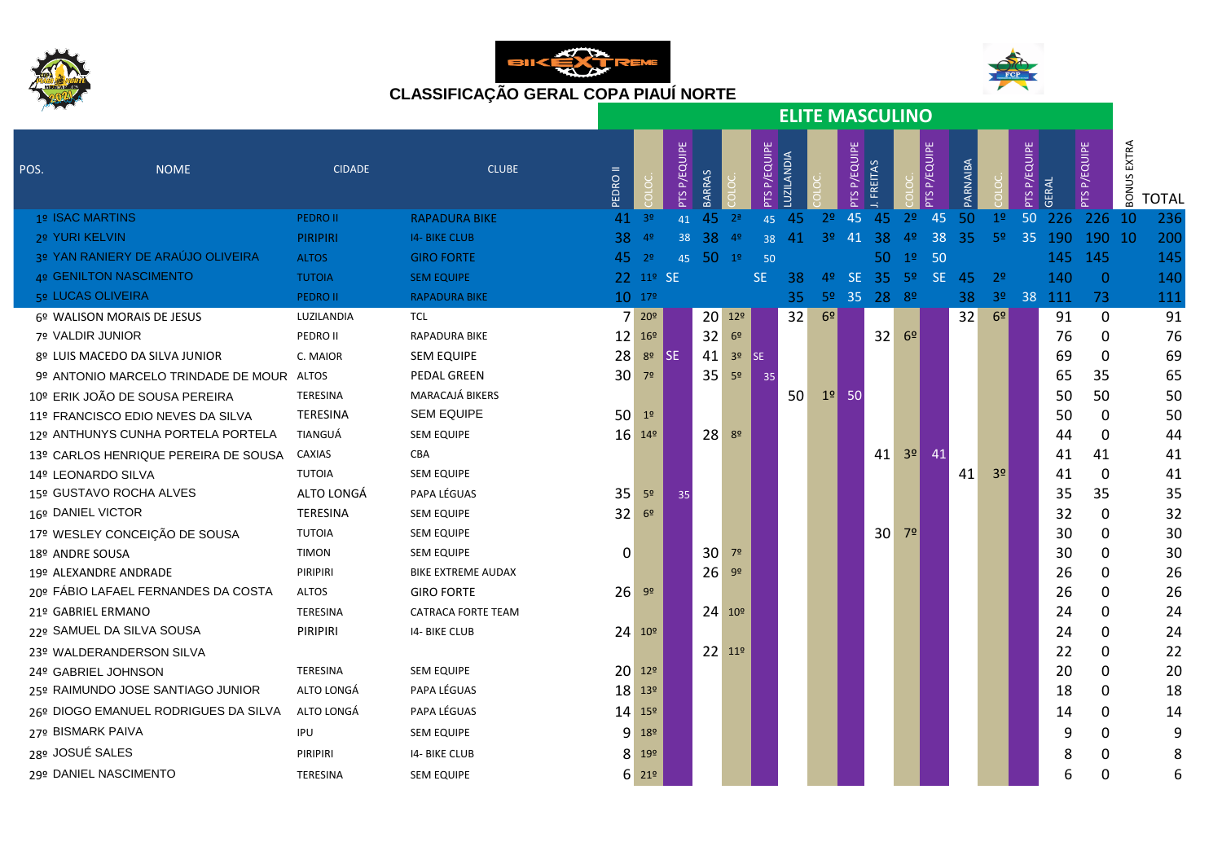





|                                           |                 |                           |              |                                      |                 |          |                |              |            |                |                 | <b>ELITE MASCULINO</b>              |                |                |          |                |                        |              |                 |                |              |
|-------------------------------------------|-----------------|---------------------------|--------------|--------------------------------------|-----------------|----------|----------------|--------------|------------|----------------|-----------------|-------------------------------------|----------------|----------------|----------|----------------|------------------------|--------------|-----------------|----------------|--------------|
| <b>NOME</b><br>POS.                       | <b>CIDADE</b>   | <b>CLUBE</b>              | <b>EDROI</b> |                                      | P/EQUIPE<br>PTS |          |                | PTS P/EQUIPE | LUZILANDIA |                | P/EQUIPE<br>PTS | FREITAS                             |                | <b>PEQUPE</b>  | PARNAIBA |                | P/EQUIPE<br><b>PTS</b> | <b>GERAL</b> | P/EQUIPE<br>PTS | EXTRA<br>BONUS | <b>TOTAL</b> |
| 1º ISAC MARTINS                           | <b>PEDRO II</b> | <b>RAPADURA BIKE</b>      |              | $41^{39}$                            | 41              | 45       | 2 <sup>a</sup> | 45           | -45        | 2 <sup>°</sup> | 45              | 45                                  | 2 <sup>o</sup> | 45             | 50       | 1 <sup>°</sup> | 50                     | 226          | 226             | 10             | 236          |
| 2º YURI KELVIN                            | <b>PIRIPIRI</b> | <b>14- BIKE CLUB</b>      | 38           | 4 <sup>9</sup>                       | 38              | 38       | 4 <sup>o</sup> | 38           | 41         | 3 <sup>o</sup> | 41              | 38                                  | 4 <sup>°</sup> | 38             | 35       | 5 <sup>o</sup> | 35                     | 190          | 190 10          |                | 200          |
| 3º YAN RANIERY DE ARAÚJO OLIVEIRA         | <b>ALTOS</b>    | <b>GIRO FORTE</b>         |              | $45 - 29$                            |                 | 45 50 1º |                | 50           |            |                |                 | 50                                  |                | $1^{\circ}$ 50 |          |                |                        | 145          | 145             |                | 145          |
| 4º GENILTON NASCIMENTO                    | <b>TUTOIA</b>   | <b>SEM EQUIPE</b>         |              | 22 11º SE                            |                 |          |                | <b>SE</b>    | 38         |                |                 | 4º SE 35 5º SE 45                   |                |                |          | 2 <sup>o</sup> |                        | 140          | $\overline{0}$  |                | 140          |
| <b>5º LUCAS OLIVEIRA</b>                  | <b>PEDRO II</b> | <b>RAPADURA BIKE</b>      |              | $10^{179}$                           |                 |          |                |              | 35         |                |                 | 5 <sup>0</sup> 35 28 8 <sup>0</sup> |                |                | 38       | 3 <sup>o</sup> |                        | 38 111       | 73              |                | 111          |
| 6º WALISON MORAIS DE JESUS                | LUZILANDIA      | <b>TCL</b>                |              | 720°                                 |                 |          | 20 129         |              | 32         | 6 <sup>°</sup> |                 |                                     |                |                | 32       | 6 <sup>°</sup> |                        | 91           | 0               |                | 91           |
| 7º VALDIR JUNIOR                          | PEDRO II        | RAPADURA BIKE             |              | 12 169                               |                 | 32       | $6o$           |              |            |                |                 | 32                                  | 6 <sup>9</sup> |                |          |                |                        | 76           | 0               |                | 76           |
| 8º LUIS MACEDO DA SILVA JUNIOR            | C. MAIOR        | <b>SEM EQUIPE</b>         | 28           | 8 <sup>o</sup>                       | <b>I</b> SE     | 41       | 3 <sup>o</sup> | ISE.         |            |                |                 |                                     |                |                |          |                |                        | 69           | $\mathbf{0}$    |                | 69           |
| 9º ANTONIO MARCELO TRINDADE DE MOUR ALTOS |                 | PEDAL GREEN               | 30           | 7 <sup>o</sup>                       |                 | 35       | 5 <sup>o</sup> | 35           |            |                |                 |                                     |                |                |          |                |                        | 65           | 35              |                | 65           |
| 10º ERIK JOÃO DE SOUSA PEREIRA            | TERESINA        | MARACAJÁ BIKERS           |              |                                      |                 |          |                |              | 50         |                | $1°$ 50         |                                     |                |                |          |                |                        | 50           | 50              |                | 50           |
| 11º FRANCISCO EDIO NEVES DA SILVA         | <b>TERESINA</b> | <b>SEM EQUIPE</b>         | 50           | 1 <sup>o</sup>                       |                 |          |                |              |            |                |                 |                                     |                |                |          |                |                        | 50           | 0               |                | 50           |
| 12º ANTHUNYS CUNHA PORTELA PORTELA        | TIANGUÁ         | <b>SEM EQUIPE</b>         |              | $16 - 149$                           |                 | 28       | 8 <sup>o</sup> |              |            |                |                 |                                     |                |                |          |                |                        | 44           | 0               |                | 44           |
| 13º CARLOS HENRIQUE PEREIRA DE SOUSA      | CAXIAS          | CBA                       |              |                                      |                 |          |                |              |            |                |                 | 41                                  | 3 <sup>o</sup> | 41             |          |                |                        | 41           | 41              |                | 41           |
| 14º LEONARDO SILVA                        | <b>TUTOIA</b>   | <b>SEM EQUIPE</b>         |              |                                      |                 |          |                |              |            |                |                 |                                     |                |                | 41       | 3 <sup>o</sup> |                        | 41           | $\mathbf{0}$    |                | 41           |
| 15º GUSTAVO ROCHA ALVES                   | ALTO LONGÁ      | PAPA LÉGUAS               | 35           | 5 <sup>o</sup>                       | 35              |          |                |              |            |                |                 |                                     |                |                |          |                |                        | 35           | 35              |                | 35           |
| 16º DANIEL VICTOR                         | <b>TERESINA</b> | <b>SEM EQUIPE</b>         | 32           | 6 <sup>9</sup>                       |                 |          |                |              |            |                |                 |                                     |                |                |          |                |                        | 32           | 0               |                | 32           |
| 17º WESLEY CONCEIÇÃO DE SOUSA             | <b>TUTOIA</b>   | <b>SEM EQUIPE</b>         |              |                                      |                 |          |                |              |            |                |                 | 30 <sup>2</sup>                     | 7 <sup>°</sup> |                |          |                |                        | 30           | 0               |                | 30           |
| 18º ANDRE SOUSA                           | <b>TIMON</b>    | <b>SEM EQUIPE</b>         | 0            |                                      |                 | 30       | 7 <sup>°</sup> |              |            |                |                 |                                     |                |                |          |                |                        | 30           | 0               |                | 30           |
| 19º ALEXANDRE ANDRADE                     | PIRIPIRI        | <b>BIKE EXTREME AUDAX</b> |              |                                      |                 | 26       | 9 <sup>o</sup> |              |            |                |                 |                                     |                |                |          |                |                        | 26           | 0               |                | 26           |
| 20º FÁBIO LAFAEL FERNANDES DA COSTA       | <b>ALTOS</b>    | <b>GIRO FORTE</b>         | 26           | 9 <sup>o</sup>                       |                 |          |                |              |            |                |                 |                                     |                |                |          |                |                        | 26           | 0               |                | 26           |
| 21º GABRIEL ERMANO                        | <b>TERESINA</b> | <b>CATRACA FORTE TEAM</b> |              |                                      |                 |          | 24 109         |              |            |                |                 |                                     |                |                |          |                |                        | 24           | 0               |                | 24           |
| 22º SAMUEL DA SILVA SOUSA                 | PIRIPIRI        | 14- BIKE CLUB             |              | 24 109                               |                 |          |                |              |            |                |                 |                                     |                |                |          |                |                        | 24           | 0               |                | 24           |
| 23º WALDERANDERSON SILVA                  |                 |                           |              |                                      |                 |          | 22 119         |              |            |                |                 |                                     |                |                |          |                |                        | 22           | $\mathbf{0}$    |                | 22           |
| 24º GABRIEL JOHNSON                       | TERESINA        | <b>SEM EQUIPE</b>         |              | 20 129                               |                 |          |                |              |            |                |                 |                                     |                |                |          |                |                        | 20           | 0               |                | 20           |
| 25º RAIMUNDO JOSE SANTIAGO JUNIOR         | ALTO LONGÁ      | PAPA LÉGUAS               |              | 18 13°                               |                 |          |                |              |            |                |                 |                                     |                |                |          |                |                        | 18           | 0               |                | 18           |
| 26º DIOGO EMANUEL RODRIGUES DA SILVA      | ALTO LONGÁ      | PAPA LÉGUAS               |              | 14 15°                               |                 |          |                |              |            |                |                 |                                     |                |                |          |                |                        | 14           | 0               |                | 14           |
| <b>27º BISMARK PAIVA</b>                  | IPU             | <b>SEM EQUIPE</b>         |              | 9 189                                |                 |          |                |              |            |                |                 |                                     |                |                |          |                |                        | 9            | 0               |                | 9            |
| 28º JOSUÉ SALES                           | PIRIPIRI        | 14- BIKE CLUB             |              | 8 19°                                |                 |          |                |              |            |                |                 |                                     |                |                |          |                |                        | 8            | 0               |                | 8            |
| 29º DANIEL NASCIMENTO                     | TERESINA        | <b>SEM EQUIPE</b>         |              | $6 \overline{\smash{)}\ 21^{\circ}}$ |                 |          |                |              |            |                |                 |                                     |                |                |          |                |                        | 6            | 0               |                | 6            |
|                                           |                 |                           |              |                                      |                 |          |                |              |            |                |                 |                                     |                |                |          |                |                        |              |                 |                |              |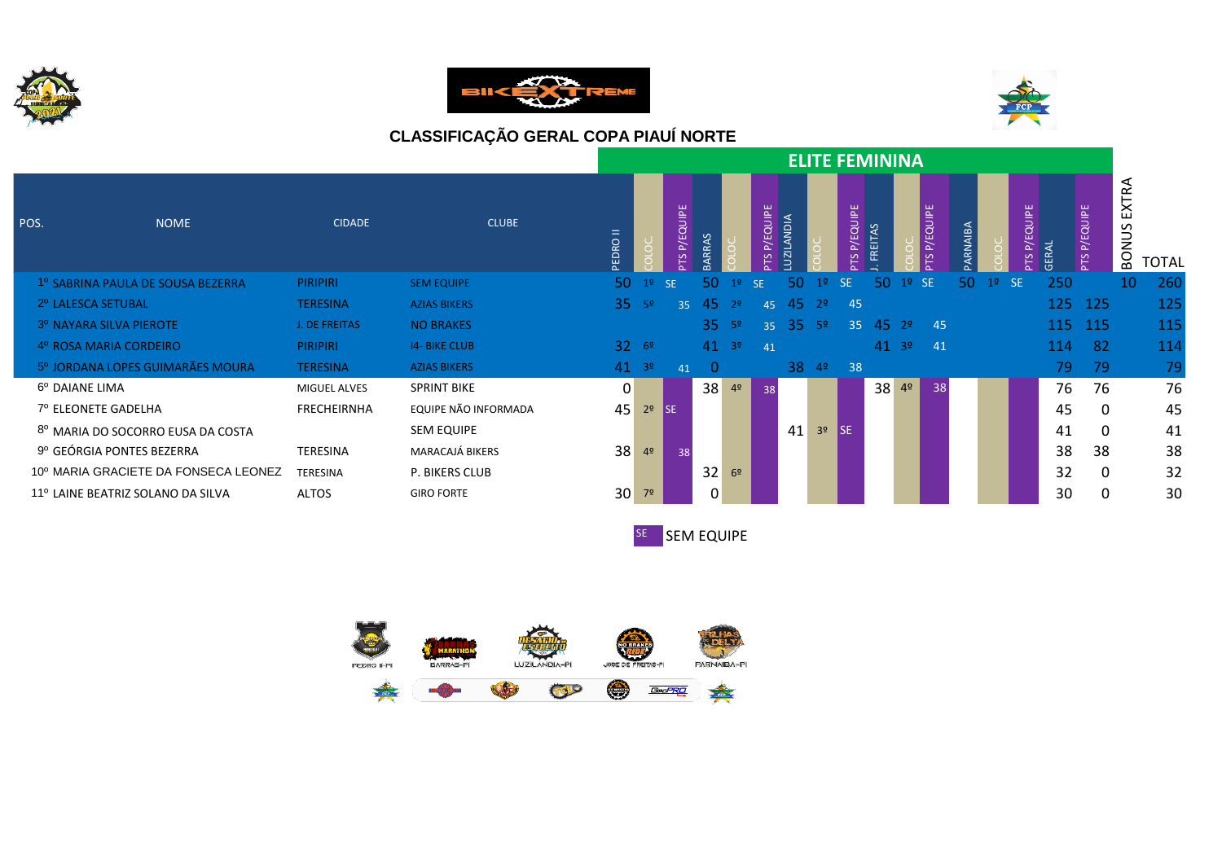





|      |                                              |                     |                      |          |                |                 |                |                |                 |                      | <b>ELITE FEMININA</b> |                 |           |                |                 |          |                |                    |       |                 |                           |              |
|------|----------------------------------------------|---------------------|----------------------|----------|----------------|-----------------|----------------|----------------|-----------------|----------------------|-----------------------|-----------------|-----------|----------------|-----------------|----------|----------------|--------------------|-------|-----------------|---------------------------|--------------|
| POS. | <b>NOME</b>                                  | <b>CIDADE</b>       | <b>CLUBE</b>         | PEDRO II |                | P/EQUIPE<br>PTS | RRAS           |                | P/EQUIPE<br>PTS | <b>ZILANDIA</b><br>⊃ |                       | P/EQUIPE<br>PTS | FREITAS   |                | P/EQUIPE<br>PTS | PARNAIBA |                | P/EQUIPE<br>$\sim$ | GERAL | P/EQUIPE<br>PTS | EXTRA<br>SUN<br><b>BO</b> | <b>TOTAL</b> |
|      | <sup>1º</sup> SABRINA PAULA DE SOUSA BEZERRA | <b>PIRIPIRI</b>     | <b>SEM EQUIPE</b>    | 50       | 1 <sup>o</sup> | <b>SE</b>       | 50.            |                | <b>SE</b>       | 50                   |                       | <b>SE</b>       | 50        | $1°$ SE        |                 | 50       | 1 <sup>o</sup> | <b>SE</b>          | 250   |                 | 10                        | 260          |
|      | 2º LALESCA SETUBAL                           | <b>TERESINA</b>     | <b>AZIAS BIKERS</b>  |          | $35^{59}$      | 35              | 45             | 2 <sup>o</sup> | 45              | -45                  | 2 <sup>0</sup>        | 45              |           |                |                 |          |                |                    | 125   | <b>125</b>      |                           | 125          |
|      | 3º NAYARA SILVA PIEROTE                      | J. DE FREITAS       | <b>NO BRAKES</b>     |          |                |                 | 35.            | $-59$          | 35              | -35                  | -59                   | 35              | $45 \t29$ |                | -45             |          |                |                    | 115   | <b>115</b>      |                           | 115          |
|      | 4º ROSA MARIA CORDEIRO                       | <b>PIRIPIRI</b>     | <b>14- BIKE CLUB</b> |          | 3269           |                 | 41             | $-39$          | 41              |                      |                       |                 | $41^{39}$ |                | 41              |          |                |                    | 114   | -82             |                           | 114          |
|      | 5º JORDANA LOPES GUIMARÃES MOURA             | <b>TERESINA</b>     | <b>AZIAS BIKERS</b>  |          | $41^{39}$      | 41              | $\overline{0}$ |                |                 | 38                   | 4 <sup>o</sup>        | 38              |           |                |                 |          |                |                    | 79.   | -79             |                           | 79           |
|      | 6º DAIANE LIMA                               | <b>MIGUEL ALVES</b> | <b>SPRINT BIKE</b>   | 0        |                |                 | 38             | 4 <sup>o</sup> | 38              |                      |                       |                 | 38        | 4 <sup>o</sup> | 38              |          |                |                    | 76    | 76              |                           | 76           |
|      | 7º ELEONETE GADELHA                          | <b>FRECHEIRNHA</b>  | EQUIPE NÃO INFORMADA | 45       | 2 <sup>o</sup> | <b>I</b> SE     |                |                |                 |                      |                       |                 |           |                |                 |          |                |                    | 45    | 0               |                           | 45           |
|      | 8º MARIA DO SOCORRO EUSA DA COSTA            |                     | <b>SEM EQUIPE</b>    |          |                |                 |                |                |                 | 41                   | 3 <sup>o</sup>        | l SE.           |           |                |                 |          |                |                    | 41    | $\Omega$        |                           | 41           |
|      | 9º GEÓRGIA PONTES BEZERRA                    | TERESINA            | MARACAJÁ BIKERS      | 38       | 4 <sup>o</sup> | 38              |                |                |                 |                      |                       |                 |           |                |                 |          |                |                    | 38    | 38              |                           | 38           |
|      | 10º MARIA GRACIETE DA FONSECA LEONEZ         | TERESINA            | P. BIKERS CLUB       |          |                |                 | 32             | 6 <sup>2</sup> |                 |                      |                       |                 |           |                |                 |          |                |                    | 32    | 0               |                           | 32           |
|      | 11º LAINE BEATRIZ SOLANO DA SILVA            | ALTOS               | <b>GIRO FORTE</b>    | 30       | 7 <sup>o</sup> |                 | 0              |                |                 |                      |                       |                 |           |                |                 |          |                |                    | 30    | 0               |                           | 30           |
|      |                                              |                     |                      |          |                |                 |                |                |                 |                      |                       |                 |           |                |                 |          |                |                    |       |                 |                           |              |



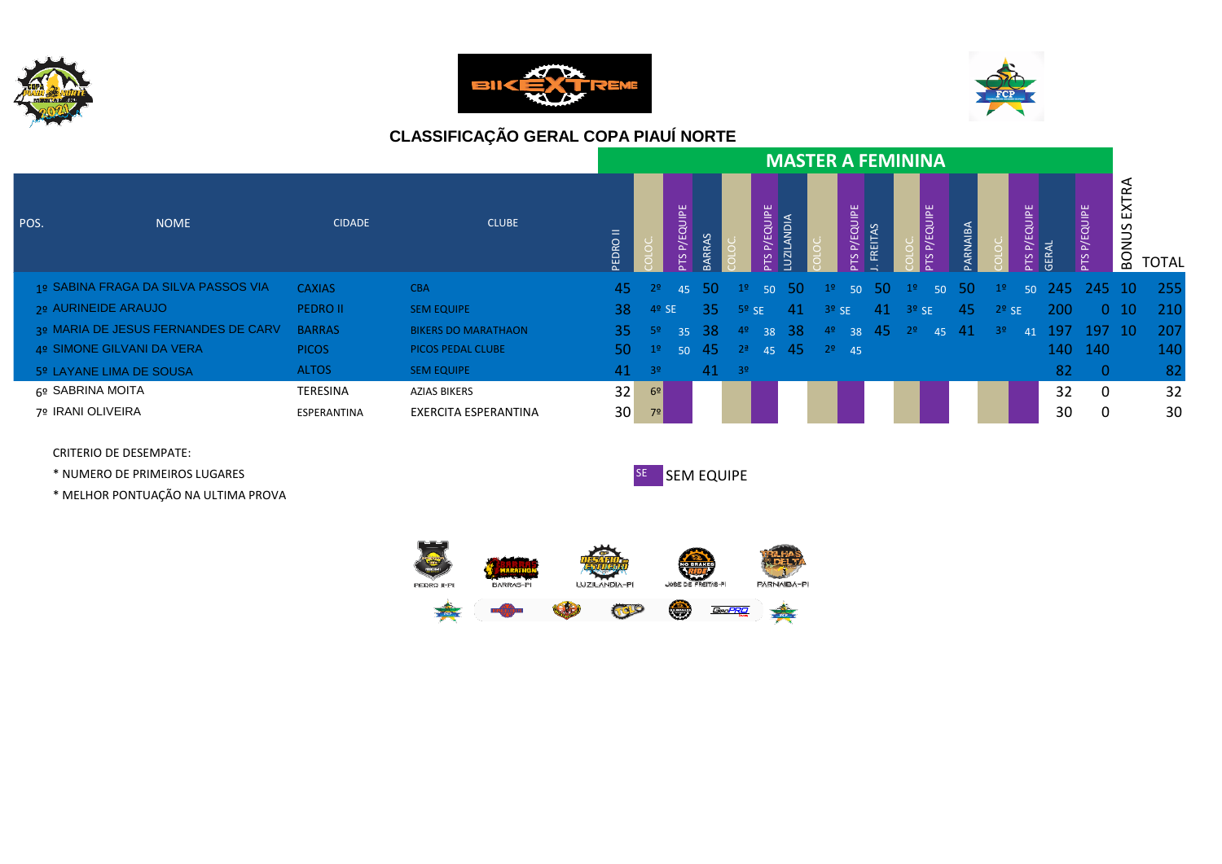





|                                     |                 |                            |                |                |                 |          |                |                 |                      | <b>MASTER A FEMININA</b> |                        |              |                |                 |          |                |                       |            |                 |                            |              |
|-------------------------------------|-----------------|----------------------------|----------------|----------------|-----------------|----------|----------------|-----------------|----------------------|--------------------------|------------------------|--------------|----------------|-----------------|----------|----------------|-----------------------|------------|-----------------|----------------------------|--------------|
| POS.<br><b>NOME</b>                 | <b>CIDADE</b>   | <b>CLUBE</b>               | <b>PEDROIL</b> |                | P/EQUIPE<br>PTS | RAS<br>മ |                | P/EQUIPE<br>PTS | $\Omega$<br>z<br>UZI |                          | P/EQUIPE<br><b>PTS</b> | AS<br>FREIT, |                | P/EQUIPE<br>PTS | PARNAIBA |                | QUIPE<br>ŵ.<br>ਕ<br>മ | GER.       | P/EQUIPE<br>PTS | ≃<br>놉<br>ട്ട<br><b>NO</b> | <b>TOTAL</b> |
| 1º SABINA FRAGA DA SILVA PASSOS VIA | <b>CAXIAS</b>   | <b>CBA</b>                 | 45             | 2 <sup>o</sup> | 45              | 50       | 1 <sup>2</sup> | 50 <sup>°</sup> | -50                  | 19                       | 50 <sup>°</sup>        | -50          | 1 <sup>9</sup> | 50 <sup>°</sup> | -50      | 1 <sup>2</sup> | 50 <sup>°</sup>       | -245-      | $-245$ 10       |                            | 255          |
| 2º AURINEIDE ARAUJO                 | <b>PEDRO II</b> | <b>SEM EQUIPE</b>          | 38.            | $4°$ SE        |                 | -35      | $5o$ SE        |                 | -41                  | $3o$ SE                  |                        | -41          | $3°$ SE        |                 | -45      | $2o$ SE        |                       | <b>200</b> |                 | $0 \t10$                   | 210          |
| 3º MARIA DE JESUS FERNANDES DE CARV | <b>BARRAS</b>   | <b>BIKERS DO MARATHAON</b> | <b>35</b>      | - 52           | 35 <sub>1</sub> | -38      | 4º             | 38              | 38                   | 4 <sup>°</sup>           | 38                     | -45          | 29             | 45              | -41      | 3 <sup>o</sup> | 41                    | -197       | 197 10          |                            | 207          |
| 4º SIMONE GILVANI DA VERA           | <b>PICOS</b>    | PICOS PEDAL CLUBE          | 50             | 1 <sup>°</sup> | 50              | 45       | 2 <sup>a</sup> |                 | 45 45                |                          | $29$ 45                |              |                |                 |          |                |                       | 140        | -140            |                            | 140          |
| 5º LAYANE LIMA DE SOUSA             | <b>ALTOS</b>    | <b>SEM EQUIPE</b>          | 41             | $-39$          |                 | 41       | $-39$          |                 |                      |                          |                        |              |                |                 |          |                |                       | 82         | $-0$            |                            | 82           |
| 6º SABRINA MOITA                    | TERESINA        | <b>AZIAS BIKERS</b>        | 32             | 6 <sup>2</sup> |                 |          |                |                 |                      |                          |                        |              |                |                 |          |                |                       | 32         | $\mathbf 0$     |                            | 32           |
| 7º IRANI OLIVEIRA                   | ESPERANTINA     | EXERCITA ESPERANTINA       | 30             | 7 <sup>°</sup> |                 |          |                |                 |                      |                          |                        |              |                |                 |          |                |                       | 30         | 0               |                            | 30           |

CRITERIO DE DESEMPATE:

\* NUMERO DE PRIMEIROS LUGARES SE SEM EQUIPE

\* MELHOR PONTUAÇÃO NA ULTIMA PROVA



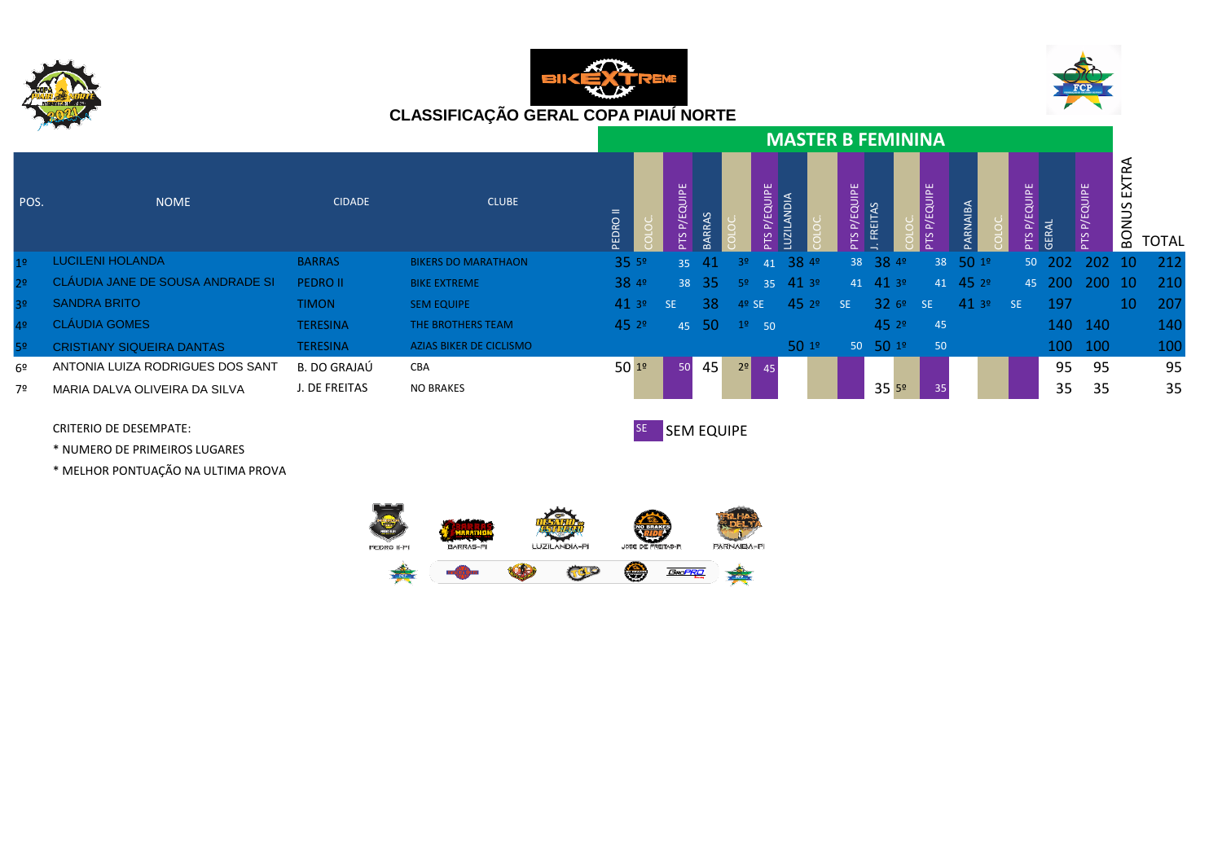





|                |                                  |                 |                                |          |                 |               |                |                 | <b>MASTER B FEMININA</b> |          |                       |          |                |                 |              |                 |                          |              |
|----------------|----------------------------------|-----------------|--------------------------------|----------|-----------------|---------------|----------------|-----------------|--------------------------|----------|-----------------------|----------|----------------|-----------------|--------------|-----------------|--------------------------|--------------|
| POS.           | <b>NOME</b>                      | <b>CIDADE</b>   | <b>CLUBE</b>                   | PEDRO II | QUIPE<br>ш.     |               |                | P/EQUIPE<br>PTS | <b>AION</b>              | P/EQUIPE | <b>FREITAS</b>        | P/EQUIPE | <b>ARNAIBA</b> | <b>EQUIPE</b>   | <b>GER</b>   | P/EQUIPE<br>PΤS | ≃<br>区<br>5<br><b>NO</b> | <b>TOTAL</b> |
| 19             | <b>LUCILENI HOLANDA</b>          | <b>BARRAS</b>   | <b>BIKERS DO MARATHAON</b>     | 35.59    |                 | $35 \quad 41$ | 3 <sup>o</sup> | 41              | 3849                     |          | 38 38 49              | 38       | 5019           |                 | $50\quad202$ | 202 10          |                          | 212          |
| 2 <sup>o</sup> | CLÁUDIA JANE DE SOUSA ANDRADE SI | <b>PEDRO II</b> | <b>BIKE EXTREME</b>            | 38 4º    |                 | 38 35         | -52            |                 | $35 \quad 41 \quad 39$   |          | $41$ $41$ $3^{\circ}$ | 41       | 452°           |                 |              | 45 200 200 10   |                          | 210          |
| 3 <sup>o</sup> | <b>SANDRA BRITO</b>              | <b>TIMON</b>    | <b>SEM EQUIPE</b>              | 413°     | SE.             | <b>38</b>     | $4°$ SE        |                 | 452°                     | SE.      | 326°                  | SE.      | 413°           | SE <sub>3</sub> | 197          |                 | 10                       | 207          |
| 4 <sup>°</sup> | <b>CLÁUDIA GOMES</b>             | <b>TERESINA</b> | THE BROTHERS TEAM              | 452°     |                 | 45 50         | $19$ 50        |                 |                          |          | 452°                  | 45       |                |                 |              | 140 140         |                          | 140          |
| 52             | <b>CRISTIANY SIQUEIRA DANTAS</b> | <b>TERESINA</b> | <b>AZIAS BIKER DE CICLISMO</b> |          |                 |               |                |                 | 501°                     |          | $50\ 50\ 19$          | 50       |                |                 |              | 100 100         |                          | 100          |
| 6º             | ANTONIA LUIZA RODRIGUES DOS SANT | B. DO GRAJAÚ    | CBA                            | 5019     | 50 <sup>1</sup> | 45            | 2 <sup>0</sup> | 45              |                          |          |                       |          |                |                 | 95           | 95              |                          | 95           |
| 7º             | MARIA DALVA OLIVEIRA DA SILVA    | J. DE FREITAS   | <b>NO BRAKES</b>               |          |                 |               |                |                 |                          |          | 355 <sup>9</sup>      | 35       |                |                 | 35           | 35              |                          | 35           |

\* NUMERO DE PRIMEIROS LUGARES

\* MELHOR PONTUAÇÃO NA ULTIMA PROVA

CRITERIO DE DESEMPATE: SE SEM EQUIPE

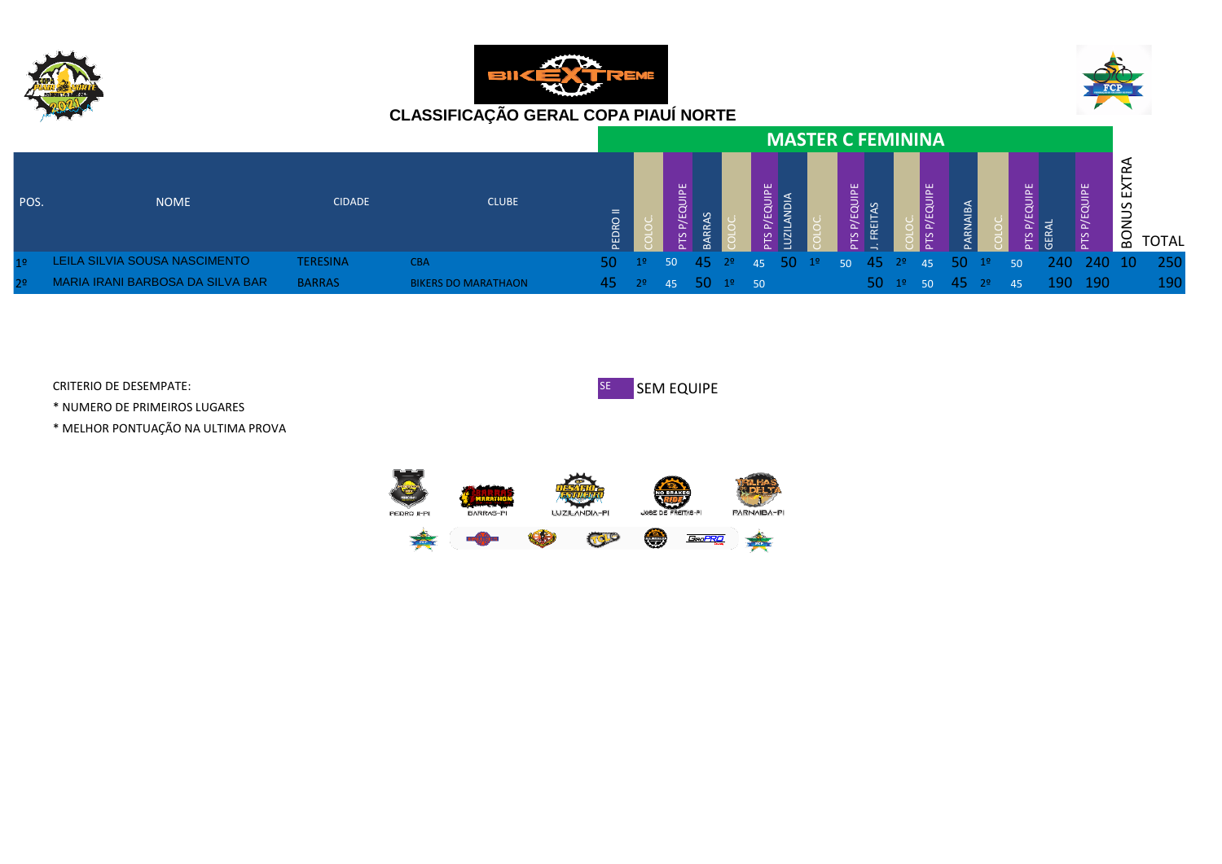





|                |                                  |                 |                            |              |                                             |                           |  |   | <b>MASTER C FEMININA</b>                                                               |    |  |               |           |                            |    |   |                     |             |              |
|----------------|----------------------------------|-----------------|----------------------------|--------------|---------------------------------------------|---------------------------|--|---|----------------------------------------------------------------------------------------|----|--|---------------|-----------|----------------------------|----|---|---------------------|-------------|--------------|
| POS.           | <b>NOME</b>                      | <b>CIDADE</b>   | <b>CLUBE</b>               | $=$<br>PEDRO |                                             | $\mathsf{P}^{\mathsf{E}}$ |  | 붙 |                                                                                        | E. |  | 鸟<br>$\Delta$ | <u> 중</u> |                            |    | 苫 | <b>QUIPE</b><br>PТS | ш<br>S<br>≍ | <b>TOTAL</b> |
| 1 <sup>o</sup> | LEILA SILVIA SOUSA NASCIMENTO    | <b>TERESINA</b> | <b>CBA</b>                 | 50.          | 1 <sup>0</sup>                              |                           |  |   | 50 45 2 <sup>o</sup> 45 50 1 <sup>o</sup> 50 45 2 <sup>o</sup> 45 50 1 <sup>o</sup> 50 |    |  |               |           |                            |    |   | 240 240 10          |             | - 250        |
| 2 <sup>o</sup> | MARIA IRANI BARBOSA DA SILVA BAR | <b>BARRAS</b>   | <b>BIKERS DO MARATHAON</b> | <b>457</b>   | $\frac{2^{\circ}}{45}$ 45 50 $1^{\circ}$ 50 |                           |  |   |                                                                                        |    |  |               |           | $50 \t1^9 \t50 \t45 \t2^9$ | 45 |   | 190 190             |             | 190.         |

\* NUMERO DE PRIMEIROS LUGARES

\* MELHOR PONTUAÇÃO NA ULTIMA PROVA



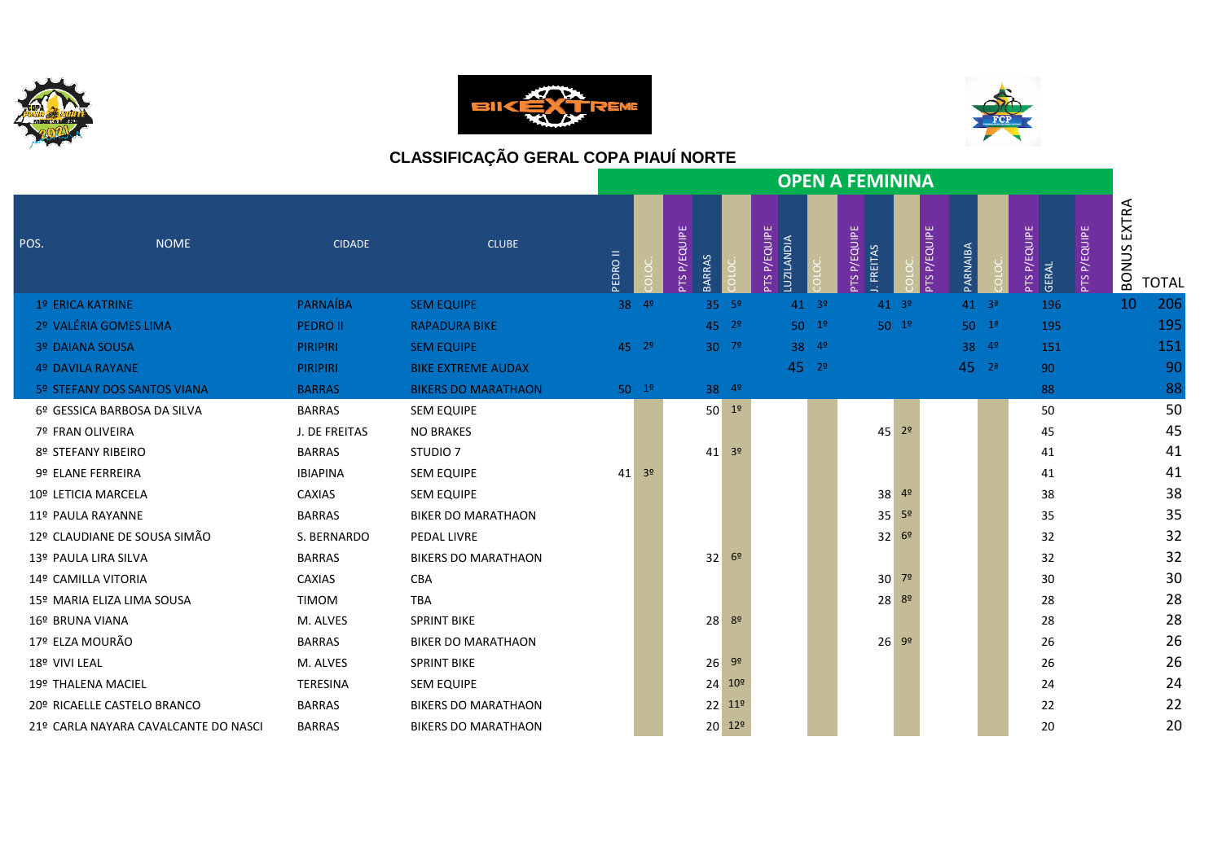





|                                      |                 |                            |                |                |                               |                    |                                            |                  | <b>OPEN A FEMININA</b>         |                        |                  |                          |                     |                       |              |
|--------------------------------------|-----------------|----------------------------|----------------|----------------|-------------------------------|--------------------|--------------------------------------------|------------------|--------------------------------|------------------------|------------------|--------------------------|---------------------|-----------------------|--------------|
| POS.<br><b>NOME</b>                  | <b>CIDADE</b>   | <b>CLUBE</b>               | <b>EDRO II</b> |                | PTS P/EQUIPE<br><b>BARRAS</b> |                    | P/EQUIPE<br><b>AIDIANDIA</b><br><b>PTS</b> |                  | <b>PTS P/EQUIPE</b><br>FREITAS | <b>P/EQUIPE</b><br>PTS | PARNAIBA         | P/EQUIPE<br>GERAL<br>PTS | <b>PTS P/EQUIPE</b> | EXTRA<br><b>BONUS</b> | <b>TOTAL</b> |
| 1º ERICA KATRINE                     | PARNAÍBA        | <b>SEM EQUIPE</b>          |                | $38 - 49$      |                               | $35 - 5^{\circ}$   |                                            | $41 - 3^{\circ}$ |                                | $41^{39}$              | $41 - 3^{\circ}$ | 196                      |                     | 10                    | 206          |
| 2º VALÉRIA GOMES LIMA                | <b>PEDRO II</b> | <b>RAPADURA BIKE</b>       |                |                |                               | $45$ $2°$          |                                            | $50 \t19$        |                                | $50^{19}$              | $50 - 1^2$       | 195                      |                     |                       | 195          |
| <b>3º DAIANA SOUSA</b>               | <b>PIRIPIRI</b> | <b>SEM EQUIPE</b>          |                | $45 \t29$      |                               | $30^{79}$          |                                            | 38 49            |                                |                        | $38^{49}$        | 151                      |                     |                       | 151          |
| 4º DAVILA RAYANE                     | <b>PIRIPIRI</b> | <b>BIKE EXTREME AUDAX</b>  |                |                |                               |                    | $45^{29}$                                  |                  |                                |                        | $45^{2}$         | 90                       |                     |                       | 90           |
| 5º STEFANY DOS SANTOS VIANA          | <b>BARRAS</b>   | <b>BIKERS DO MARATHAON</b> |                | $50^{19}$      |                               | 38 49              |                                            |                  |                                |                        |                  | 88                       |                     |                       | 88           |
| 6º GESSICA BARBOSA DA SILVA          | <b>BARRAS</b>   | <b>SEM EQUIPE</b>          |                |                |                               | $50 - 19$          |                                            |                  |                                |                        |                  | 50                       |                     |                       | 50           |
| 7º FRAN OLIVEIRA                     | J. DE FREITAS   | <b>NO BRAKES</b>           |                |                |                               |                    |                                            |                  |                                | $45$ $2^{\circ}$       |                  | 45                       |                     |                       | 45           |
| 8º STEFANY RIBEIRO                   | <b>BARRAS</b>   | STUDIO <sub>7</sub>        |                |                | 41                            | 3 <sup>o</sup>     |                                            |                  |                                |                        |                  | 41                       |                     |                       | 41           |
| 9º ELANE FERREIRA                    | <b>IBIAPINA</b> | <b>SEM EQUIPE</b>          | 41             | 3 <sup>o</sup> |                               |                    |                                            |                  |                                |                        |                  | 41                       |                     |                       | 41           |
| 10º LETICIA MARCELA                  | <b>CAXIAS</b>   | <b>SEM EQUIPE</b>          |                |                |                               |                    |                                            |                  | 38                             | 4º                     |                  | 38                       |                     |                       | 38           |
| 11º PAULA RAYANNE                    | <b>BARRAS</b>   | <b>BIKER DO MARATHAON</b>  |                |                |                               |                    |                                            |                  | 35                             | 5 <sup>o</sup>         |                  | 35                       |                     |                       | 35           |
| 12º CLAUDIANE DE SOUSA SIMÃO         | S. BERNARDO     | PEDAL LIVRE                |                |                |                               |                    |                                            |                  |                                | $32^{69}$              |                  | 32                       |                     |                       | 32           |
| 13º PAULA LIRA SILVA                 | <b>BARRAS</b>   | <b>BIKERS DO MARATHAON</b> |                |                | 32                            | 6 <sup>2</sup>     |                                            |                  |                                |                        |                  | 32                       |                     |                       | 32           |
| 14º CAMILLA VITORIA                  | <b>CAXIAS</b>   | <b>CBA</b>                 |                |                |                               |                    |                                            |                  |                                | $30^{79}$              |                  | 30                       |                     |                       | 30           |
| 15º MARIA ELIZA LIMA SOUSA           | <b>TIMOM</b>    | <b>TBA</b>                 |                |                |                               |                    |                                            |                  |                                | $28^{89}$              |                  | 28                       |                     |                       | 28           |
| 16º BRUNA VIANA                      | M. ALVES        | <b>SPRINT BIKE</b>         |                |                | 28                            | -82                |                                            |                  |                                |                        |                  | 28                       |                     |                       | 28           |
| 17º ELZA MOURÃO                      | <b>BARRAS</b>   | <b>BIKER DO MARATHAON</b>  |                |                |                               |                    |                                            |                  |                                | $26 - 99$              |                  | 26                       |                     |                       | 26           |
| 18º VIVI LEAL                        | M. ALVES        | <b>SPRINT BIKE</b>         |                |                | 26                            | 9 <sup>o</sup>     |                                            |                  |                                |                        |                  | 26                       |                     |                       | 26           |
| 19º THALENA MACIEL                   | <b>TERESINA</b> | <b>SEM EQUIPE</b>          |                |                | 24                            | 10 <sup>°</sup>    |                                            |                  |                                |                        |                  | 24                       |                     |                       | 24           |
| 20º RICAELLE CASTELO BRANCO          | <b>BARRAS</b>   | <b>BIKERS DO MARATHAON</b> |                |                |                               | $22$ $11^{\circ}$  |                                            |                  |                                |                        |                  | 22                       |                     |                       | 22           |
| 21º CARLA NAYARA CAVALCANTE DO NASCI | <b>BARRAS</b>   | <b>BIKERS DO MARATHAON</b> |                |                |                               | 20 12 <sup>o</sup> |                                            |                  |                                |                        |                  | 20                       |                     |                       | 20           |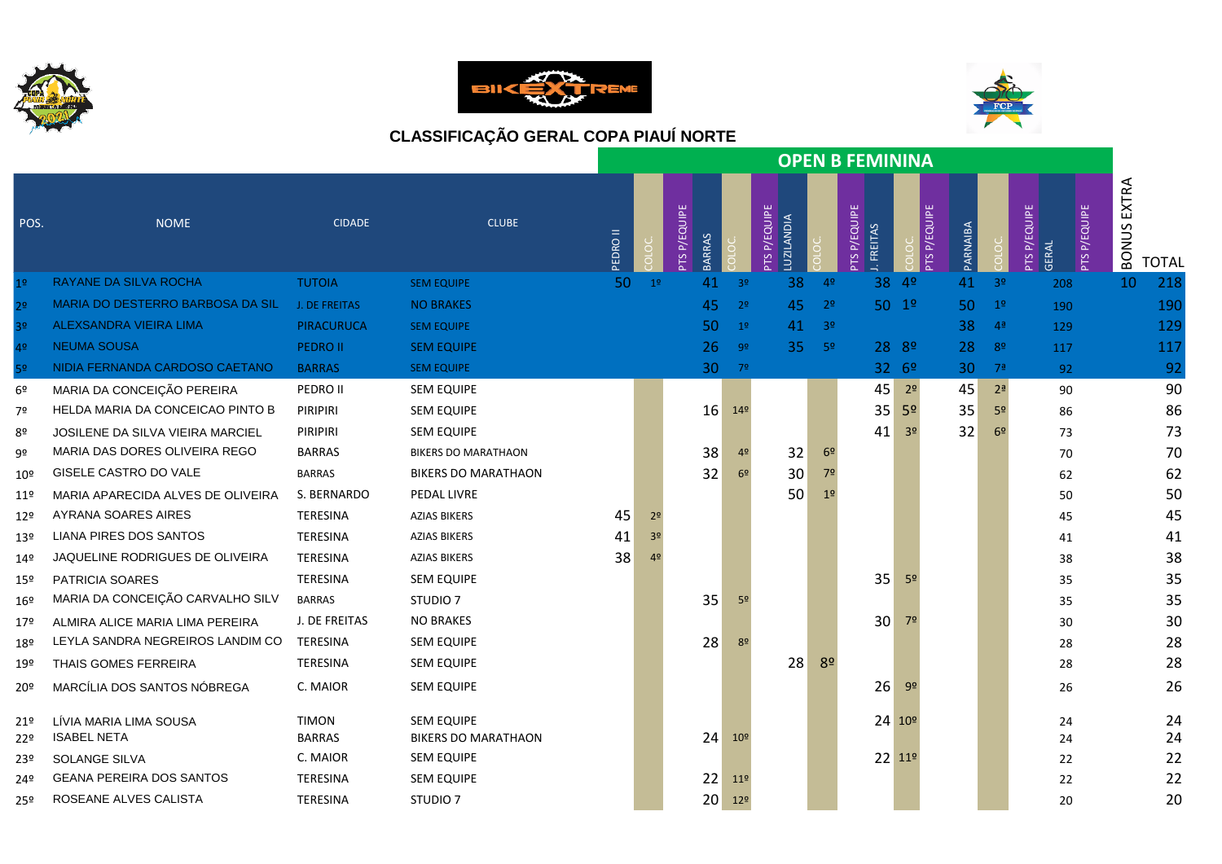





|                 |                                              |                               |                                                 |               |                |                               |                 |                                   |                | <b>OPEN B FEMININA</b>         |                    |          |                |                                                     |                                       |
|-----------------|----------------------------------------------|-------------------------------|-------------------------------------------------|---------------|----------------|-------------------------------|-----------------|-----------------------------------|----------------|--------------------------------|--------------------|----------|----------------|-----------------------------------------------------|---------------------------------------|
| POS.            | <b>NOME</b>                                  | <b>CIDADE</b>                 | <b>CLUBE</b>                                    | <b>IIOSOE</b> |                | PTS P/EQUIPE<br><b>BARRAS</b> |                 | PTS P/EQUIPE<br><b>LUZILANDIA</b> |                | PTS P/EQUIPE<br><b>FREITAS</b> | PTS P/EQUIPE       | PARNAIBA |                | PTS P/EQUIPE<br><b>PTS P/EQUIPE</b><br><b>GERAL</b> | EXTRA<br><b>BONUS</b><br><b>TOTAL</b> |
| 1 <sup>°</sup>  | RAYANE DA SILVA ROCHA                        | <b>TUTOIA</b>                 | <b>SEM EQUIPE</b>                               | 50            | 1 <sup>9</sup> | 41                            | 3 <sup>o</sup>  | 38                                | 4º             | 38                             | 4 <sup>o</sup>     | 41       | 3 <sup>o</sup> | 208                                                 | 218<br>10                             |
| 2 <sup>o</sup>  | MARIA DO DESTERRO BARBOSA DA SIL             | J. DE FREITAS                 | <b>NO BRAKES</b>                                |               |                | 45                            | 2 <sup>o</sup>  | 45                                | 2 <sup>°</sup> |                                | 50 1º              | 50       | 1 <sup>o</sup> | 190                                                 | 190                                   |
| 3 <sup>o</sup>  | ALEXSANDRA VIEIRA LIMA                       | <b>PIRACURUCA</b>             | <b>SEM EQUIPE</b>                               |               |                | 50                            | 1 <sup>o</sup>  | 41                                | 3 <sup>o</sup> |                                |                    | 38       | 4 <sup>a</sup> | 129                                                 | 129                                   |
| 4 <sup>°</sup>  | <b>NEUMA SOUSA</b>                           | <b>PEDRO II</b>               | <b>SEM EQUIPE</b>                               |               |                | 26                            | -92             | 35 <sub>1</sub>                   | - 5º           |                                | 28 8º              | 28       | 82             | 117                                                 | 117                                   |
| 5º              | NIDIA FERNANDA CARDOSO CAETANO               | <b>BARRAS</b>                 | <b>SEM EQUIPE</b>                               |               |                | 30                            | 79              |                                   |                |                                | 3269               | 30       | 7 <sup>a</sup> | 92                                                  | 92                                    |
| 6º              | MARIA DA CONCEIÇÃO PEREIRA                   | PEDRO II                      | <b>SEM EQUIPE</b>                               |               |                |                               |                 |                                   |                | 45                             | 2 <sup>o</sup>     | 45       | 2 <sup>a</sup> | 90                                                  | 90                                    |
| 7º              | HELDA MARIA DA CONCEICAO PINTO B             | PIRIPIRI                      | <b>SEM EQUIPE</b>                               |               |                | 16                            | 14 <sup>°</sup> |                                   |                | 35                             | 5 <sup>o</sup>     | 35       | 5º             | 86                                                  | 86                                    |
| 8º              | <b>JOSILENE DA SILVA VIEIRA MARCIEL</b>      | PIRIPIRI                      | <b>SEM EQUIPE</b>                               |               |                |                               |                 |                                   |                | 41                             | 3 <sup>o</sup>     | 32       | 6 <sup>9</sup> | 73                                                  | 73                                    |
| 9º              | MARIA DAS DORES OLIVEIRA REGO                | <b>BARRAS</b>                 | <b>BIKERS DO MARATHAON</b>                      |               |                | 38                            | 4 <sup>°</sup>  | 32                                | 6 <sup>9</sup> |                                |                    |          |                | 70                                                  | 70                                    |
| 10º             | GISELE CASTRO DO VALE                        | <b>BARRAS</b>                 | <b>BIKERS DO MARATHAON</b>                      |               |                | 32                            | 6 <sup>2</sup>  | 30                                | 7 <sup>0</sup> |                                |                    |          |                | 62                                                  | 62                                    |
| 11º             | MARIA APARECIDA ALVES DE OLIVEIRA            | S. BERNARDO                   | PEDAL LIVRE                                     |               |                |                               |                 | 50                                | 1 <sup>o</sup> |                                |                    |          |                | 50                                                  | 50                                    |
| $12^{\circ}$    | AYRANA SOARES AIRES                          | <b>TERESINA</b>               | <b>AZIAS BIKERS</b>                             | 45            | 2 <sup>o</sup> |                               |                 |                                   |                |                                |                    |          |                | 45                                                  | 45                                    |
| 13º             | LIANA PIRES DOS SANTOS                       | <b>TERESINA</b>               | <b>AZIAS BIKERS</b>                             | 41            | 3 <sup>o</sup> |                               |                 |                                   |                |                                |                    |          |                | 41                                                  | 41                                    |
| 14º             | JAQUELINE RODRIGUES DE OLIVEIRA              | TERESINA                      | <b>AZIAS BIKERS</b>                             | 38            | 42             |                               |                 |                                   |                |                                |                    |          |                | 38                                                  | 38                                    |
| $15^{\circ}$    | PATRICIA SOARES                              | TERESINA                      | <b>SEM EQUIPE</b>                               |               |                |                               |                 |                                   |                | 35                             | 5 <sup>o</sup>     |          |                | 35                                                  | 35                                    |
| 16 <sup>°</sup> | MARIA DA CONCEIÇÃO CARVALHO SILV             | <b>BARRAS</b>                 | STUDIO <sub>7</sub>                             |               |                | 35                            | 5 <sup>o</sup>  |                                   |                |                                |                    |          |                | 35                                                  | 35                                    |
| 17º             | ALMIRA ALICE MARIA LIMA PEREIRA              | J. DE FREITAS                 | <b>NO BRAKES</b>                                |               |                |                               |                 |                                   |                | 30                             | 7 <sup>o</sup>     |          |                | 30                                                  | 30                                    |
| 18º             | LEYLA SANDRA NEGREIROS LANDIM CO             | TERESINA                      | <b>SEM EQUIPE</b>                               |               |                | 28                            | 8 <sup>o</sup>  |                                   |                |                                |                    |          |                | 28                                                  | 28                                    |
| 19º             | THAIS GOMES FERREIRA                         | <b>TERESINA</b>               | <b>SEM EQUIPE</b>                               |               |                |                               |                 | 28                                | 8 <sup>o</sup> |                                |                    |          |                | 28                                                  | 28                                    |
| 20º             | MARCÍLIA DOS SANTOS NÓBREGA                  | C. MAIOR                      | <b>SEM EQUIPE</b>                               |               |                |                               |                 |                                   |                | 26                             | 9 <sup>o</sup>     |          |                | 26                                                  | 26                                    |
| 21º<br>22º      | LÍVIA MARIA LIMA SOUSA<br><b>ISABEL NETA</b> | <b>TIMON</b><br><b>BARRAS</b> | <b>SEM EQUIPE</b><br><b>BIKERS DO MARATHAON</b> |               |                | 24                            | 10 <sup>°</sup> |                                   |                |                                | 24 10 <sup>o</sup> |          |                | 24<br>24                                            | 24<br>24                              |
| 23º             | SOLANGE SILVA                                | C. MAIOR                      | <b>SEM EQUIPE</b>                               |               |                |                               |                 |                                   |                |                                | 22 11º             |          |                | 22                                                  | 22                                    |
| 24º             | <b>GEANA PEREIRA DOS SANTOS</b>              | TERESINA                      | <b>SEM EQUIPE</b>                               |               |                | 22                            | 11 <sup>°</sup> |                                   |                |                                |                    |          |                | 22                                                  | 22                                    |
| 25º             | ROSEANE ALVES CALISTA                        | <b>TERESINA</b>               | STUDIO <sub>7</sub>                             |               |                | 20                            | 12 <sup>°</sup> |                                   |                |                                |                    |          |                | 20                                                  | 20                                    |
|                 |                                              |                               |                                                 |               |                |                               |                 |                                   |                |                                |                    |          |                |                                                     |                                       |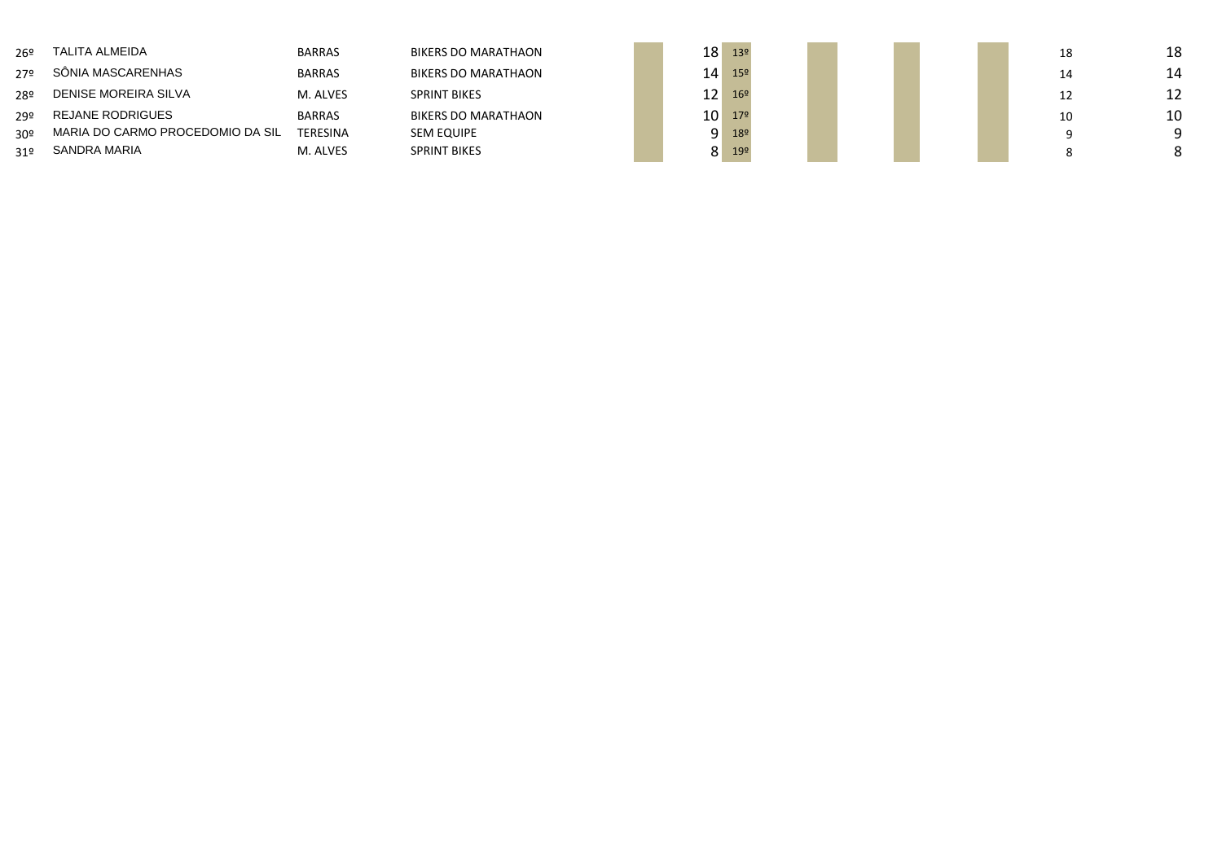| 26º             | TALITA ALMEIDA                   | <b>BARRAS</b>   | <b>BIKERS DO MARATHAON</b> | 18 <sub>1</sub> | 13 <sup>°</sup> |  |  | 18 | 18 |
|-----------------|----------------------------------|-----------------|----------------------------|-----------------|-----------------|--|--|----|----|
| 27º             | SÔNIA MASCARENHAS                | <b>BARRAS</b>   | BIKERS DO MARATHAON        | 14 <sub>1</sub> | 15 <sup>°</sup> |  |  |    | 14 |
| 28º             | DENISE MOREIRA SILVA             | M. ALVES        | <b>SPRINT BIKES</b>        | 12              | 169             |  |  |    | 12 |
| 29º             | REJANE RODRIGUES                 | <b>BARRAS</b>   | <b>BIKERS DO MARATHAON</b> | 10              | 179             |  |  | 10 | 10 |
| 30 <sup>o</sup> | MARIA DO CARMO PROCEDOMIO DA SIL | <b>TERESINA</b> | SEM EQUIPE                 | . Q             | 18º             |  |  |    | Q  |
| 319             | SANDRA MARIA                     | M. ALVES        | <b>SPRINT BIKES</b>        | $\circ$         | 19º             |  |  |    | 8  |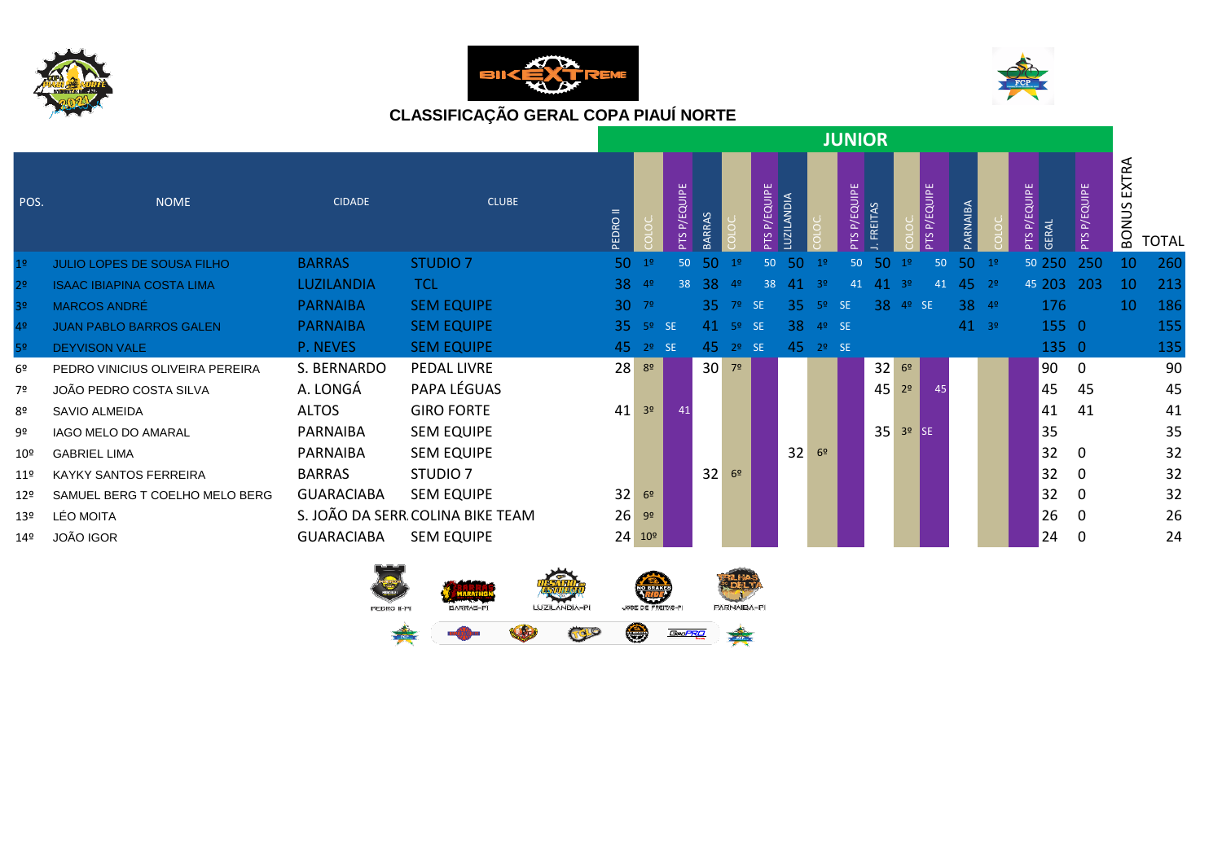





|                 |                                   |                   |                                  |          |                 |                 |                 |                |                    |                  |                | <b>JUNIOR</b>      |                |                |                    |          |                |                                 |              |                     |       |
|-----------------|-----------------------------------|-------------------|----------------------------------|----------|-----------------|-----------------|-----------------|----------------|--------------------|------------------|----------------|--------------------|----------------|----------------|--------------------|----------|----------------|---------------------------------|--------------|---------------------|-------|
| POS.            | <b>NOME</b>                       | <b>CIDADE</b>     | <b>CLUBE</b>                     | PEDRO II |                 | P/EQUIPE<br>PTS | ARRAS           |                | <b>PTSP/EQUIPE</b> | <b>UZILANDIA</b> |                | <b>PTSP/EQUIPE</b> | <b>FREITAS</b> |                | <b>TS P/EQUIPE</b> | PARNAIBA |                | P/EQUIPE<br><b>GERAL</b><br>PTS | PTS P/EQUIPE | EXTRA<br>S<br>BONUS | TOTAL |
| 1 <sup>°</sup>  | <b>JULIO LOPES DE SOUSA FILHO</b> | <b>BARRAS</b>     | <b>STUDIO 7</b>                  | 50       | 1 <sup>0</sup>  | 50              | 50              | 1 <sup>o</sup> | 50                 | 50               | 1 <sup>°</sup> | 50                 | 50             | 19             | 50                 | 50       | 1 <sup>0</sup> | 50 250                          | 250          | 10                  | 260   |
| 2 <sup>o</sup>  | <b>ISAAC IBIAPINA COSTA LIMA</b>  | LUZILANDIA        | <b>TCL</b>                       | 38       | 4 <sup>o</sup>  | 38              | 38              | 4 <sup>°</sup> | 38                 | 41               | 3 <sup>o</sup> | 41                 | 41             | 39             | 41                 | 45       | 2 <sup>o</sup> | 45 203                          | 203          | 10                  | 213   |
| 3 <sup>o</sup>  | MARCOS ANDRÉ                      | <b>PARNAIBA</b>   | <b>SEM EQUIPE</b>                |          | $30 - 79$       |                 | 35.             | 79             | <b>SE</b>          | 35               | 5 <sup>o</sup> | <b>SE</b>          | 38             | 4 <sup>o</sup> | <b>SE</b>          | 38       | 4 <sup>9</sup> | 176                             |              | 10                  | 186   |
| 4º              | <b>JUAN PABLO BARROS GALEN</b>    | <b>PARNAIBA</b>   | <b>SEM EQUIPE</b>                |          | $35 - 59$ SE    |                 |                 | $41 - 59$      | SE <sub>5</sub>    | 38               | 4º SE          |                    |                |                |                    | $41^{9}$ |                | 155 0                           |              |                     | 155   |
| 5 <sup>o</sup>  | <b>DEYVISON VALE</b>              | P. NEVES          | <b>SEM EQUIPE</b>                |          | $45 \t29 \tSE$  |                 | 45              | 2 <sup>o</sup> | <b>SE</b>          |                  | $45 \t29 \tSE$ |                    |                |                |                    |          |                | 135 0                           |              |                     | 135   |
| 6º              | PEDRO VINICIUS OLIVEIRA PEREIRA   | S. BERNARDO       | PEDAL LIVRE                      | 28       | 8 <sup>o</sup>  |                 | 30 <sup>2</sup> | 7 <sup>0</sup> |                    |                  |                |                    | 32             | 6 <sup>9</sup> |                    |          |                | 90                              | 0            |                     | 90    |
| 7º              | JOÃO PEDRO COSTA SILVA            | A. LONGÁ          | PAPA LÉGUAS                      |          |                 |                 |                 |                |                    |                  |                |                    | 45             | 2 <sup>o</sup> | 45                 |          |                | 45                              | 45           |                     | 45    |
| 8º              | SAVIO ALMEIDA                     | <b>ALTOS</b>      | <b>GIRO FORTE</b>                | 41       | 3 <sup>o</sup>  | 41              |                 |                |                    |                  |                |                    |                |                |                    |          |                | 41                              | 41           |                     | 41    |
| 9º              | IAGO MELO DO AMARAL               | PARNAIBA          | <b>SEM EQUIPE</b>                |          |                 |                 |                 |                |                    |                  |                |                    | 35             | $3o$ SE        |                    |          |                | 35                              |              |                     | 35    |
| 10 <sup>°</sup> | <b>GABRIEL LIMA</b>               | PARNAIBA          | <b>SEM EQUIPE</b>                |          |                 |                 |                 |                |                    | 32               | 6 <sup>9</sup> |                    |                |                |                    |          |                | 32                              | 0            |                     | 32    |
| 11 <sup>°</sup> | <b>KAYKY SANTOS FERREIRA</b>      | <b>BARRAS</b>     | STUDIO <sub>7</sub>              |          |                 |                 | 32              | 6 <sup>9</sup> |                    |                  |                |                    |                |                |                    |          |                | 32                              | 0            |                     | 32    |
| 129             | SAMUEL BERG T COELHO MELO BERG    | <b>GUARACIABA</b> | <b>SEM EQUIPE</b>                | 32       | 6 <sup>9</sup>  |                 |                 |                |                    |                  |                |                    |                |                |                    |          |                | 32                              | 0            |                     | 32    |
| 13 <sup>°</sup> | LÉO MOITA                         |                   | S. JOÃO DA SERR COLINA BIKE TEAM | 26       | 9 <sup>o</sup>  |                 |                 |                |                    |                  |                |                    |                |                |                    |          |                | 26                              | 0            |                     | 26    |
| 14º             | JOÃO IGOR                         | <b>GUARACIABA</b> | <b>SEM EQUIPE</b>                |          | $24 10^{\circ}$ |                 |                 |                |                    |                  |                |                    |                |                |                    |          |                | 24                              | 0            |                     | 24    |
|                 |                                   |                   |                                  |          |                 |                 |                 |                |                    |                  |                |                    |                |                |                    |          |                |                                 |              |                     |       |



COLO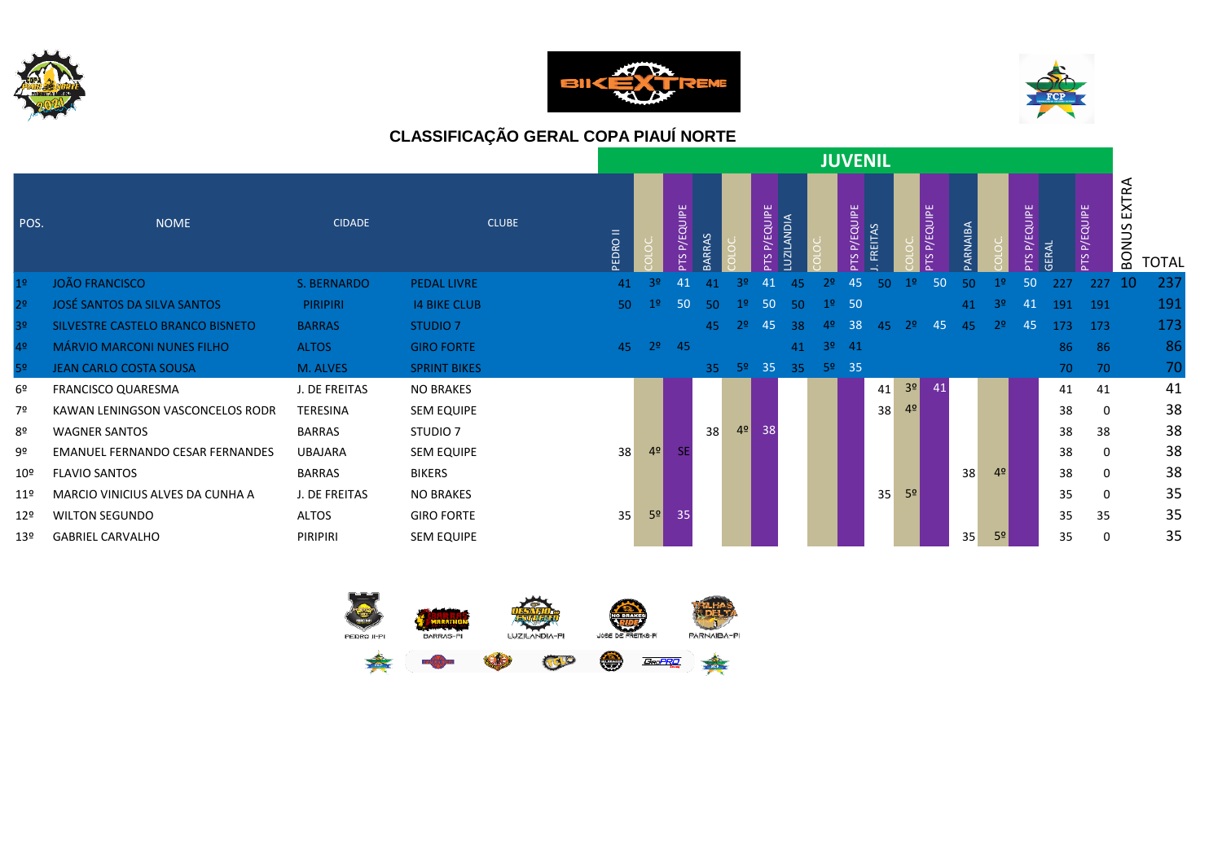





|                 |                                         |                 |                     |                 |                |                 |     |                |                 |                  |     | <b>JUVENIL</b>  |                |                |                |        |                |                           |              |                 |                     |              |
|-----------------|-----------------------------------------|-----------------|---------------------|-----------------|----------------|-----------------|-----|----------------|-----------------|------------------|-----|-----------------|----------------|----------------|----------------|--------|----------------|---------------------------|--------------|-----------------|---------------------|--------------|
| POS.            | <b>NOME</b>                             | <b>CIDADE</b>   | <b>CLUBE</b>        | PEDRO II        |                | P/EQUIPE<br>PTS |     |                | P/EQUIPE<br>PTS | <b>UZILANDIA</b> |     | P/EQUIPE<br>PTS | <b>FREITAS</b> |                | P/EQUIPE<br>SL | ARNARA |                | QUIPE<br>ш<br>둔<br>$\sim$ | <b>GERAL</b> | P/EQUIPE<br>PTS | EXTRA<br>S<br>BONUS | <b>TOTAL</b> |
| 1 <sup>o</sup>  | <b>JOÃO FRANCISCO</b>                   | S. BERNARDO     | <b>PEDAL LIVRE</b>  | 41              | 32             | 41              | 41  | 32             | 41              | 45               | 25  | 45              | 50             | 12             | 50             | 50     |                | 50                        | 227          | 227             | 10                  | 237          |
| 2 <sup>o</sup>  | JOSÉ SANTOS DA SILVA SANTOS             | <b>PIRIPIRI</b> | <b>14 BIKE CLUB</b> | 50 <sub>1</sub> | 1 <sup>°</sup> | 50              | 50. | 1Չ             | 50              | 50               |     | 50              |                |                |                | 41     | 32             | -41                       | 191          | 191             |                     | 191          |
| 3 <sup>o</sup>  | SILVESTRE CASTELO BRANCO BISNETO        | <b>BARRAS</b>   | STUDIO <sub>7</sub> |                 |                |                 | 45  |                | 45              | 38               | 42  | 38              | 45             | 22             | 45             | 45     | 2 <sup>o</sup> | 45                        | 173          | 173             |                     | 173          |
| 4º              | <b>MÁRVIO MARCONI NUNES FILHO</b>       | <b>ALTOS</b>    | <b>GIRO FORTE</b>   | 45              | 2 <sup>o</sup> | $-45$           |     |                |                 | 41               |     | $3^{\circ}$ 41  |                |                |                |        |                |                           | 86           | 86              |                     | 86           |
| 5 <sup>o</sup>  | <b>JEAN CARLO COSTA SOUSA</b>           | M. ALVES        | <b>SPRINT BIKES</b> |                 |                |                 | 35  | -52            | 35              | 35               | -59 | $-35$           |                |                |                |        |                |                           | 70           | 70              |                     | 70           |
| 6 <sup>o</sup>  | <b>FRANCISCO QUARESMA</b>               | J. DE FREITAS   | <b>NO BRAKES</b>    |                 |                |                 |     |                |                 |                  |     |                 | 41             | 3 <sup>o</sup> | 41             |        |                |                           | 41           | 41              |                     | 41           |
| 7º              | KAWAN LENINGSON VASCONCELOS RODR        | TERESINA        | <b>SEM EQUIPE</b>   |                 |                |                 |     |                |                 |                  |     |                 | 38             | 4 <sup>o</sup> |                |        |                |                           | 38           | 0               |                     | 38           |
| 8º              | <b>WAGNER SANTOS</b>                    | <b>BARRAS</b>   | STUDIO <sub>7</sub> |                 |                |                 | 38  | 4 <sup>°</sup> | 38              |                  |     |                 |                |                |                |        |                |                           | 38           | 38              |                     | 38           |
| 9º              | <b>EMANUEL FERNANDO CESAR FERNANDES</b> | <b>UBAJARA</b>  | <b>SEM EQUIPE</b>   | 38              | 4 <sup>°</sup> | SE.             |     |                |                 |                  |     |                 |                |                |                |        |                |                           | 38           | 0               |                     | 38           |
| $10^{\sf o}$    | <b>FLAVIO SANTOS</b>                    | <b>BARRAS</b>   | <b>BIKERS</b>       |                 |                |                 |     |                |                 |                  |     |                 |                |                |                | 38     | 4 <sup>°</sup> |                           | 38           | $\Omega$        |                     | 38           |
| 11 <sup>°</sup> | MARCIO VINICIUS ALVES DA CUNHA A        | J. DE FREITAS   | <b>NO BRAKES</b>    |                 |                |                 |     |                |                 |                  |     |                 | 35             | 5 <sup>o</sup> |                |        |                |                           | 35           | $\Omega$        |                     | 35           |
| 129             | <b>WILTON SEGUNDO</b>                   | ALTOS           | <b>GIRO FORTE</b>   | 35              | 5 <sup>°</sup> | 35              |     |                |                 |                  |     |                 |                |                |                |        |                |                           | 35           | 35              |                     | 35           |
| 13 <sup>°</sup> | <b>GABRIEL CARVALHO</b>                 | PIRIPIRI        | SEM EQUIPE          |                 |                |                 |     |                |                 |                  |     |                 |                |                |                | 35     | 5 <sup>o</sup> |                           | 35           | $\Omega$        |                     | 35           |

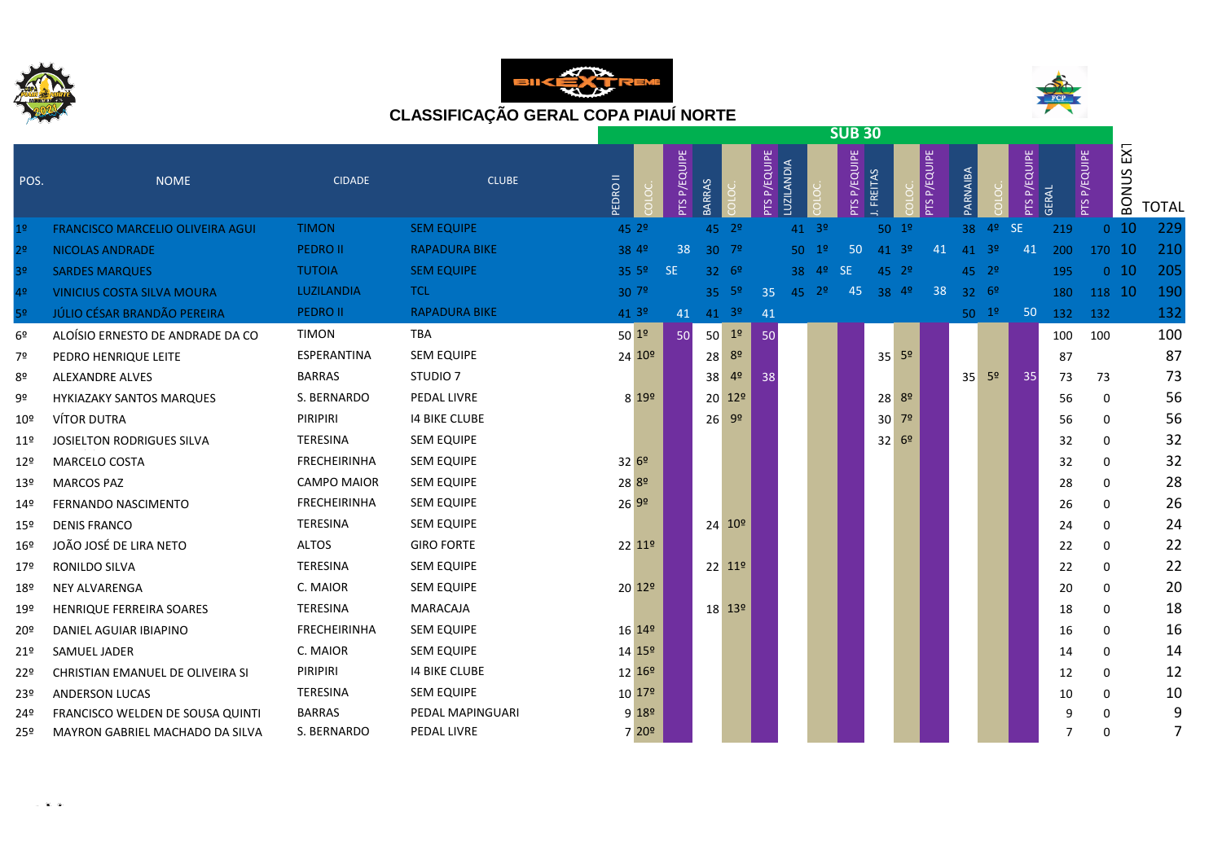

 $\mathbf{r} \rightarrow \mathbf{r}$ 





|                 |                                         |                     |                      |                    |                 |               |                            |              |            |                | <b>SUB 30</b>   |                |                   |                        |                  |                |                        |       |                 |                     |                |
|-----------------|-----------------------------------------|---------------------|----------------------|--------------------|-----------------|---------------|----------------------------|--------------|------------|----------------|-----------------|----------------|-------------------|------------------------|------------------|----------------|------------------------|-------|-----------------|---------------------|----------------|
| POS.            | <b>NOME</b>                             | <b>CIDADE</b>       | <b>CLUBE</b>         | <b>EDRO II</b>     | P/EQUIPE<br>PTS | <b>BARRAS</b> |                            | PTS P/EQUIPE | LUZILANDIA |                | P/EQUIPE<br>PTS | <b>FREITAS</b> |                   | P/EQUIPE<br><b>SLc</b> | PARNAIBA         |                | P/EQUIPE<br><b>PTS</b> | GERAL | P/EQUIPE<br>SLc | <b>EXT</b><br>BONUS | <b>TOTAL</b>   |
| 1 <sup>°</sup>  | <b>FRANCISCO MARCELIO OLIVEIRA AGUI</b> | <b>TIMON</b>        | <b>SEM EQUIPE</b>    | 45.29              |                 |               | $45 - 29$                  |              |            | $41^{30}$      |                 |                | $50^{12}$         |                        | 38               | 4 <sup>o</sup> | <b>SE</b>              | 219   | 0 <sub>10</sub> |                     | 229            |
| 2 <sup>o</sup>  | <b>NICOLAS ANDRADE</b>                  | <b>PEDRO II</b>     | <b>RAPADURA BIKE</b> | 38 49              | 38              |               | $30^{72}$                  |              |            | $50^{19}$      | 50              |                | $41 \, 3^{\circ}$ | 41                     | 41               | 3 <sup>o</sup> | 41                     | 200   | 170 10          |                     | 210            |
| 3º              | <b>SARDES MARQUES</b>                   | <b>TUTOIA</b>       | <b>SEM EQUIPE</b>    | 35.5 <sup>°</sup>  | <b>SE</b>       |               | $32^{69}$                  |              | 38         | 4 <sup>°</sup> | <b>SE</b>       |                | $45 \t29$         |                        | 45 2º            |                |                        | 195   | 0 <sub>10</sub> |                     | 205            |
| 4 <sup>o</sup>  | <b>VINICIUS COSTA SILVA MOURA</b>       | LUZILANDIA          | <b>TCL</b>           | 307 <sup>°</sup>   |                 |               | $35 - 5^{\circ}$           | 35           | 45         | $2^{\circ}$    | 45              | 38             | 4 <sup>o</sup>    | 38                     | $32 - 6^{\circ}$ |                |                        | 180   | 118 10          |                     | 190            |
| 5 <sup>o</sup>  | JÚLIO CÉSAR BRANDÃO PEREIRA             | <b>PEDRO II</b>     | <b>RAPADURA BIKE</b> | 41 3 <sup>0</sup>  | 41              |               | $41 \t39$                  | 41           |            |                |                 |                |                   |                        | $50 \t19$        |                | 50 <sub>2</sub>        | 132   | 132             |                     | 132            |
| 6º              | ALOÍSIO ERNESTO DE ANDRADE DA CO        | <b>TIMON</b>        | <b>TBA</b>           | $50^{19}$          | 50              | 50            | 1 <sup>o</sup>             | 50           |            |                |                 |                |                   |                        |                  |                |                        | 100   | 100             |                     | 100            |
| 7º              | PEDRO HENRIQUE LEITE                    | ESPERANTINA         | <b>SEM EQUIPE</b>    | 24 10 <sup>o</sup> |                 |               | 28 8 <sup>0</sup>          |              |            |                |                 |                | $35^{59}$         |                        |                  |                |                        | 87    |                 |                     | 87             |
| 8º              | <b>ALEXANDRE ALVES</b>                  | <b>BARRAS</b>       | STUDIO <sub>7</sub>  |                    |                 | 38            | 4 <sup>o</sup>             | 38           |            |                |                 |                |                   |                        | 35               | 5 <sup>o</sup> | 35                     | 73    | 73              |                     | 73             |
| 9º              | <b>HYKIAZAKY SANTOS MARQUES</b>         | S. BERNARDO         | PEDAL LIVRE          | 8 19 <sup>o</sup>  |                 |               | 20 12 <sup>o</sup>         |              |            |                |                 |                | $28^{89}$         |                        |                  |                |                        | 56    | 0               |                     | 56             |
| 10º             | VÍTOR DUTRA                             | PIRIPIRI            | <b>14 BIKE CLUBE</b> |                    |                 |               | $26 - 99$                  |              |            |                |                 |                | $30$ $7^{\circ}$  |                        |                  |                |                        | 56    | 0               |                     | 56             |
| 11º             | <b>JOSIELTON RODRIGUES SILVA</b>        | TERESINA            | <b>SEM EQUIPE</b>    |                    |                 |               |                            |              |            |                |                 |                | $32^{69}$         |                        |                  |                |                        | 32    | 0               |                     | 32             |
| 12 <sup>°</sup> | <b>MARCELO COSTA</b>                    | <b>FRECHEIRINHA</b> | <b>SEM EQUIPE</b>    | 3269               |                 |               |                            |              |            |                |                 |                |                   |                        |                  |                |                        | 32    | 0               |                     | 32             |
| 13 <sup>°</sup> | <b>MARCOS PAZ</b>                       | <b>CAMPO MAIOR</b>  | <b>SEM EQUIPE</b>    | 28 8º              |                 |               |                            |              |            |                |                 |                |                   |                        |                  |                |                        | 28    | 0               |                     | 28             |
| 14º             | FERNANDO NASCIMENTO                     | <b>FRECHEIRINHA</b> | <b>SEM EQUIPE</b>    | 26 9º              |                 |               |                            |              |            |                |                 |                |                   |                        |                  |                |                        | 26    | 0               |                     | 26             |
| 15º             | <b>DENIS FRANCO</b>                     | TERESINA            | <b>SEM EQUIPE</b>    |                    |                 |               | $24 \overline{10^{\circ}}$ |              |            |                |                 |                |                   |                        |                  |                |                        | 24    | 0               |                     | 24             |
| 16º             | JOÃO JOSÉ DE LIRA NETO                  | ALTOS               | <b>GIRO FORTE</b>    | $22 \, 11^{\circ}$ |                 |               |                            |              |            |                |                 |                |                   |                        |                  |                |                        | 22    | 0               |                     | 22             |
| 17º             | RONILDO SILVA                           | TERESINA            | SEM EQUIPE           |                    |                 |               | $22$ $11^{\circ}$          |              |            |                |                 |                |                   |                        |                  |                |                        | 22    | 0               |                     | 22             |
| 18º             | <b>NEY ALVARENGA</b>                    | C. MAIOR            | <b>SEM EQUIPE</b>    | 20 12 <sup>o</sup> |                 |               |                            |              |            |                |                 |                |                   |                        |                  |                |                        | 20    | 0               |                     | 20             |
| 19º             | HENRIQUE FERREIRA SOARES                | <b>TERESINA</b>     | MARACAJA             |                    |                 |               | 18 13 <sup>o</sup>         |              |            |                |                 |                |                   |                        |                  |                |                        | 18    | 0               |                     | 18             |
| 20º             | DANIEL AGUIAR IBIAPINO                  | <b>FRECHEIRINHA</b> | <b>SEM EQUIPE</b>    | 16 14 <sup>o</sup> |                 |               |                            |              |            |                |                 |                |                   |                        |                  |                |                        | 16    | 0               |                     | 16             |
| 21º             | SAMUEL JADER                            | C. MAIOR            | SEM EQUIPE           | 14 15 <sup>°</sup> |                 |               |                            |              |            |                |                 |                |                   |                        |                  |                |                        | 14    | 0               |                     | 14             |
| 22º             | CHRISTIAN EMANUEL DE OLIVEIRA SI        | PIRIPIRI            | <b>14 BIKE CLUBE</b> | 12 16 <sup>o</sup> |                 |               |                            |              |            |                |                 |                |                   |                        |                  |                |                        | 12    | 0               |                     | 12             |
| 23º             | <b>ANDERSON LUCAS</b>                   | TERESINA            | <b>SEM EQUIPE</b>    | 10 17 <sup>o</sup> |                 |               |                            |              |            |                |                 |                |                   |                        |                  |                |                        | 10    | 0               |                     | 10             |
| 24º             | FRANCISCO WELDEN DE SOUSA QUINTI        | <b>BARRAS</b>       | PEDAL MAPINGUARI     | $9 18^{\circ} $    |                 |               |                            |              |            |                |                 |                |                   |                        |                  |                |                        | 9     | <sup>0</sup>    |                     | 9              |
| 25º             | MAYRON GABRIEL MACHADO DA SILVA         | S. BERNARDO         | PEDAL LIVRE          | 7 20°              |                 |               |                            |              |            |                |                 |                |                   |                        |                  |                |                        |       | $\Omega$        |                     | $\overline{7}$ |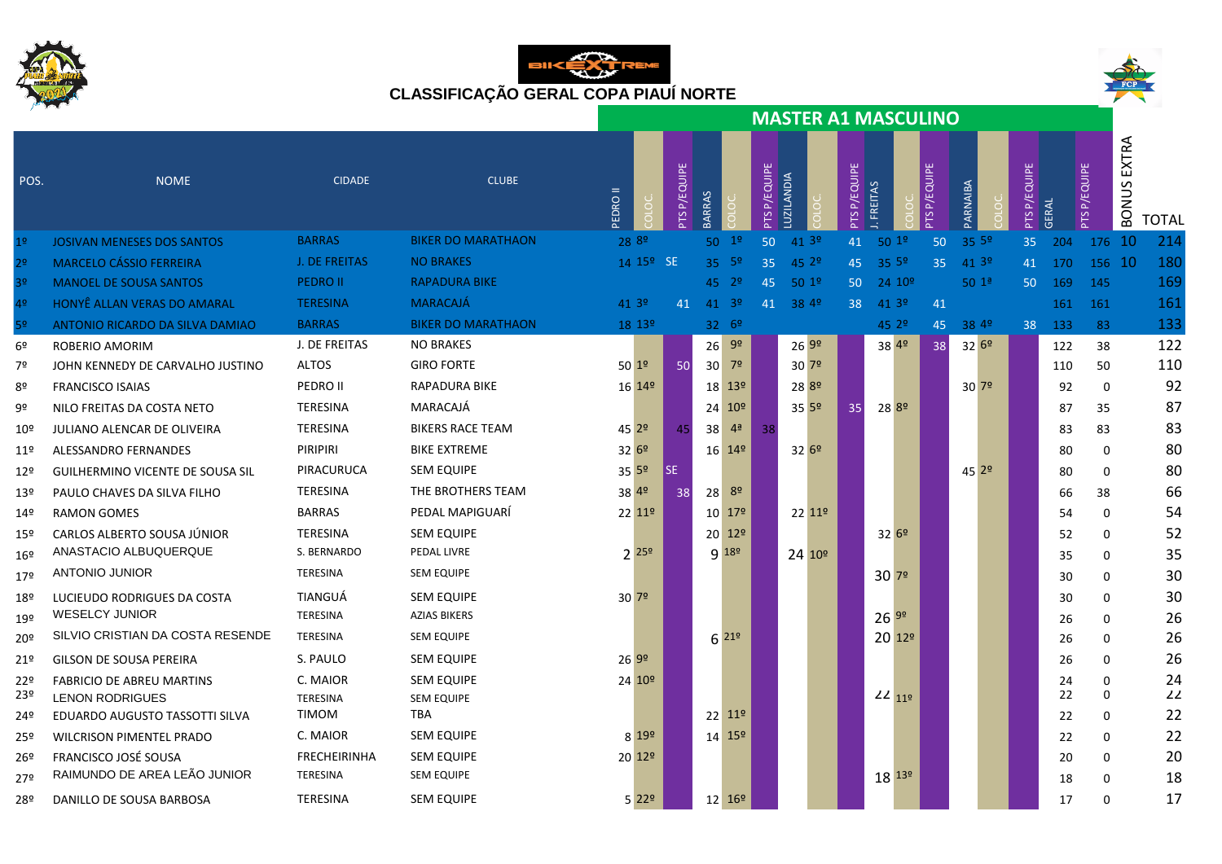





|                 |                                    |                     |                           |                    |                       |                           |                 |                    |              | <b>MASTER A1 MASCULINO</b> |              |                    |                 |           |              |       |                 |                       |              |
|-----------------|------------------------------------|---------------------|---------------------------|--------------------|-----------------------|---------------------------|-----------------|--------------------|--------------|----------------------------|--------------|--------------------|-----------------|-----------|--------------|-------|-----------------|-----------------------|--------------|
| POS.            | <b>NOME</b>                        | <b>CIDADE</b>       | <b>CLUBE</b>              | <b>EDRO II</b>     |                       | PTS P/EQUIPE              | <b>BARRAS</b>   |                    | PTS P/EQUIPE | LUZILANDIA                 | PTS P/EQUIPE | <b>FREITAS</b>     | P/EQUIPE<br>PTS | PARNAIBA  | PTS P/EQUIPE | GERAL | P/EQUIPE<br>PTS | EXTRA<br><b>BONUS</b> | <b>TOTAL</b> |
| 1 <sup>o</sup>  | <b>JOSIVAN MENESES DOS SANTOS</b>  | <b>BARRAS</b>       | <b>BIKER DO MARATHAON</b> | 28 8º              |                       |                           | 50              | 1 <sup>o</sup>     | 50           | 41.39                      | 41           | 501 <sup>°</sup>   | 50              | 35 5º     | 35           | 204   | 176 10          |                       | 214          |
| 2 <sup>o</sup>  | <b>MARCELO CÁSSIO FERREIRA</b>     | J. DE FREITAS       | <b>NO BRAKES</b>          |                    | 14 15 <sup>o</sup> SE |                           |                 | $35^{6}$           | 35           | 45.29                      | 45           | 35 5º              | 35              | 41 3º     | 41           | 170   | 156 10          |                       | 180          |
| 3 <sup>o</sup>  | <b>MANOEL DE SOUSA SANTOS</b>      | <b>PEDRO II</b>     | <b>RAPADURA BIKE</b>      |                    |                       |                           |                 | $45 - 29$          | 45           | $50^{19}$                  | 50           | 24.109             |                 | $50^{12}$ | 50           | 169   | 145             |                       | 169          |
| 4 <sup>o</sup>  | HONYÊ ALLAN VERAS DO AMARAL        | <b>TERESINA</b>     | <b>MARACAJÁ</b>           | 41 3 <sup>o</sup>  |                       | 41                        | 41              | $-39$              | 41           | 38 49                      | 38           | 413°               | 41              |           |              | 161   | 161             |                       | 161          |
| 5 <sup>o</sup>  | ANTONIO RICARDO DA SILVA DAMIAO    | <b>BARRAS</b>       | <b>BIKER DO MARATHAON</b> |                    | 18 13º                |                           |                 | 32.69              |              |                            |              | 45 2º              | 45              | 38 49     | 38           | 133   | 83              |                       | 133          |
| 6º              | <b>ROBERIO AMORIM</b>              | J. DE FREITAS       | <b>NO BRAKES</b>          |                    |                       |                           | 26              | 9 <sup>o</sup>     |              | 2699                       |              | 38 49              | 38              | $32^{69}$ |              | 122   | 38              |                       | 122          |
| 7º              | JOHN KENNEDY DE CARVALHO JUSTINO   | <b>ALTOS</b>        | <b>GIRO FORTE</b>         | $50^{19}$          |                       | 50                        | 30 <sup>2</sup> | 7 <sup>o</sup>     |              | 30 <sup>72</sup>           |              |                    |                 |           |              | 110   | 50              |                       | 110          |
| 8º              | <b>FRANCISCO ISAIAS</b>            | PEDRO II            | <b>RAPADURA BIKE</b>      | 16 14 <sup>o</sup> |                       |                           |                 | 18 13 <sup>o</sup> |              | 28 <sup>8º</sup>           |              |                    |                 | 30 7º     |              | 92    | $\mathbf 0$     |                       | 92           |
| 9º              | NILO FREITAS DA COSTA NETO         | <b>TERESINA</b>     | MARACAJÁ                  |                    |                       |                           |                 | 24 10 <sup>o</sup> |              | $35^{59}$                  | 35           | 28 <sup>8º</sup>   |                 |           |              | 87    | 35              |                       | 87           |
| $10^{\circ}$    | <b>JULIANO ALENCAR DE OLIVEIRA</b> | TERESINA            | <b>BIKERS RACE TEAM</b>   | 45 2 <sup>o</sup>  |                       | 45                        | 38              | 4 <sup>a</sup>     | 38           |                            |              |                    |                 |           |              | 83    | 83              |                       | 83           |
| $11^{\circ}$    | <b>ALESSANDRO FERNANDES</b>        | PIRIPIRI            | <b>BIKE EXTREME</b>       | 3269               |                       |                           |                 | 16 14 <sup>o</sup> |              | $32^{69}$                  |              |                    |                 |           |              | 80    | $\mathbf 0$     |                       | 80           |
| 12 <sup>°</sup> | GUILHERMINO VICENTE DE SOUSA SIL   | PIRACURUCA          | <b>SEM EQUIPE</b>         | 35 5º              |                       | $\overline{\mathsf{S}}$ E |                 |                    |              |                            |              |                    |                 | 45 2º     |              | 80    | 0               |                       | 80           |
| 13 <sup>°</sup> | PAULO CHAVES DA SILVA FILHO        | <b>TERESINA</b>     | THE BROTHERS TEAM         | 38 4º              |                       | 38                        | 28              | 8º                 |              |                            |              |                    |                 |           |              | 66    | 38              |                       | 66           |
| $14^{\circ}$    | <b>RAMON GOMES</b>                 | <b>BARRAS</b>       | PEDAL MAPIGUARÍ           |                    | 22 11 <sup>o</sup>    |                           |                 | 10 17 <sup>o</sup> |              | 22 11 <sup>o</sup>         |              |                    |                 |           |              | 54    | 0               |                       | 54           |
| 15º             | CARLOS ALBERTO SOUSA JÚNIOR        | <b>TERESINA</b>     | <b>SEM EQUIPE</b>         |                    |                       |                           |                 | 20 12 <sup>0</sup> |              |                            |              | $32^{69}$          |                 |           |              | 52    | $\Omega$        |                       | 52           |
| 16 <sup>°</sup> | ANASTACIO ALBUQUERQUE              | S. BERNARDO         | PEDAL LIVRE               | $2^{259}$          |                       |                           |                 | $9^{189}$          |              | 24 10 <sup>°</sup>         |              |                    |                 |           |              | 35    | 0               |                       | 35           |
| 179             | <b>ANTONIO JUNIOR</b>              | <b>TERESINA</b>     | <b>SEM EQUIPE</b>         |                    |                       |                           |                 |                    |              |                            |              | 3079               |                 |           |              | 30    | 0               |                       | 30           |
| 18º             | LUCIEUDO RODRIGUES DA COSTA        | TIANGUÁ             | <b>SEM EQUIPE</b>         | 30 7 <sup>o</sup>  |                       |                           |                 |                    |              |                            |              |                    |                 |           |              | 30    | 0               |                       | 30           |
| 19º             | <b>WESELCY JUNIOR</b>              | TERESINA            | <b>AZIAS BIKERS</b>       |                    |                       |                           |                 |                    |              |                            |              | $26^{99}$          |                 |           |              | 26    | 0               |                       | 26           |
| 20º             | SILVIO CRISTIAN DA COSTA RESENDE   | TERESINA            | <b>SEM EQUIPE</b>         |                    |                       |                           |                 | $6^{219}$          |              |                            |              | 20 12 <sup>o</sup> |                 |           |              | 26    | 0               |                       | 26           |
| 21 <sup>°</sup> | GILSON DE SOUSA PEREIRA            | S. PAULO            | <b>SEM EQUIPE</b>         | 269°               |                       |                           |                 |                    |              |                            |              |                    |                 |           |              | 26    | 0               |                       | 26           |
| 22º             | FABRICIO DE ABREU MARTINS          | C. MAIOR            | <b>SEM EQUIPE</b>         |                    | 24 10 <sup>o</sup>    |                           |                 |                    |              |                            |              |                    |                 |           |              | 24    | 0               |                       | 24           |
| 23º             | <b>LENON RODRIGUES</b>             | <b>TERESINA</b>     | <b>SEM EQUIPE</b>         |                    |                       |                           |                 |                    |              |                            |              | $22$ $11°$         |                 |           |              | 22    | $\mathbf 0$     |                       | 22           |
| 24º             | EDUARDO AUGUSTO TASSOTTI SILVA     | TIMOM               | TBA                       |                    |                       |                           |                 | $22 \, 11^{\circ}$ |              |                            |              |                    |                 |           |              | 22    | 0               |                       | 22           |
| 25º             | <b>WILCRISON PIMENTEL PRADO</b>    | C. MAIOR            | <b>SEM EQUIPE</b>         |                    | 8 199                 |                           |                 | $14^{159}$         |              |                            |              |                    |                 |           |              | 22    | 0               |                       | 22           |
| 26º             | FRANCISCO JOSÉ SOUSA               | <b>FRECHEIRINHA</b> | <b>SEM EQUIPE</b>         | 20 12 <sup>0</sup> |                       |                           |                 |                    |              |                            |              |                    |                 |           |              | 20    | 0               |                       | 20           |
| 27º             | RAIMUNDO DE AREA LEÃO JUNIOR       | <b>TERESINA</b>     | <b>SEM EQUIPE</b>         |                    |                       |                           |                 |                    |              |                            |              | 18 139             |                 |           |              | 18    | $\Omega$        |                       | 18           |
| 28º             | DANILLO DE SOUSA BARBOSA           | TERESINA            | <b>SEM EQUIPE</b>         |                    | $5^{229}$             |                           |                 | 12 16 <sup>o</sup> |              |                            |              |                    |                 |           |              | 17    | $\Omega$        |                       | 17           |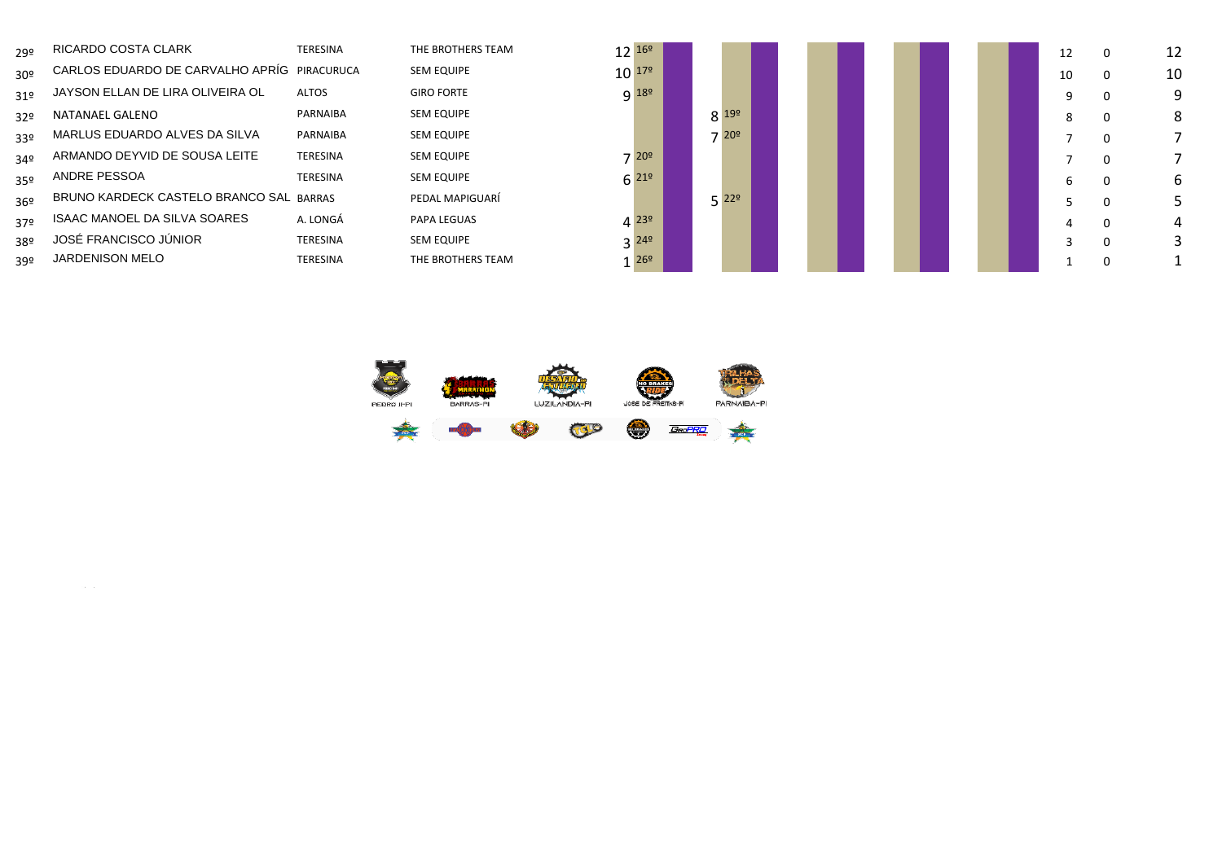| 29º             | RICARDO COSTA CLARK                         | <b>TERESINA</b> | THE BROTHERS TEAM | $12^{169}$ |                     |                 |  |  |  | 12 | 0        | 12 |
|-----------------|---------------------------------------------|-----------------|-------------------|------------|---------------------|-----------------|--|--|--|----|----------|----|
| 30 <sup>o</sup> | CARLOS EDUARDO DE CARVALHO APRÍG PIRACURUCA |                 | <b>SEM EQUIPE</b> | $10^{179}$ |                     |                 |  |  |  | 10 | 0        | 10 |
| 31 <sup>o</sup> | JAYSON ELLAN DE LIRA OLIVEIRA OL            | <b>ALTOS</b>    | <b>GIRO FORTE</b> |            | $Q$ 18 <sup>o</sup> |                 |  |  |  |    |          | 9  |
| 32 <sup>o</sup> | NATANAEL GALENO                             | PARNAIBA        | <b>SEM EQUIPE</b> |            |                     | $8^{199}$       |  |  |  |    | 0        | 8  |
| 339             | MARLUS EDUARDO ALVES DA SILVA               | PARNAIBA        | <b>SEM EQUIPE</b> |            |                     | 20 <sup>°</sup> |  |  |  |    | 0        |    |
| 34º             | ARMANDO DEYVID DE SOUSA LEITE               | <b>TERESINA</b> | <b>SEM EQUIPE</b> |            | 720 <sup>°</sup>    |                 |  |  |  |    | -0       |    |
| 35 <sup>o</sup> | ANDRE PESSOA                                | <b>TERESINA</b> | <b>SEM EQUIPE</b> |            | $6^{219}$           |                 |  |  |  |    | 0        | 6  |
| 36 <sup>°</sup> | BRUNO KARDECK CASTELO BRANCO SAL BARRAS     |                 | PEDAL MAPIGUARÍ   |            |                     | $5^{229}$       |  |  |  |    | 0        |    |
| 37º             | ISAAC MANOEL DA SILVA SOARES                | A. LONGÁ        | PAPA LEGUAS       |            | $4^{239}$           |                 |  |  |  |    | $\Omega$ | 4  |
| 38º             | JOSÉ FRANCISCO JÚNIOR                       | <b>TERESINA</b> | <b>SEM EQUIPE</b> |            | $3^{249}$           |                 |  |  |  |    |          |    |
| 39º             | <b>JARDENISON MELO</b>                      | <b>TERESINA</b> | THE BROTHERS TEAM |            | $1^{269}$           |                 |  |  |  |    |          |    |



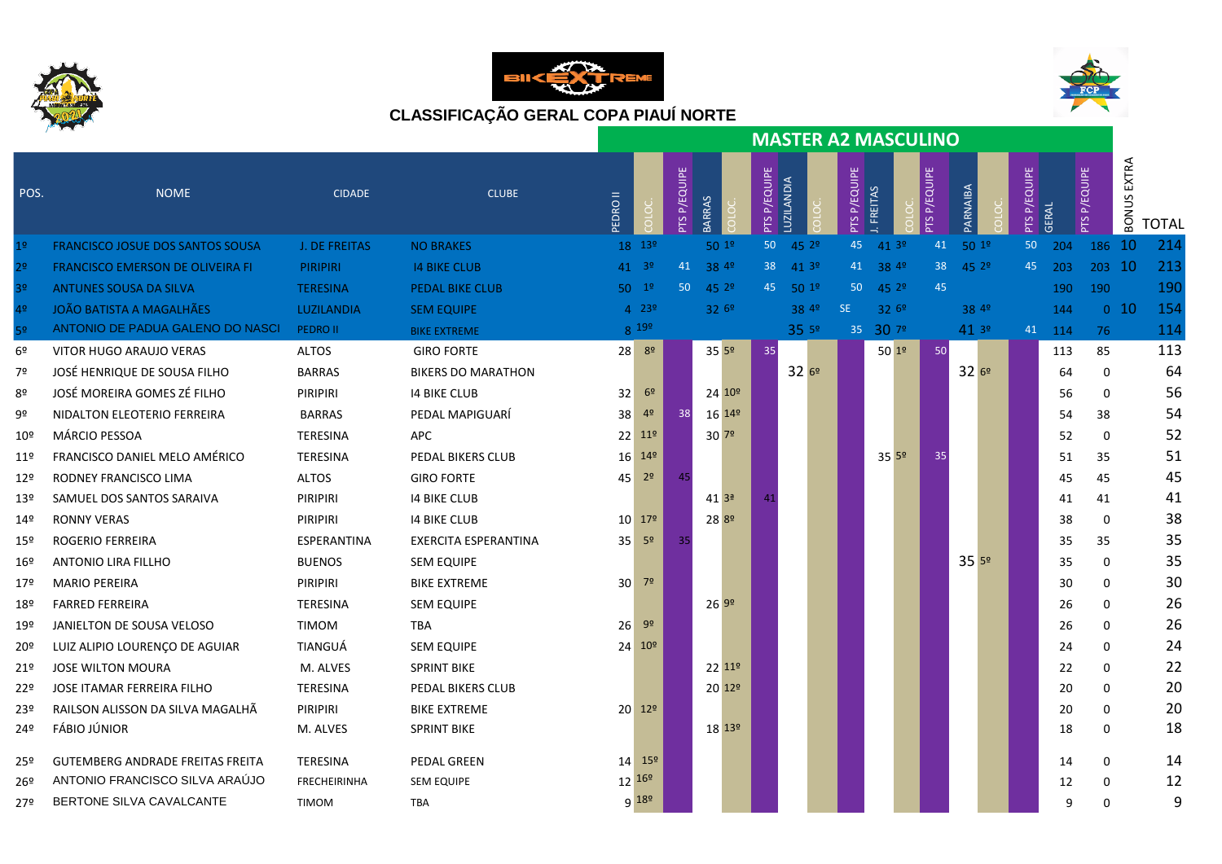





|                 |                                         |                 |                           | <b>MASTER A2 MASCULINO</b> |                   |                 |                    |                    |              |                      |  |                 |                      |  |                |                   |              |        |                 |                       |              |
|-----------------|-----------------------------------------|-----------------|---------------------------|----------------------------|-------------------|-----------------|--------------------|--------------------|--------------|----------------------|--|-----------------|----------------------|--|----------------|-------------------|--------------|--------|-----------------|-----------------------|--------------|
| POS.            | <b>NOME</b>                             | <b>CIDADE</b>   | <b>CLUBE</b>              | <b>EDROII</b>              |                   | P/EQUIPE<br>PTS | BARRAS             |                    | PTS P/EQUIPE | LUZILANDIA           |  | P/EQUIPE<br>PTS | FREITAS              |  | <b>PYEQUPE</b> | PARNAIBA          | PTS P/EQUIPE | GERAL  | PTS P/EQUIPE    | EXTRA<br><b>BONUS</b> | <b>TOTAL</b> |
| 1 <sup>o</sup>  | FRANCISCO JOSUE DOS SANTOS SOUSA        | J. DE FREITAS   | <b>NO BRAKES</b>          |                            | 18 139            |                 | 501 <sup>°</sup>   |                    | 50           | 45 2 <sup>o</sup>    |  | 45              | 413°                 |  | 41             | 501 <sup>°</sup>  | 50           | 204    | 186 10          |                       | 214          |
| 2 <sup>o</sup>  | <b>FRANCISCO EMERSON DE OLIVEIRA FI</b> | <b>PIRIPIRI</b> | <b>14 BIKE CLUB</b>       |                            | $41^{39}$         | 41              | 38 4º              |                    |              | 38 41 3 <sup>0</sup> |  |                 | 41 38 4 <sup>9</sup> |  | 38             | 45 2 <sup>o</sup> | 45           | 203    | 203 10          |                       | 213          |
| 3 <sup>o</sup>  | <b>ANTUNES SOUSA DA SILVA</b>           | <b>TERESINA</b> | <b>PEDAL BIKE CLUB</b>    |                            | $50^{19}$         | 50              | $45^{29}$          |                    |              | 45 50 1º             |  | 50              | $45^{29}$            |  | 45             |                   |              | 190    | 190             |                       | 190          |
| 4 <sup>o</sup>  | <b>JOÃO BATISTA A MAGALHÃES</b>         | LUZILANDIA      | <b>SEM EQUIPE</b>         |                            | $4^{239}$         |                 | 326°               |                    |              | 38 4 <sup>o</sup>    |  | <b>SE</b>       | 32 6 <sup>0</sup>    |  |                | 38 4 <sup>o</sup> |              | 144    | 0 <sub>10</sub> |                       | 154          |
| 5 <sup>o</sup>  | ANTONIO DE PADUA GALENO DO NASCI        | <b>PEDRO II</b> | <b>BIKE EXTREME</b>       |                            | 8 199             |                 |                    |                    |              | 35 5º                |  |                 | 35 30 79             |  |                | 413°              |              | 41 114 | 76              |                       | 114          |
| 6 <sup>°</sup>  | VITOR HUGO ARAUJO VERAS                 | <b>ALTOS</b>    | <b>GIRO FORTE</b>         |                            | $28 \ 89$         |                 | $35^{59}$          |                    | 35           |                      |  |                 | 501 <sup>°</sup>     |  | 50             |                   |              | 113    | 85              |                       | 113          |
| 7º              | JOSÉ HENRIQUE DE SOUSA FILHO            | <b>BARRAS</b>   | <b>BIKERS DO MARATHON</b> |                            |                   |                 |                    |                    |              | 3269                 |  |                 |                      |  |                | 3269              |              | 64     | 0               |                       | 64           |
| 8º              | JOSÉ MOREIRA GOMES ZÉ FILHO             | PIRIPIRI        | <b>14 BIKE CLUB</b>       | 32                         | 6 <sup>o</sup>    |                 |                    | 24 10 <sup>o</sup> |              |                      |  |                 |                      |  |                |                   |              | 56     | 0               |                       | 56           |
| 9º              | NIDALTON ELEOTERIO FERREIRA             | <b>BARRAS</b>   | PEDAL MAPIGUARÍ           | 38                         | 4 <sup>o</sup>    | 38              | 16 14 <sup>o</sup> |                    |              |                      |  |                 |                      |  |                |                   |              | 54     | 38              |                       | 54           |
| 10º             | MÁRCIO PESSOA                           | <b>TERESINA</b> | <b>APC</b>                |                            | 22 11º            |                 | $30^{79}$          |                    |              |                      |  |                 |                      |  |                |                   |              | 52     | $\Omega$        |                       | 52           |
| 11º             | FRANCISCO DANIEL MELO AMÉRICO           | TERESINA        | PEDAL BIKERS CLUB         |                            | $16^{149}$        |                 |                    |                    |              |                      |  |                 | $35^{59}$            |  | 35             |                   |              | 51     | 35              |                       | 51           |
| 129             | RODNEY FRANCISCO LIMA                   | <b>ALTOS</b>    | <b>GIRO FORTE</b>         | 45                         | 2 <sup>o</sup>    | 45              |                    |                    |              |                      |  |                 |                      |  |                |                   |              | 45     | 45              |                       | 45           |
| 13 <sup>°</sup> | SAMUEL DOS SANTOS SARAIVA               | <b>PIRIPIRI</b> | <b>14 BIKE CLUB</b>       |                            |                   |                 | 413 <sup>a</sup>   |                    | 41           |                      |  |                 |                      |  |                |                   |              | 41     | 41              |                       | 41           |
| 14º             | <b>RONNY VERAS</b>                      | PIRIPIRI        | <b>14 BIKE CLUB</b>       |                            | $10^{179}$        |                 | 28 89              |                    |              |                      |  |                 |                      |  |                |                   |              | 38     | 0               |                       | 38           |
| 15º             | ROGERIO FERREIRA                        | ESPERANTINA     | EXERCITA ESPERANTINA      |                            | $35^{59}$         | 35              |                    |                    |              |                      |  |                 |                      |  |                |                   |              | 35     | 35              |                       | 35           |
| 16º             | <b>ANTONIO LIRA FILLHO</b>              | <b>BUENOS</b>   | <b>SEM EQUIPE</b>         |                            |                   |                 |                    |                    |              |                      |  |                 |                      |  |                | 3559              |              | 35     | $\Omega$        |                       | 35           |
| 179             | <b>MARIO PEREIRA</b>                    | PIRIPIRI        | <b>BIKE EXTREME</b>       |                            | $30^{72}$         |                 |                    |                    |              |                      |  |                 |                      |  |                |                   |              | 30     | $\Omega$        |                       | 30           |
| 18º             | <b>FARRED FERREIRA</b>                  | <b>TERESINA</b> | <b>SEM EQUIPE</b>         |                            |                   |                 | 2699               |                    |              |                      |  |                 |                      |  |                |                   |              | 26     | $\Omega$        |                       | 26           |
| 19º             | JANIELTON DE SOUSA VELOSO               | <b>TIMOM</b>    | TBA                       | 26 <sup>1</sup>            | 9 <sup>o</sup>    |                 |                    |                    |              |                      |  |                 |                      |  |                |                   |              | 26     | $\Omega$        |                       | 26           |
| 20 <sup>°</sup> | LUIZ ALIPIO LOURENÇO DE AGUIAR          | TIANGUÁ         | <b>SEM EQUIPE</b>         |                            | $24 \ 10^{\circ}$ |                 |                    |                    |              |                      |  |                 |                      |  |                |                   |              | 24     | $\Omega$        |                       | 24           |
| 21º             | JOSE WILTON MOURA                       | M. ALVES        | <b>SPRINT BIKE</b>        |                            |                   |                 |                    | 22119              |              |                      |  |                 |                      |  |                |                   |              | 22     | $\Omega$        |                       | 22           |
| 22º             | JOSE ITAMAR FERREIRA FILHO              | TERESINA        | PEDAL BIKERS CLUB         |                            |                   |                 |                    | 20 12 <sup>o</sup> |              |                      |  |                 |                      |  |                |                   |              | 20     | $\Omega$        |                       | 20           |
| 23º             | RAILSON ALISSON DA SILVA MAGALHÃ        | PIRIPIRI        | <b>BIKE EXTREME</b>       |                            | $20^{129}$        |                 |                    |                    |              |                      |  |                 |                      |  |                |                   |              | 20     | 0               |                       | 20           |
| 24º             | FÁBIO JÚNIOR                            | M. ALVES        | <b>SPRINT BIKE</b>        |                            |                   |                 |                    | $18^{139}$         |              |                      |  |                 |                      |  |                |                   |              | 18     | $\Omega$        |                       | 18           |
|                 | <b>GUTEMBERG ANDRADE FREITAS FREITA</b> | TERESINA        | PEDAL GREEN               |                            | $14^{159}$        |                 |                    |                    |              |                      |  |                 |                      |  |                |                   |              | 14     | 0               |                       | 14           |
| 25º             | ANTONIO FRANCISCO SILVA ARAÚJO          | FRECHEIRINHA    |                           |                            | $12^{169}$        |                 |                    |                    |              |                      |  |                 |                      |  |                |                   |              |        |                 |                       | 12           |
| 26º             | BERTONE SILVA CAVALCANTE                |                 | <b>SEM EQUIPE</b>         |                            | $9^{189}$         |                 |                    |                    |              |                      |  |                 |                      |  |                |                   |              | 12     | 0               |                       |              |
| 27º             |                                         | <b>TIMOM</b>    | <b>TBA</b>                |                            |                   |                 |                    |                    |              |                      |  |                 |                      |  |                |                   |              | 9      | 0               |                       | 9            |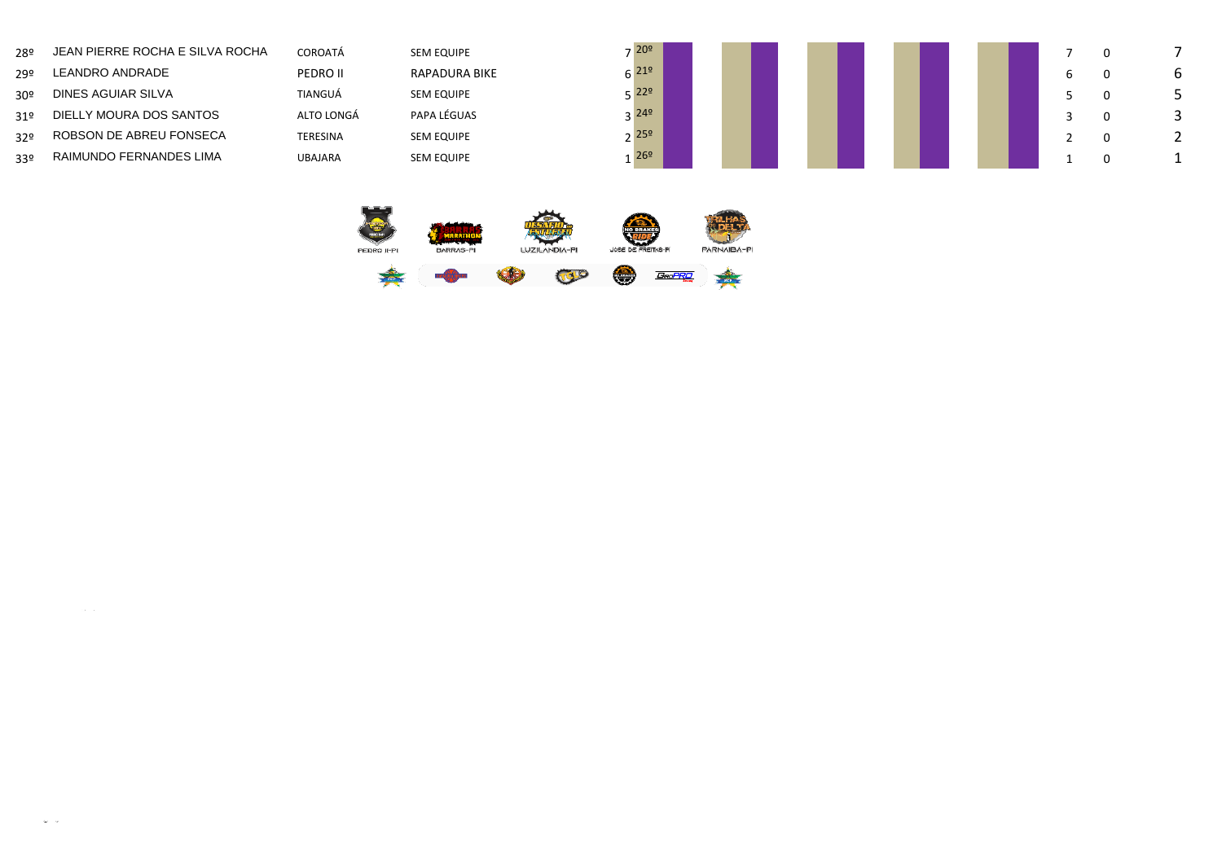| 28º             | JEAN PIERRE ROCHA E SILVA ROCHA | <b>COROATÁ</b>  | <b>SEM EQUIPE</b>    | $7^{209}$                  |  |  |  |  |  |  |
|-----------------|---------------------------------|-----------------|----------------------|----------------------------|--|--|--|--|--|--|
| 29º             | LEANDRO ANDRADE                 | PEDRO II        | <b>RAPADURA BIKE</b> | $\epsilon$ 21 <sup>o</sup> |  |  |  |  |  |  |
| 30 <sup>°</sup> | DINES AGUIAR SILVA              | TIANGUÁ         | <b>SEM EQUIPE</b>    | $\sqrt{229}$               |  |  |  |  |  |  |
| 319             | DIELLY MOURA DOS SANTOS         | ALTO LONGÁ      | PAPA LÉGUAS          | 2 249                      |  |  |  |  |  |  |
| 329             | ROBSON DE ABREU FONSECA         | <b>TERESINA</b> | <b>SEM EQUIPE</b>    | 25 <sup>°</sup>            |  |  |  |  |  |  |
| 33 <sup>o</sup> | RAIMUNDO FERNANDES LIMA         | <b>UBAJARA</b>  | <b>SEM EQUIPE</b>    | 26 <sup>°</sup>            |  |  |  |  |  |  |



 $\Delta \sim 10^{-1}$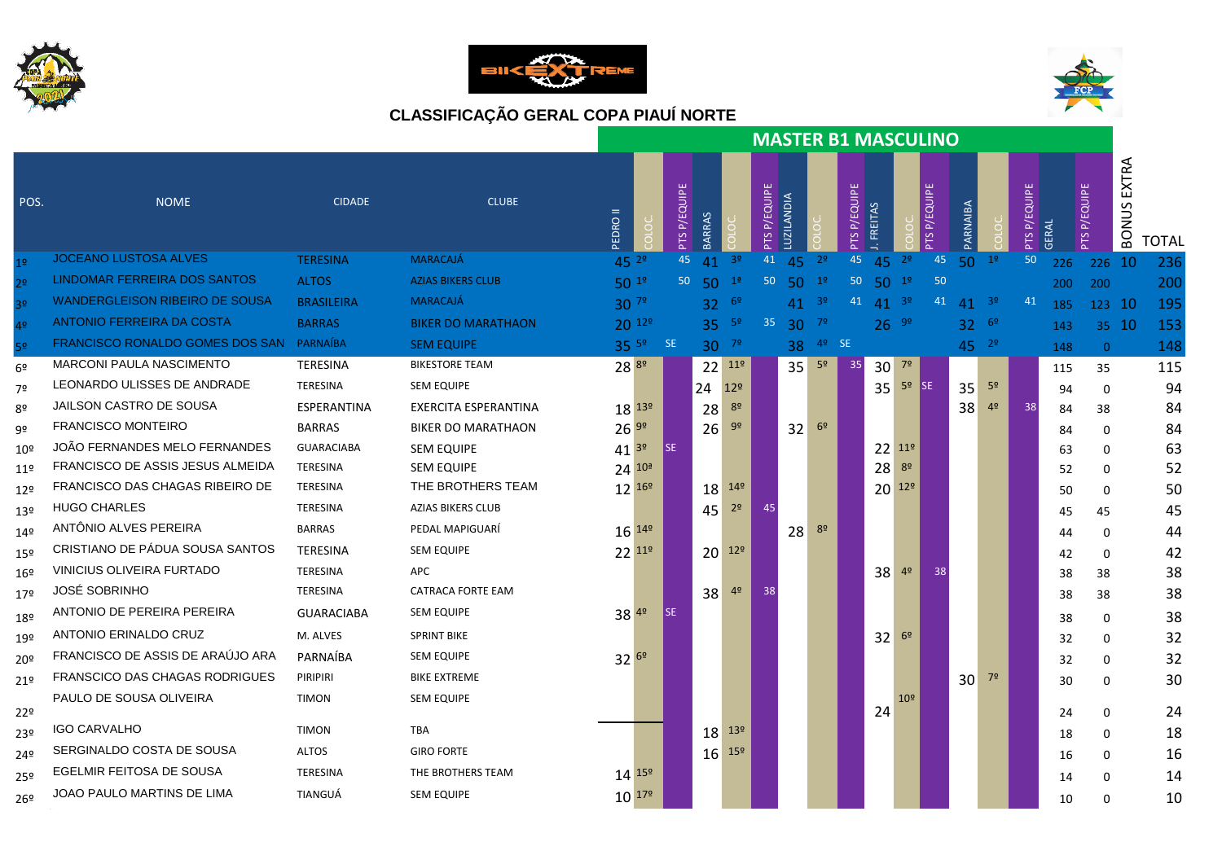





|                 |                                          |                   |                           |                    |              |                    |                  |                 |                    |                  |                |             |                   |                 | <b>MASTER B1 MASCULINO</b> |           |                |                    |       |                 |                       |              |
|-----------------|------------------------------------------|-------------------|---------------------------|--------------------|--------------|--------------------|------------------|-----------------|--------------------|------------------|----------------|-------------|-------------------|-----------------|----------------------------|-----------|----------------|--------------------|-------|-----------------|-----------------------|--------------|
| POS.            | <b>NOME</b>                              | <b>CIDADE</b>     | <b>CLUBE</b>              | <b>II ORDI</b>     |              | <b>PTSP/EQUIPE</b> | BARRAS           |                 | <b>PTSP/EQUIPE</b> | <b>UZILANDIA</b> |                | TS P/EQUIPE | <b>FREITAS</b>    |                 | <b>P/EQUPE</b>             | PARNAIBA  |                | <b>PTSP/EQUIPE</b> | GERAL | <b>PYEQUIPE</b> | EXTRA<br><b>BONUS</b> | <b>TOTAL</b> |
| 19              | JOCEANO LUSTOSA ALVES                    | <b>TERESINA</b>   | <b>MARACAJÁ</b>           | 45 $2^{\circ}$     |              | 45                 | 41               | 3 <sup>o</sup>  | 41                 | 45               | 2 <sup>o</sup> | 45          | 45                | 2 <sup>o</sup>  | 45                         | $50^{10}$ |                | 50                 | 226   | 226 10          |                       | 236          |
| 72              | LINDOMAR FERREIRA DOS SANTOS             | <b>ALTOS</b>      | <b>AZIAS BIKERS CLUB</b>  | $50^{19}$          |              |                    | 50 <sub>50</sub> | 1 <sup>a</sup>  | 50 <sub>1</sub>    | 50               | 1 <sup>°</sup> | 50          | $50^{19}$         |                 | 50                         |           |                |                    | 200   | 200             |                       | 200          |
| 32              | <b>WANDERGLEISON RIBEIRO DE SOUSA</b>    | <b>BRASILEIRA</b> | <b>MARACAJÁ</b>           | $30^{79}$          |              |                    | $32^{69}$        |                 |                    | 41               | -3º            |             | 41 41 $3^{\circ}$ |                 | 41                         | 41        | 3 <sup>o</sup> | 41                 | 185   | 123 10          |                       | 195          |
| 4 <sup>°</sup>  | ANTONIO FERREIRA DA COSTA                | <b>BARRAS</b>     | <b>BIKER DO MARATHAON</b> | $20^{129}$         |              |                    | $35-59$          |                 | 35                 |                  | $30^{79}$      |             | $26^{99}$         |                 |                            | $32^{69}$ |                |                    | 143   | 35 10           |                       | 153          |
| 5 <sup>o</sup>  | FRANCISCO RONALDO GOMES DOS SAN PARNAÍBA |                   | <b>SEM EQUIPE</b>         |                    | $35^{59}$ SE |                    | $30^{79}$        |                 |                    | 38               | 4 <sup>o</sup> | SE          |                   |                 |                            | $45^{29}$ |                |                    | 148   | $\overline{0}$  |                       | 148          |
| 6 <sup>°</sup>  | MARCONI PAULA NASCIMENTO                 | TERESINA          | <b>BIKESTORE TEAM</b>     | $28^{89}$          |              |                    |                  | $22^{119}$      |                    | 35               | 5 <sup>o</sup> | 35          | $30^{79}$         |                 |                            |           |                |                    | 115   | 35              |                       | 115          |
| 7º              | LEONARDO ULISSES DE ANDRADE              | TERESINA          | <b>SEM EQUIPE</b>         |                    |              |                    | 24               | 12 <sup>°</sup> |                    |                  |                |             |                   | $35^{59}$ SE    |                            | 35        | 5 <sup>o</sup> |                    | 94    | 0               |                       | 94           |
| 8º              | JAILSON CASTRO DE SOUSA                  | ESPERANTINA       | EXERCITA ESPERANTINA      | $18^{139}$         |              |                    | 28               | 8 <sup>o</sup>  |                    |                  |                |             |                   |                 |                            | 38        | 4 <sup>o</sup> | 38                 | 84    | 38              |                       | 84           |
| 9º              | <b>FRANCISCO MONTEIRO</b>                | <b>BARRAS</b>     | <b>BIKER DO MARATHAON</b> | $26^{99}$          |              |                    | 26               | 9 <sup>o</sup>  |                    | 32               | 6 <sup>9</sup> |             |                   |                 |                            |           |                |                    | 84    | 0               |                       | 84           |
| 10 <sup>°</sup> | JOÃO FERNANDES MELO FERNANDES            | <b>GUARACIABA</b> | <b>SEM EQUIPE</b>         | $41^{39}$          |              | SE                 |                  |                 |                    |                  |                |             |                   | 22 119          |                            |           |                |                    | 63    | 0               |                       | 63           |
| 11 <sup>°</sup> | FRANCISCO DE ASSIS JESUS ALMEIDA         | TERESINA          | <b>SEM EQUIPE</b>         | $24^{104}$         |              |                    |                  |                 |                    |                  |                |             | 28                | 8 <sup>o</sup>  |                            |           |                |                    | 52    | $\mathbf 0$     |                       | 52           |
| $12^{\circ}$    | FRANCISCO DAS CHAGAS RIBEIRO DE          | TERESINA          | THE BROTHERS TEAM         | $12^{169}$         |              |                    | 18               | 14 <sup>°</sup> |                    |                  |                |             |                   | $20^{129}$      |                            |           |                |                    | 50    | 0               |                       | 50           |
| 13 <sup>°</sup> | <b>HUGO CHARLES</b>                      | TERESINA          | AZIAS BIKERS CLUB         |                    |              |                    | 45               | 2 <sup>o</sup>  |                    |                  |                |             |                   |                 |                            |           |                |                    | 45    | 45              |                       | 45           |
| 149             | ANTÔNIO ALVES PEREIRA                    | <b>BARRAS</b>     | PEDAL MAPIGUARÍ           | 16 14 <sup>9</sup> |              |                    |                  |                 |                    | 28               | 8 <sup>o</sup> |             |                   |                 |                            |           |                |                    | 44    | 0               |                       | 44           |
| 15 <sup>°</sup> | CRISTIANO DE PÁDUA SOUSA SANTOS          | TERESINA          | SEM EQUIPE                | 22 <sup>11°</sup>  |              |                    |                  | $20^{129}$      |                    |                  |                |             |                   |                 |                            |           |                |                    | 42    | 0               |                       | 42           |
| $16^{\circ}$    | VINICIUS OLIVEIRA FURTADO                | TERESINA          | <b>APC</b>                |                    |              |                    |                  |                 |                    |                  |                |             | 38                | 4 <sup>o</sup>  | 38                         |           |                |                    | 38    | 38              |                       | 38           |
| 17º             | <b>JOSÉ SOBRINHO</b>                     | TERESINA          | CATRACA FORTE EAM         |                    |              |                    | 38               | 4 <sup>o</sup>  | 38                 |                  |                |             |                   |                 |                            |           |                |                    | 38    | 38              |                       | 38           |
| 18º             | ANTONIO DE PEREIRA PEREIRA               | <b>GUARACIABA</b> | <b>SEM EQUIPE</b>         | $38^{49}$          |              | l se               |                  |                 |                    |                  |                |             |                   |                 |                            |           |                |                    | 38    | 0               |                       | 38           |
| 19º             | ANTONIO ERINALDO CRUZ                    | M. ALVES          | <b>SPRINT BIKE</b>        |                    |              |                    |                  |                 |                    |                  |                |             | 32                | 6 <sup>9</sup>  |                            |           |                |                    | 32    | 0               |                       | 32           |
| 20 <sup>°</sup> | FRANCISCO DE ASSIS DE ARAUJO ARA         | PARNAÍBA          | <b>SEM EQUIPE</b>         | $32^{69}$          |              |                    |                  |                 |                    |                  |                |             |                   |                 |                            |           |                |                    | 32    | 0               |                       | 32           |
| 21 <sup>°</sup> | FRANSCICO DAS CHAGAS RODRIGUES           | PIRIPIRI          | <b>BIKE EXTREME</b>       |                    |              |                    |                  |                 |                    |                  |                |             |                   |                 |                            | 30        | 7 <sup>o</sup> |                    | 30    | 0               |                       | 30           |
|                 | PAULO DE SOUSA OLIVEIRA                  | <b>TIMON</b>      | <b>SEM EQUIPE</b>         |                    |              |                    |                  |                 |                    |                  |                |             |                   | 10 <sup>°</sup> |                            |           |                |                    |       |                 |                       |              |
| 22°             | <b>IGO CARVALHO</b>                      | <b>TIMON</b>      | <b>TBA</b>                |                    |              |                    |                  | $13°$           |                    |                  |                |             | 24                |                 |                            |           |                |                    | 24    | 0               |                       | 24           |
| 23º             | SERGINALDO COSTA DE SOUSA                |                   | <b>GIRO FORTE</b>         |                    |              |                    | 18               |                 |                    |                  |                |             |                   |                 |                            |           |                |                    | 18    | $\mathbf 0$     |                       | 18           |
| 24º             | EGELMIR FEITOSA DE SOUSA                 | <b>ALTOS</b>      |                           |                    |              |                    | 16               | 15 <sup>°</sup> |                    |                  |                |             |                   |                 |                            |           |                |                    | 16    | 0               |                       | 16           |
| 25º             |                                          | TERESINA          | THE BROTHERS TEAM         | $14^{159}$         |              |                    |                  |                 |                    |                  |                |             |                   |                 |                            |           |                |                    | 14    | 0               |                       | 14           |
| 26º             | JOAO PAULO MARTINS DE LIMA               | TIANGUÁ           | <b>SEM EQUIPE</b>         | $10^{179}$         |              |                    |                  |                 |                    |                  |                |             |                   |                 |                            |           |                |                    | 10    | 0               |                       | 10           |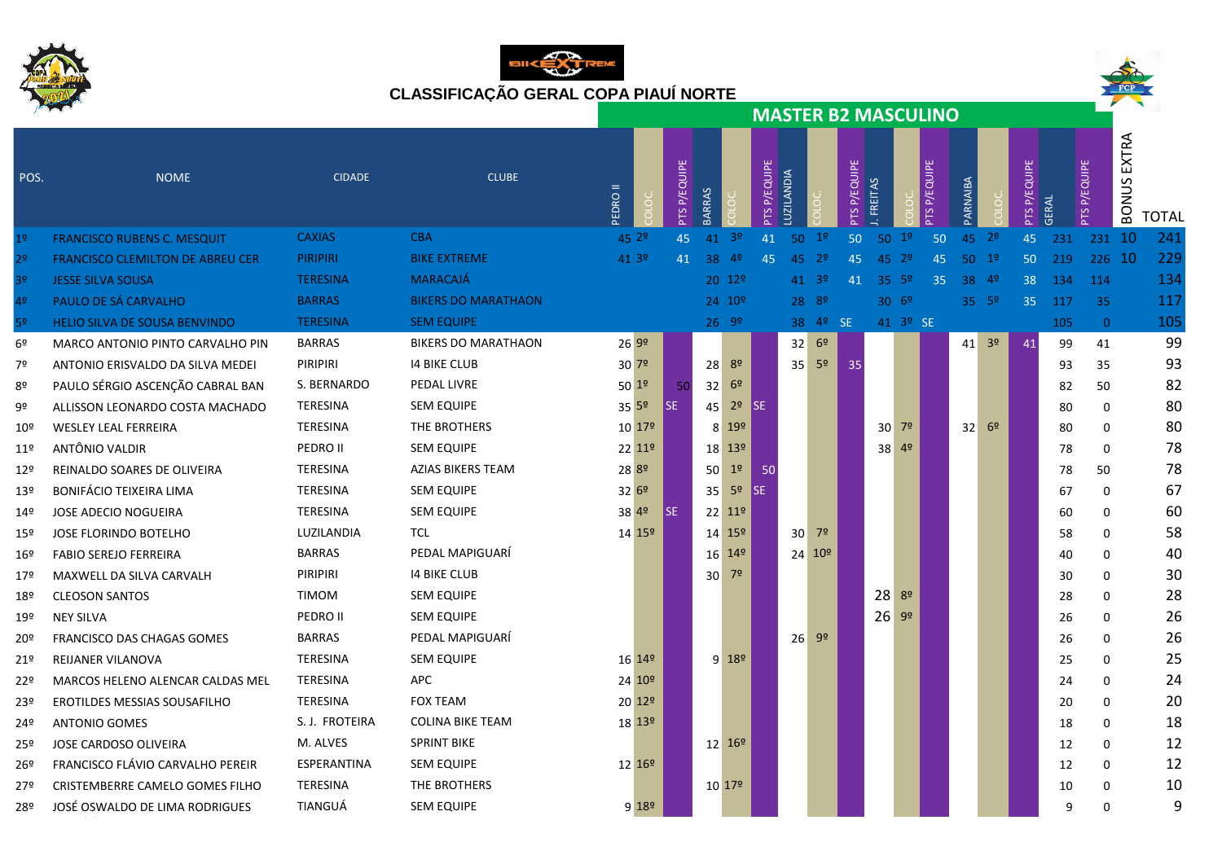







|                 |                                         |                 |                            |                    |            |              |                    |                  |              |                  |                            |                 |         |                      | <b>MASTER B2 MASCULINO</b> |                  |                      |                 |              |                 |                       |              |
|-----------------|-----------------------------------------|-----------------|----------------------------|--------------------|------------|--------------|--------------------|------------------|--------------|------------------|----------------------------|-----------------|---------|----------------------|----------------------------|------------------|----------------------|-----------------|--------------|-----------------|-----------------------|--------------|
| POS.            | <b>NOME</b>                             | <b>CIDADE</b>   | <b>CLUBE</b>               | <b>EDROI</b>       |            | PTS P/EQUIPE | BARRAS             |                  | PTS P/EQUIPE | LUZILANDIA       |                            | P/EQUIPE<br>PTS | FREITAS |                      | <b>PTS P/EQUIPE</b>        | PARNAIBA         |                      | P/EQUIPE<br>PTS | <b>GERAL</b> | P/EQUIPE<br>SLc | EXTRA<br><b>BONUS</b> | <b>TOTAL</b> |
| 1 <sup>o</sup>  | <b>FRANCISCO RUBENS C. MESQUIT</b>      | <b>CAXIAS</b>   | <b>CBA</b>                 | 45 2 <sup>o</sup>  |            | 45           | 41                 | 3 <sup>o</sup>   | 41           | 50               | 1 <sup>o</sup>             | 50              | 50      | 1 <sup>o</sup>       | 50                         | 45               | $-2^{\circ}$         | 45              | 231          | 231 10          |                       | 241          |
| 2º              | <b>FRANCISCO CLEMILTON DE ABREU CER</b> | <b>PIRIPIRI</b> | <b>BIKE EXTREME</b>        | 41 3º              |            | 41           | 38                 | 4 <sup>o</sup>   | 45           | 45               | 2 <sup>o</sup>             | 45              |         | $45 \t29$            | 45                         | $50^{19}$        |                      | 50              | 219          | 226 10          |                       | 229          |
| 3 <sup>o</sup>  | <b>JESSE SILVA SOUSA</b>                | <b>TERESINA</b> | MARACAJÁ                   |                    |            |              | 20 12 <sup>o</sup> |                  |              |                  | $41^{9}$                   | 41              |         | $35^{6}$             | 35                         | 38 49            |                      | 38              | 134          | 114             |                       | 134          |
| 4 <sup>°</sup>  | PAULO DE SÁ CARVALHO                    | <b>BARRAS</b>   | <b>BIKERS DO MARATHAON</b> |                    |            |              | 24 10 <sup>o</sup> |                  |              | $28^{89}$        |                            |                 |         | 30.69                |                            | $35 - 5^{\circ}$ |                      | 35              | 117          | 35              |                       | 117          |
| 5º              | <b>HELIO SILVA DE SOUSA BENVINDO</b>    | <b>TERESINA</b> | <b>SEM EQUIPE</b>          |                    |            |              | $26 - 99$          |                  |              |                  | 38 4 <sup>o</sup> SE       |                 |         | 41 3 <sup>o</sup> SE |                            |                  |                      |                 | 105          | $\overline{0}$  |                       | 105          |
| 6º              | MARCO ANTONIO PINTO CARVALHO PIN        | <b>BARRAS</b>   | <b>BIKERS DO MARATHAON</b> | 26 9º              |            |              |                    |                  |              | 32 69            |                            |                 |         |                      |                            |                  | $41 \quad 3^{\circ}$ | 41              | 99           | 41              |                       | 99           |
| 7º              | ANTONIO ERISVALDO DA SILVA MEDEI        | <b>PIRIPIRI</b> | <b>14 BIKE CLUB</b>        | 30 <sup>72</sup>   |            |              | 28                 | 8 <sup>o</sup>   |              | $35 - 5^{\circ}$ |                            | 35              |         |                      |                            |                  |                      |                 | 93           | 35              |                       | 93           |
| 8º              | PAULO SÉRGIO ASCENÇÃO CABRAL BAN        | S. BERNARDO     | PEDAL LIVRE                | 501 <sup>°</sup>   |            | -50          | 32                 | 6 <sup>9</sup>   |              |                  |                            |                 |         |                      |                            |                  |                      |                 | 82           | 50              |                       | 82           |
| 9º              | ALLISSON LEONARDO COSTA MACHADO         | <b>TERESINA</b> | <b>SEM EQUIPE</b>          | $35\,5^{\circ}$    | <b>SE</b>  |              | 45                 | 2 <sup>o</sup>   | <b>ISE</b>   |                  |                            |                 |         |                      |                            |                  |                      |                 | 80           | $\mathbf 0$     |                       | 80           |
| 10 <sup>°</sup> | <b>WESLEY LEAL FERREIRA</b>             | TERESINA        | THE BROTHERS               | 10 179             |            |              |                    | 8 192            |              |                  |                            |                 |         | $30^{79}$            |                            | 32               | 6 <sup>°</sup>       |                 | 80           | $\mathbf 0$     |                       | 80           |
| 11 <sup>°</sup> | ANTÔNIO VALDIR                          | PEDRO II        | <b>SEM EQUIPE</b>          | 22 11º             |            |              | $18^{139}$         |                  |              |                  |                            |                 |         | $38^{49}$            |                            |                  |                      |                 | 78           | $\mathbf 0$     |                       | 78           |
| 12º             | REINALDO SOARES DE OLIVEIRA             | TERESINA        | AZIAS BIKERS TEAM          | 28 <sup>8º</sup>   |            |              | 50 <sub>1</sub>    | 1 <sup>o</sup>   | 50           |                  |                            |                 |         |                      |                            |                  |                      |                 | 78           | 50              |                       | 78           |
| 13º             | <b>BONIFÁCIO TEIXEIRA LIMA</b>          | TERESINA        | <b>SEM EQUIPE</b>          | 3269               |            |              | 35                 | 5 <sup>o</sup>   | SE.          |                  |                            |                 |         |                      |                            |                  |                      |                 | 67           | 0               |                       | 67           |
| 14º             | JOSE ADECIO NOGUEIRA                    | TERESINA        | <b>SEM EQUIPE</b>          | 38 49              | <b>ISE</b> |              | 22 11º             |                  |              |                  |                            |                 |         |                      |                            |                  |                      |                 | 60           | $\mathbf 0$     |                       | 60           |
| 15º             | <b>JOSE FLORINDO BOTELHO</b>            | LUZILANDIA      | <b>TCL</b>                 | 14 15 <sup>o</sup> |            |              | 14 15 <sup>o</sup> |                  |              | $30^{72}$        |                            |                 |         |                      |                            |                  |                      |                 | 58           | $\mathbf 0$     |                       | 58           |
| 16º             | <b>FABIO SEREJO FERREIRA</b>            | <b>BARRAS</b>   | PEDAL MAPIGUARÍ            |                    |            |              | 16 14 <sup>o</sup> |                  |              |                  | $24 \overline{10^{\circ}}$ |                 |         |                      |                            |                  |                      |                 | 40           | $\Omega$        |                       | 40           |
| 179             | MAXWELL DA SILVA CARVALH                | PIRIPIRI        | <b>14 BIKE CLUB</b>        |                    |            |              | $30 - 79$          |                  |              |                  |                            |                 |         |                      |                            |                  |                      |                 | 30           | 0               |                       | 30           |
| 18º             | <b>CLEOSON SANTOS</b>                   | <b>TIMOM</b>    | <b>SEM EQUIPE</b>          |                    |            |              |                    |                  |              |                  |                            |                 | 28 8°   |                      |                            |                  |                      |                 | 28           | $\Omega$        |                       | 28           |
| 19º             | <b>NEY SILVA</b>                        | PEDRO II        | <b>SEM EQUIPE</b>          |                    |            |              |                    |                  |              |                  |                            |                 | 26 99   |                      |                            |                  |                      |                 | 26           | $\mathbf 0$     |                       | 26           |
| 20º             | <b>FRANCISCO DAS CHAGAS GOMES</b>       | <b>BARRAS</b>   | PEDAL MAPIGUARÍ            |                    |            |              |                    |                  |              | $26 - 99$        |                            |                 |         |                      |                            |                  |                      |                 | 26           | $\Omega$        |                       | 26           |
| 21º             | REIJANER VILANOVA                       | TERESINA        | <b>SEM EQUIPE</b>          | 16 14 <sup>o</sup> |            |              |                    | $9 \ 18^{\circ}$ |              |                  |                            |                 |         |                      |                            |                  |                      |                 | 25           | 0               |                       | 25           |
| 22º             | MARCOS HELENO ALENCAR CALDAS MEL        | TERESINA        | <b>APC</b>                 | 24 10 <sup>o</sup> |            |              |                    |                  |              |                  |                            |                 |         |                      |                            |                  |                      |                 | 24           | $\Omega$        |                       | 24           |
| 23º             | EROTILDES MESSIAS SOUSAFILHO            | <b>TERESINA</b> | <b>FOX TEAM</b>            | 20 12 <sup>o</sup> |            |              |                    |                  |              |                  |                            |                 |         |                      |                            |                  |                      |                 | 20           | 0               |                       | 20           |
| 24º             | <b>ANTONIO GOMES</b>                    | S. J. FROTEIRA  | <b>COLINA BIKE TEAM</b>    | 18 13 <sup>o</sup> |            |              |                    |                  |              |                  |                            |                 |         |                      |                            |                  |                      |                 | 18           | 0               |                       | 18           |
| 25º             | JOSE CARDOSO OLIVEIRA                   | M. ALVES        | <b>SPRINT BIKE</b>         |                    |            |              | 12 16 <sup>o</sup> |                  |              |                  |                            |                 |         |                      |                            |                  |                      |                 | 12           | $\mathbf 0$     |                       | 12           |
| 26º             | FRANCISCO FLÁVIO CARVALHO PEREIR        | ESPERANTINA     | <b>SEM EQUIPE</b>          | 12 16 <sup>o</sup> |            |              |                    |                  |              |                  |                            |                 |         |                      |                            |                  |                      |                 | 12           | $\Omega$        |                       | 12           |
| 27º             | CRISTEMBERRE CAMELO GOMES FILHO         | TERESINA        | THE BROTHERS               |                    |            |              | $10^{179}$         |                  |              |                  |                            |                 |         |                      |                            |                  |                      |                 | 10           | $\Omega$        |                       | 10           |
| 28º             | JOSÉ OSWALDO DE LIMA RODRIGUES          | TIANGUÁ         | <b>SEM EQUIPE</b>          | $9 18^{\circ} $    |            |              |                    |                  |              |                  |                            |                 |         |                      |                            |                  |                      |                 | q            | $\Omega$        |                       | 9            |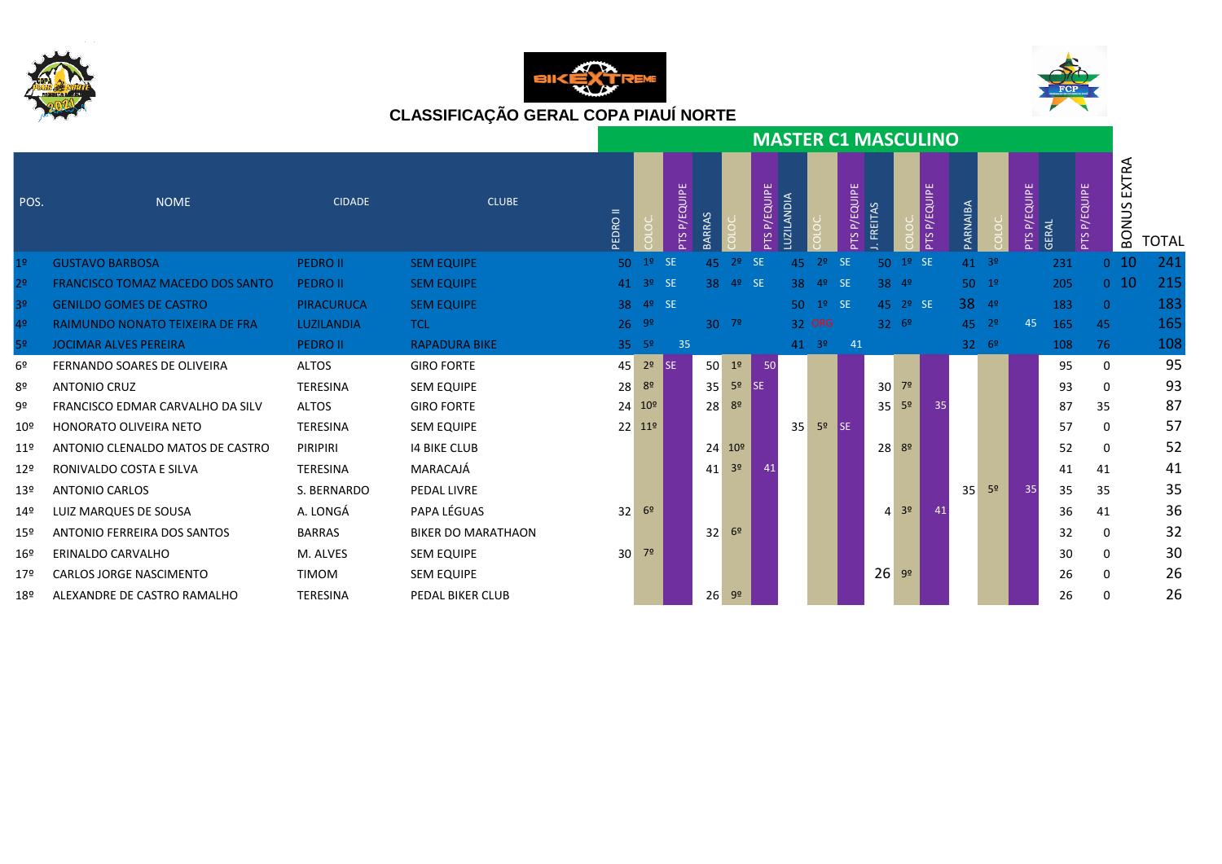





|                 |                                         |                   |                           |                 |                         |                 |               |                 |              |                 |                |              | <b>MASTER C1 MASCULINO</b> |                |              |                  |                |          |       |                 |                     |              |
|-----------------|-----------------------------------------|-------------------|---------------------------|-----------------|-------------------------|-----------------|---------------|-----------------|--------------|-----------------|----------------|--------------|----------------------------|----------------|--------------|------------------|----------------|----------|-------|-----------------|---------------------|--------------|
| POS.            | <b>NOME</b>                             | <b>CIDADE</b>     | <b>CLUBE</b>              | PEDRO II        |                         | P/EQUIPE<br>PTS | <b>BARRAS</b> |                 | PTS P/EQUIPE | LUZILANDIA      |                | PTS P/EQUIPE | <b>FREITAS</b>             |                | PTS P/EQUIPE | <b>PARNAIBA</b>  |                | P/EQUIPE | GERAL | P/EQUIPE<br>PTS | EXTRA<br>S<br>BONU' | <b>TOTAL</b> |
| 1 <sup>o</sup>  | <b>GUSTAVO BARBOSA</b>                  | <b>PEDRO II</b>   | <b>SEM EQUIPE</b>         | 50 <sub>1</sub> | $12$ SE                 |                 | 45            | 2 <sup>o</sup>  | <b>SE</b>    | 45              | 2 <sup>o</sup> | <b>SE</b>    | 50                         | 1 <sup>o</sup> | <b>SE</b>    | 41 3º            |                |          | 231   | 0 <sub>10</sub> |                     | 241          |
| 2 <sup>o</sup>  | <b>FRANCISCO TOMAZ MACEDO DOS SANTO</b> | <b>PEDRO II</b>   | <b>SEM EQUIPE</b>         |                 | $41 \quad 3^{\circ}$ SE |                 |               | $38 - 49$       | SE           | 38 <sup>°</sup> | 49             | <b>SE</b>    | 38 4º                      |                |              | $50 - 19$        |                |          | 205   | 0 <sub>10</sub> |                     | 215          |
| 3 <sup>o</sup>  | <b>GENILDO GOMES DE CASTRO</b>          | <b>PIRACURUCA</b> | <b>SEM EQUIPE</b>         | 38              | $49$ SE                 |                 |               |                 |              |                 | $50^{19}$      | SE           |                            | $45 \t29 \tSE$ |              | 38 49            |                |          | 183   | $\Omega$        |                     | 183          |
| 4º              | RAIMUNDO NONATO TEIXEIRA DE FRA         | LUZILANDIA        | <b>TCL</b>                |                 | $26 - 99$               |                 | $30^{72}$     |                 |              |                 | 32 ORG         |              | $32^{69}$                  |                |              | $45 \t29$        |                | 45       | 165   | 45              |                     | 165          |
| 5º              | <b>JOCIMAR ALVES PEREIRA</b>            | <b>PEDRO II</b>   | <b>RAPADURA BIKE</b>      |                 | $35 - 5^{\circ}$        | 35              |               |                 |              |                 | $41 \t39$      | 41           |                            |                |              | $32 - 6^{\circ}$ |                |          | 108   | 76              |                     | 108          |
| 6º              | FERNANDO SOARES DE OLIVEIRA             | <b>ALTOS</b>      | <b>GIRO FORTE</b>         | 45              | 2 <sup>o</sup>          | <b>ISE</b>      | 50            | 1 <sup>0</sup>  | 50           |                 |                |              |                            |                |              |                  |                |          | 95    | $\Omega$        |                     | 95           |
| 8º              | <b>ANTONIO CRUZ</b>                     | <b>TERESINA</b>   | <b>SEM EQUIPE</b>         | 28              | 8 <sup>o</sup>          |                 | 35            | 5 <sup>o</sup>  | <b>I</b> SE  |                 |                |              | 30                         | 7 <sup>o</sup> |              |                  |                |          | 93    | 0               |                     | 93           |
| 9º              | FRANCISCO EDMAR CARVALHO DA SILV        | <b>ALTOS</b>      | <b>GIRO FORTE</b>         |                 | $24 - 10^{\circ}$       |                 | 28            | 8 <sup>o</sup>  |              |                 |                |              | 35                         | 5 <sup>o</sup> | 35           |                  |                |          | 87    | 35              |                     | 87           |
| 10º             | <b>HONORATO OLIVEIRA NETO</b>           | <b>TERESINA</b>   | <b>SEM EQUIPE</b>         |                 | $22 \quad 11^{\circ}$   |                 |               |                 |              | 35              | 5 <sup>o</sup> | <b>SE</b>    |                            |                |              |                  |                |          | 57    | 0               |                     | 57           |
| 11 <sup>°</sup> | ANTONIO CLENALDO MATOS DE CASTRO        | PIRIPIRI          | <b>14 BIKE CLUB</b>       |                 |                         |                 | 24            | 10 <sup>°</sup> |              |                 |                |              | $28^{89}$                  |                |              |                  |                |          | 52    | 0               |                     | 52           |
| 12º             | RONIVALDO COSTA E SILVA                 | <b>TERESINA</b>   | MARACAJÁ                  |                 |                         |                 | 41            | 3 <sup>o</sup>  |              |                 |                |              |                            |                |              |                  |                |          | 41    | 41              |                     | 41           |
| 13º             | <b>ANTONIO CARLOS</b>                   | S. BERNARDO       | PEDAL LIVRE               |                 |                         |                 |               |                 |              |                 |                |              |                            |                |              | 35               | 5 <sup>o</sup> | 35       | 35    | 35              |                     | 35           |
| 14º             | LUIZ MARQUES DE SOUSA                   | A. LONGÁ          | PAPA LÉGUAS               | 32 <sup>1</sup> | 6 <sup>2</sup>          |                 |               |                 |              |                 |                |              | $\mathbf{4}$               | 3 <sup>o</sup> | 41           |                  |                |          | 36    | 41              |                     | 36           |
| 15º             | ANTONIO FERREIRA DOS SANTOS             | <b>BARRAS</b>     | <b>BIKER DO MARATHAON</b> |                 |                         |                 | 32            | 6 <sup>2</sup>  |              |                 |                |              |                            |                |              |                  |                |          | 32    | 0               |                     | 32           |
| 16º             | ERINALDO CARVALHO                       | M. ALVES          | <b>SEM EQUIPE</b>         | 30 <sup>1</sup> | 7º                      |                 |               |                 |              |                 |                |              |                            |                |              |                  |                |          | 30    | 0               |                     | 30           |
| 17 <sup>°</sup> | <b>CARLOS JORGE NASCIMENTO</b>          | <b>TIMOM</b>      | <b>SEM EQUIPE</b>         |                 |                         |                 |               |                 |              |                 |                |              | 26                         | 9 <sup>o</sup> |              |                  |                |          | 26    | 0               |                     | 26           |
| 18º             | ALEXANDRE DE CASTRO RAMALHO             | TERESINA          | PEDAL BIKER CLUB          |                 |                         |                 | 26            | 9 <sup>o</sup>  |              |                 |                |              |                            |                |              |                  |                |          | 26    | 0               |                     | 26           |
|                 |                                         |                   |                           |                 |                         |                 |               |                 |              |                 |                |              |                            |                |              |                  |                |          |       |                 |                     |              |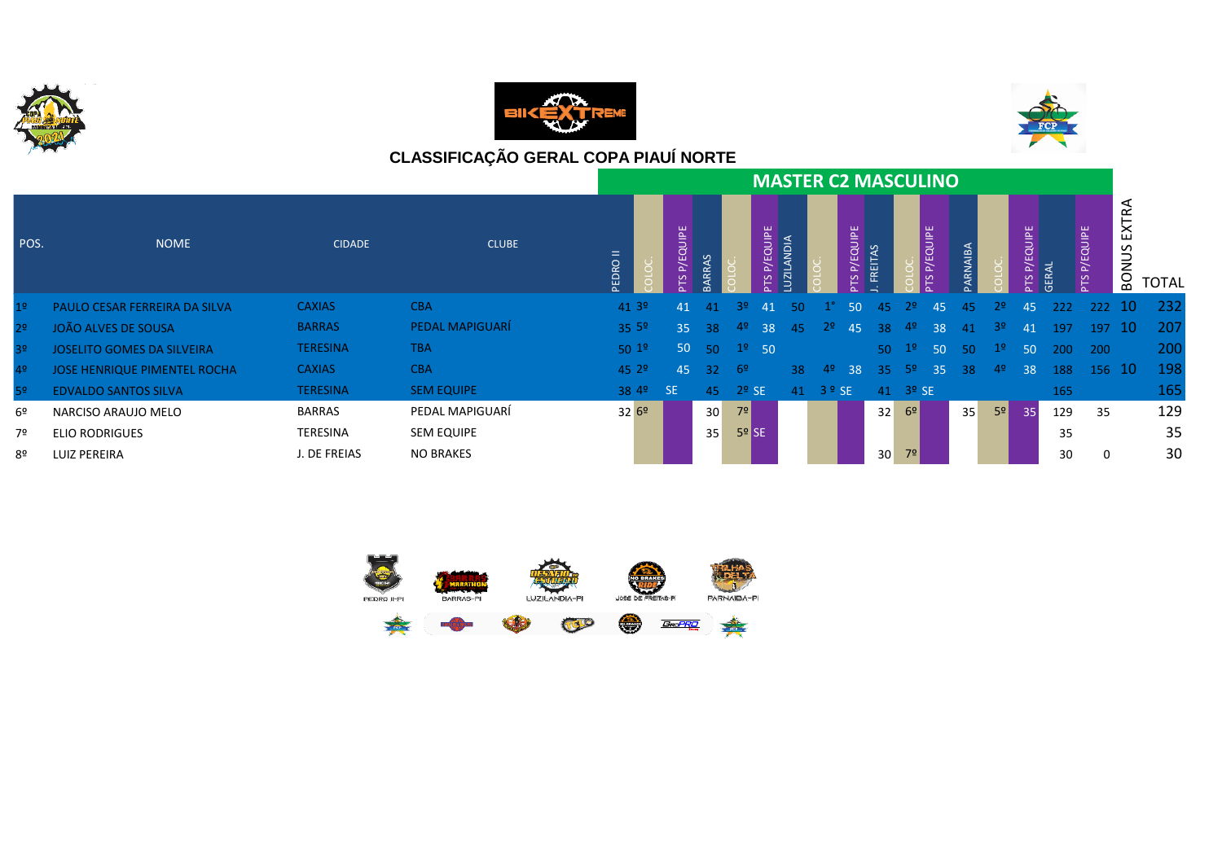





|                |                                     |                 |                   |                      |                  |                 |                   |                        |                            | <b>MASTER C2 MASCULINO</b> |               |                 |                         |              |         |                |                 |       |               |                                       |       |
|----------------|-------------------------------------|-----------------|-------------------|----------------------|------------------|-----------------|-------------------|------------------------|----------------------------|----------------------------|---------------|-----------------|-------------------------|--------------|---------|----------------|-----------------|-------|---------------|---------------------------------------|-------|
| POS.           | <b>NOME</b>                         | <b>CIDADE</b>   | <b>CLUBE</b>      | PEDRO II             | QUIPE<br>رس<br>ല |                 |                   | <b>P/EQUIPE</b><br>PTS | <b>AION</b><br><b>UZIL</b> |                            | P/EQUIPE<br>٣ | <b>FREITAS</b>  |                         | QUIPE<br>P/E | ARNAIBA |                | P/EQUIPE<br>٣   | GERAL | P/EQUIPE<br>٣ | $\blacksquare$<br>S<br>z<br><b>BO</b> | TOTAL |
| 1 <sup>o</sup> | PAULO CESAR FERREIRA DA SILVA       | <b>CAXIAS</b>   | <b>CBA</b>        | 41 3º                | 41               | 41              | 32.               | 41                     | 50.                        |                            | 50            | 45              | 22.                     | 45           | -45     | 2 <sup>0</sup> | 45              | 222   | 222 10        |                                       | 232   |
| 2 <sup>o</sup> | <b>JOÃO ALVES DE SOUSA</b>          | <b>BARRAS</b>   | PEDAL MAPIGUARÍ   | 35.5 <sup>°</sup>    | 35 <sub>1</sub>  | -38             | 4º                | 38                     | 45                         | 2º.                        | 45            | 38              | 4º                      | 38           | 41      | -3º            | 41              | 197   | $197$ 10      |                                       | -207  |
| 3 <sup>o</sup> | <b>JOSELITO GOMES DA SILVEIRA</b>   | <b>TERESINA</b> | <b>TBA</b>        | 501 <sup>°</sup>     | 50               | $-50$           | $12$ 50           |                        |                            |                            |               | 50 <sub>1</sub> | 1 <sup>o</sup>          | 50           | 50      | 1 <sup>°</sup> | -50             | 200   | 200           |                                       | 200   |
| 4 <sup>°</sup> | <b>JOSE HENRIQUE PIMENTEL ROCHA</b> | <b>CAXIAS</b>   | <b>CBA</b>        | 45.29                | 45               | 32 <sup>2</sup> | - 6º              |                        | 38                         | 4º                         | 38            | 35              | -52                     | 35           | 38      | 4 <sup>o</sup> | 38              | 188   | 156 10        |                                       | 198   |
| 52             | <b>EDVALDO SANTOS SILVA</b>         | <b>TERESINA</b> | <b>SEM EQUIPE</b> | 38 4 <sup>o</sup> SE |                  | 45              | $2o$ SE           |                        | 41                         | $3°$ SE                    |               |                 | $41 \quad 3^{\circ}$ SE |              |         |                |                 | 165   |               |                                       | 165   |
| 6º             | NARCISO ARAUJO MELO                 | <b>BARRAS</b>   | PEDAL MAPIGUARÍ   | 3269                 |                  | 30 <sup>°</sup> | 7 <sup>°</sup>    |                        |                            |                            |               | 32              | 6 <sup>9</sup>          |              | 35      | 5 <sup>o</sup> | 35 <sup>1</sup> | 129   | 35            |                                       | 129   |
| 7º             | <b>ELIO RODRIGUES</b>               | TERESINA        | <b>SEM EQUIPE</b> |                      |                  | 35 <sup>1</sup> | 5 <sup>9</sup> SE |                        |                            |                            |               |                 |                         |              |         |                |                 | 35    |               |                                       | 35    |
| 8º             | LUIZ PEREIRA                        | . DE FREIAS     | <b>NO BRAKES</b>  |                      |                  |                 |                   |                        |                            |                            |               | 30 <sup>1</sup> | 7 <sup>o</sup>          |              |         |                |                 | 30    | 0             |                                       | 30    |

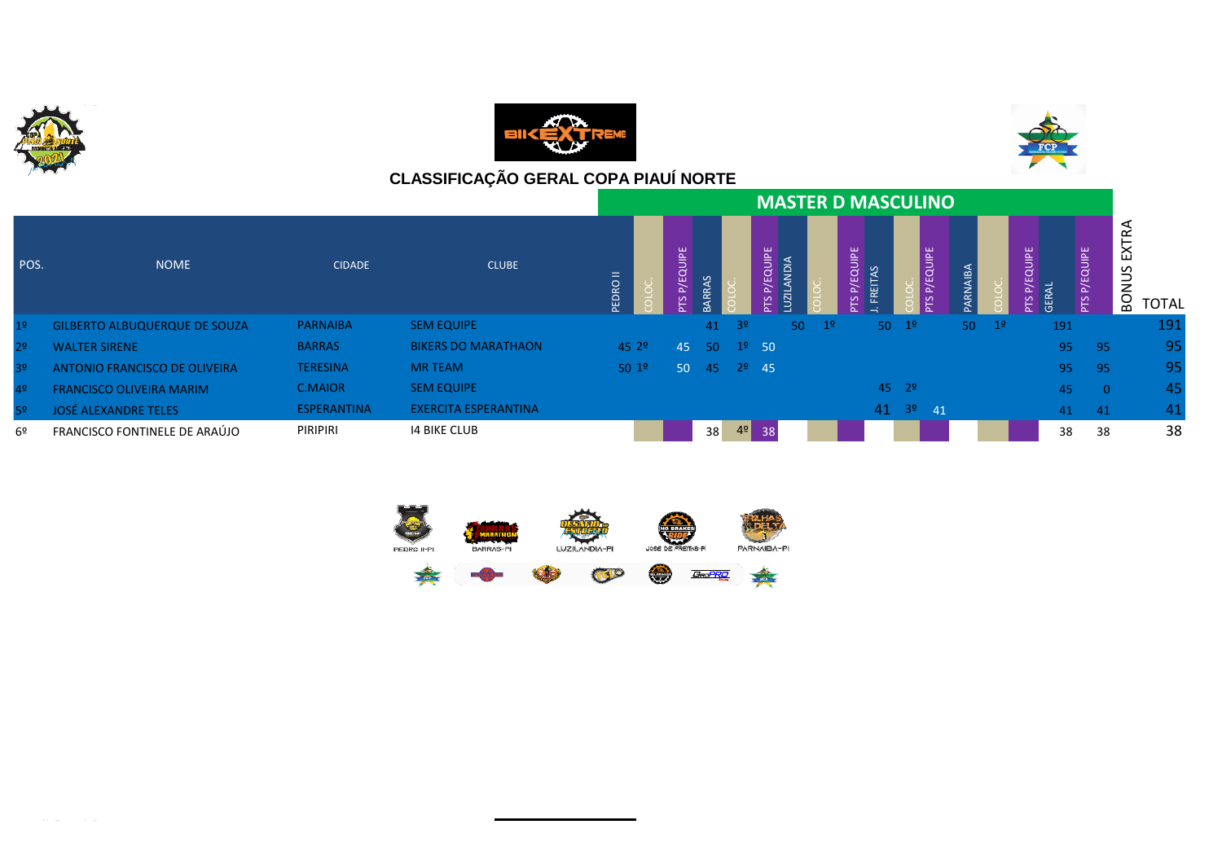

 $\mathcal{L}^{\text{max}}$ 





|                |                                      |                    |                             |                  |                 |    |                |                 |                         |                | <b>MASTER D MASCULINO</b> |                       |          |             |                      |                 |              |              |
|----------------|--------------------------------------|--------------------|-----------------------------|------------------|-----------------|----|----------------|-----------------|-------------------------|----------------|---------------------------|-----------------------|----------|-------------|----------------------|-----------------|--------------|--------------|
| POS.           | <b>NOME</b>                          | <b>CIDADE</b>      | <b>CLUBE</b>                | $=$<br>PEDRO     | EQUIPE          |    |                | P/EQUIPE<br>SLc | ANDI,<br>$\overline{5}$ |                | P/EQUIPE<br>FREITAS<br>rs |                       | P/EQUIPE | RNAIBA      | EQUIPE<br><b>GER</b> | P/EQUIPE<br>PTS | ய<br>z<br>BO | <b>TOTAL</b> |
| 1 <sup>o</sup> | <b>GILBERTO ALBUQUERQUE DE SOUZA</b> | <b>PARNAIBA</b>    | <b>SEM EQUIPE</b>           |                  |                 | 41 | 3 <sup>o</sup> |                 | 50 <sup>°</sup>         | 1 <sup>o</sup> |                           | $50 \t19$             |          | $50 \t 1^9$ | 191                  |                 |              | <u>191</u>   |
| 2 <sup>o</sup> | <b>WALTER SIRENE</b>                 | <b>BARRAS</b>      | <b>BIKERS DO MARATHAON</b>  | 45.29            | 45              | 50 |                | $1^{\circ}$ 50  |                         |                |                           |                       |          |             | 95                   | -95             |              | 95           |
| 3 <sup>o</sup> | ANTONIO FRANCISCO DE OLIVEIRA        | <b>TERESINA</b>    | <b>MR TEAM</b>              | 501 <sup>°</sup> | 50 <sub>1</sub> | 45 |                | $2^{\circ}$ 45  |                         |                |                           |                       |          |             | 95                   | - 95            |              | 95           |
| 4 <sup>o</sup> | <b>FRANCISCO OLIVEIRA MARIM</b>      | <b>C.MAIOR</b>     | <b>SEM EQUIPE</b>           |                  |                 |    |                |                 |                         |                |                           | $45 \t29$             |          |             | 45                   | $\overline{0}$  |              | 45           |
| 5 <sup>o</sup> | <b>JOSÉ ALEXANDRE TELES</b>          | <b>ESPERANTINA</b> | <b>EXERCITA ESPERANTINA</b> |                  |                 |    |                |                 |                         |                |                           | $41 \t3^{\circ} \t41$ |          |             | 41                   | -41             |              | 41           |
| 6º             | FRANCISCO FONTINELE DE ARAÚJO        | <b>PIRIPIRI</b>    | <b>14 BIKE CLUB</b>         |                  |                 | 38 | 4 <sup>°</sup> | 38              |                         |                |                           |                       |          |             | 38                   | 38              |              | 38           |



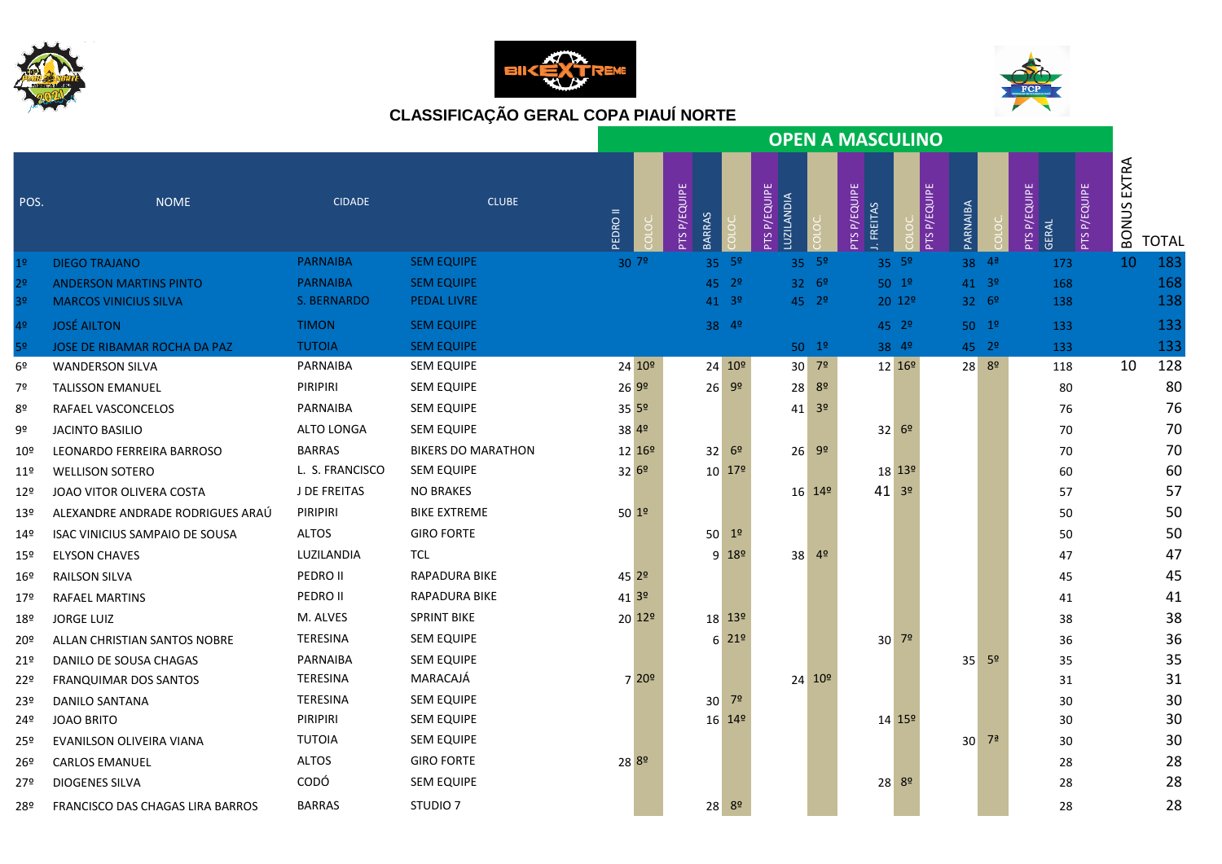





|                 |                                       |                 |                           | <b>OPEN A MASCULINO</b> |  |                               |                            |                            |                                  |                                      |                     |                 |                      |                                                   |             |              |
|-----------------|---------------------------------------|-----------------|---------------------------|-------------------------|--|-------------------------------|----------------------------|----------------------------|----------------------------------|--------------------------------------|---------------------|-----------------|----------------------|---------------------------------------------------|-------------|--------------|
| POS.            | <b>NOME</b>                           | <b>CIDADE</b>   | <b>CLUBE</b>              | <b>EDRO II</b>          |  | PTS P/EQUIPE<br><b>BARRAS</b> |                            | PTS P/EQUIPE<br>LUZILANDIA |                                  | <b>PTSP/EQUIPE</b><br><b>FREITAS</b> | <b>PTS P/EQUIPE</b> | PARNAIBA        |                      | <b>PTSP/EQUIPE</b><br><b>PTSP/EQUIPE</b><br>GERAL | BONUS EXTRA | <b>TOTAL</b> |
| 1 <sup>°</sup>  | <b>DIEGO TRAJANO</b>                  | <b>PARNAIBA</b> | <b>SEM EQUIPE</b>         | 307 <sup>°</sup>        |  |                               | $35 - 5^{\circ}$           |                            | $35 - 5^{\circ}$                 |                                      | $35 - 5^{\circ}$    |                 | $38 - 49$            | 173                                               | 10          | 183          |
| 2 <sup>o</sup>  | <b>ANDERSON MARTINS PINTO</b>         | <b>PARNAIBA</b> | <b>SEM EQUIPE</b>         |                         |  |                               | $45 \t29$                  |                            | $32^{69}$                        |                                      | $50^{19}$           |                 | $41 \quad 3^{\circ}$ | 168                                               |             | 168          |
| 3º              | <b>MARCOS VINICIUS SILVA</b>          | S. BERNARDO     | <b>PEDAL LIVRE</b>        |                         |  |                               | $41 \quad 3^{\circ}$       |                            | $45 \t29$                        |                                      | $20 \frac{129}{ }$  |                 | $32 \quad 6^{\circ}$ | 138                                               |             | 138          |
| 4º              | <b>JOSÉ AILTON</b>                    | <b>TIMON</b>    | <b>SEM EQUIPE</b>         |                         |  |                               | $38^{49}$                  |                            |                                  |                                      | $45 \t29$           |                 | $50^{19}$            | 133                                               |             | 133          |
| 5 <sup>o</sup>  | JOSE DE RIBAMAR ROCHA DA PAZ          | <b>TUTOIA</b>   | <b>SEM EQUIPE</b>         |                         |  |                               |                            |                            | $50^{19}$                        |                                      | $38^{49}$           |                 | $45 - 29$            | 133                                               |             | 133          |
| 6º              | <b>WANDERSON SILVA</b>                | PARNAIBA        | <b>SEM EQUIPE</b>         | 24 10 <sup>o</sup>      |  |                               | $24 \overline{10^{\circ}}$ |                            | $30$ 7 <sup>2</sup>              |                                      | 12 16 <sup>o</sup>  |                 | $28^{89}$            | 118                                               | 10          | 128          |
| 7º              | <b>TALISSON EMANUEL</b>               | PIRIPIRI        | <b>SEM EQUIPE</b>         | 269°                    |  | $26 - 99$                     |                            |                            | 28 8º                            |                                      |                     |                 |                      | 80                                                |             | 80           |
| 8º              | RAFAEL VASCONCELOS                    | PARNAIBA        | <b>SEM EQUIPE</b>         | $35^{59}$               |  |                               |                            |                            | $41 \overline{\smash)3^{\circ}}$ |                                      |                     |                 |                      | 76                                                |             | 76           |
| 9º              | <b>JACINTO BASILIO</b>                | ALTO LONGA      | <b>SEM EQUIPE</b>         | 38 4º                   |  |                               |                            |                            |                                  |                                      | $32^{69}$           |                 |                      | 70                                                |             | 70           |
| 10º             | LEONARDO FERREIRA BARROSO             | <b>BARRAS</b>   | <b>BIKERS DO MARATHON</b> | 12 16 <sup>o</sup>      |  |                               | $32^{69}$                  |                            | $26 - 99$                        |                                      |                     |                 |                      | 70                                                |             | 70           |
| 11º             | <b>WELLISON SOTERO</b>                | L. S. FRANCISCO | <b>SEM EQUIPE</b>         | $32^{69}$               |  |                               | $10^{179}$                 |                            |                                  |                                      | $18^{139}$          |                 |                      | 60                                                |             | 60           |
| 12º             | JOAO VITOR OLIVERA COSTA              | J DE FREITAS    | <b>NO BRAKES</b>          |                         |  |                               |                            |                            | $16^{149}$                       | $41^{39}$                            |                     |                 |                      | 57                                                |             | 57           |
| 13 <sup>°</sup> | ALEXANDRE ANDRADE RODRIGUES ARAÚ      | PIRIPIRI        | <b>BIKE EXTREME</b>       | $50^{19}$               |  |                               |                            |                            |                                  |                                      |                     |                 |                      | 50                                                |             | 50           |
| 14º             | <b>ISAC VINICIUS SAMPAIO DE SOUSA</b> | <b>ALTOS</b>    | <b>GIRO FORTE</b>         |                         |  | $50^{12}$                     |                            |                            |                                  |                                      |                     |                 |                      | 50                                                |             | 50           |
| 15º             | <b>ELYSON CHAVES</b>                  | LUZILANDIA      | TCL                       |                         |  |                               | $9 18^{\circ}$             |                            | $38^{49}$                        |                                      |                     |                 |                      | 47                                                |             | 47           |
| 16º             | RAILSON SILVA                         | PEDRO II        | RAPADURA BIKE             | 45 2º                   |  |                               |                            |                            |                                  |                                      |                     |                 |                      | 45                                                |             | 45           |
| 17º             | <b>RAFAEL MARTINS</b>                 | PEDRO II        | <b>RAPADURA BIKE</b>      | 413°                    |  |                               |                            |                            |                                  |                                      |                     |                 |                      | 41                                                |             | 41           |
| 18º             | <b>JORGE LUIZ</b>                     | M. ALVES        | <b>SPRINT BIKE</b>        | $20 \, 12$ <sup>o</sup> |  |                               | 18 13 <sup>o</sup>         |                            |                                  |                                      |                     |                 |                      | 38                                                |             | 38           |
| 20º             | ALLAN CHRISTIAN SANTOS NOBRE          | TERESINA        | <b>SEM EQUIPE</b>         |                         |  |                               | $6^{219}$                  |                            |                                  |                                      | $30^{72}$           |                 |                      | 36                                                |             | 36           |
| 21 <sup>°</sup> | DANILO DE SOUSA CHAGAS                | PARNAIBA        | <b>SEM EQUIPE</b>         |                         |  |                               |                            |                            |                                  |                                      |                     | 35 <sup>1</sup> | 5 <sup>o</sup>       | 35                                                |             | 35           |
| 22°             | <b>FRANQUIMAR DOS SANTOS</b>          | <b>TERESINA</b> | MARACAJÁ                  | 7 20 <sup>o</sup>       |  |                               |                            |                            | $24 - 10^{\circ}$                |                                      |                     |                 |                      | 31                                                |             | 31           |
| 23º             | <b>DANILO SANTANA</b>                 | TERESINA        | <b>SEM EQUIPE</b>         |                         |  | $30^{72}$                     |                            |                            |                                  |                                      |                     |                 |                      | 30                                                |             | 30           |
| 24º             | <b>JOAO BRITO</b>                     | PIRIPIRI        | <b>SEM EQUIPE</b>         |                         |  |                               | 16 14 <sup>o</sup>         |                            |                                  |                                      | $14 \, 15^{\circ}$  |                 |                      | 30                                                |             | 30           |
| 25º             | EVANILSON OLIVEIRA VIANA              | <b>TUTOIA</b>   | <b>SEM EQUIPE</b>         |                         |  |                               |                            |                            |                                  |                                      |                     | 30              | 7ª                   | 30                                                |             | 30           |
| 26º             | <b>CARLOS EMANUEL</b>                 | <b>ALTOS</b>    | <b>GIRO FORTE</b>         | 28 8º                   |  |                               |                            |                            |                                  |                                      |                     |                 |                      | 28                                                |             | 28           |
| 27º             | <b>DIOGENES SILVA</b>                 | CODÓ            | <b>SEM EQUIPE</b>         |                         |  |                               |                            |                            |                                  |                                      | 28 8 <sup>0</sup>   |                 |                      | 28                                                |             | 28           |
| 28º             | FRANCISCO DAS CHAGAS LIRA BARROS      | <b>BARRAS</b>   | STUDIO <sub>7</sub>       |                         |  | $28^{89}$                     |                            |                            |                                  |                                      |                     |                 |                      | 28                                                |             | 28           |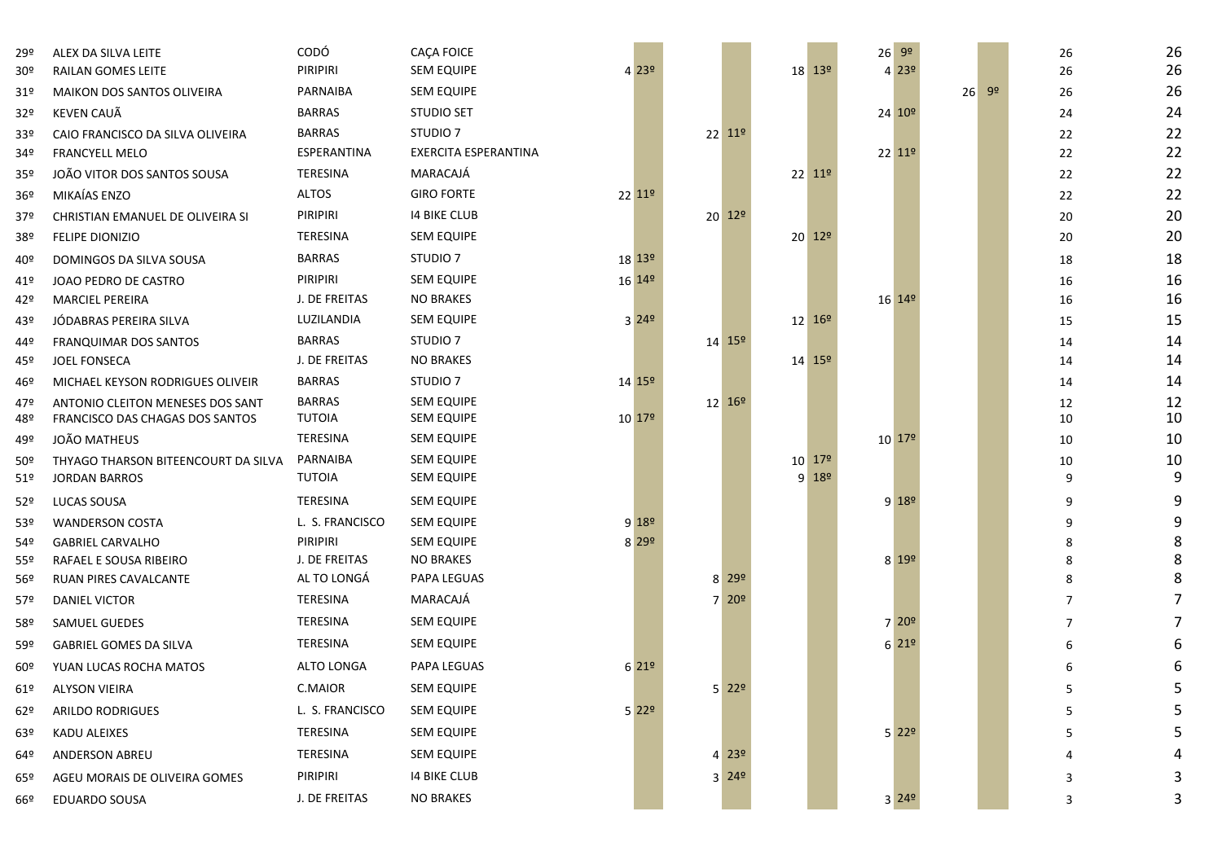| 29º             | ALEX DA SILVA LEITE                             | CODÓ                         | <b>CACA FOICE</b>               |                     |                    |                           |                     | $26 \overline{99}$                             |                      | 26     | 26     |
|-----------------|-------------------------------------------------|------------------------------|---------------------------------|---------------------|--------------------|---------------------------|---------------------|------------------------------------------------|----------------------|--------|--------|
| 30 <sup>°</sup> | <b>RAILAN GOMES LEITE</b>                       | PIRIPIRI                     | <b>SEM EQUIPE</b>               | 4 2 3 9             |                    |                           | 18 13 <sup>o</sup>  | 4 239                                          |                      | 26     | 26     |
| 91°             | <b>MAIKON DOS SANTOS OLIVEIRA</b>               | PARNAIBA                     | <b>SEM EQUIPE</b>               |                     |                    |                           |                     |                                                | 9 <sup>o</sup><br>26 | 26     | 26     |
| 32º             | KEVEN CAUÃ                                      | <b>BARRAS</b>                | <b>STUDIO SET</b>               |                     |                    |                           |                     | 24 10 <sup>o</sup>                             |                      | 24     | 24     |
| 33º             | CAIO FRANCISCO DA SILVA OLIVEIRA                | <b>BARRAS</b>                | STUDIO <sub>7</sub>             |                     | 22 11 <sup>o</sup> |                           |                     |                                                |                      | 22     | 22     |
| 34º             | <b>FRANCYELL MELO</b>                           | ESPERANTINA                  | EXERCITA ESPERANTINA            |                     |                    |                           |                     | $22$ $11^{\circ}$                              |                      | 22     | 22     |
| 35º             | JOÃO VITOR DOS SANTOS SOUSA                     | TERESINA                     | MARACAJÁ                        |                     |                    |                           | 22 11 <sup>o</sup>  |                                                |                      | 22     | 22     |
| 36º             | MIKAÍAS ENZO                                    | <b>ALTOS</b>                 | <b>GIRO FORTE</b>               | 22 11º              |                    |                           |                     |                                                |                      | 22     | 22     |
| 37º             | CHRISTIAN EMANUEL DE OLIVEIRA SI                | PIRIPIRI                     | 14 BIKE CLUB                    |                     | 20 12 <sup>0</sup> |                           |                     |                                                |                      | 20     | 20     |
| 38º             | <b>FELIPE DIONIZIO</b>                          | TERESINA                     | SEM EQUIPE                      |                     |                    |                           | $20^{129}$          |                                                |                      | 20     | 20     |
| 40º             | DOMINGOS DA SILVA SOUSA                         | <b>BARRAS</b>                | STUDIO <sub>7</sub>             | 18 13 <sup>o</sup>  |                    |                           |                     |                                                |                      | 18     | 18     |
| 41º             | JOAO PEDRO DE CASTRO                            | PIRIPIRI                     | <b>SEM EQUIPE</b>               | 16 14 <sup>o</sup>  |                    |                           |                     |                                                |                      | 16     | 16     |
| 42º             | <b>MARCIEL PEREIRA</b>                          | J. DE FREITAS                | <b>NO BRAKES</b>                |                     |                    |                           |                     | 16 14 <sup>o</sup>                             |                      | 16     | 16     |
| 43º             | JÓDABRAS PEREIRA SILVA                          | LUZILANDIA                   | <b>SEM EQUIPE</b>               | 3 24 <sup>o</sup>   |                    |                           | $12^{169}$          |                                                |                      | 15     | 15     |
| 44º             | FRANQUIMAR DOS SANTOS                           | <b>BARRAS</b>                | STUDIO <sub>7</sub>             |                     | 14 15 <sup>o</sup> |                           |                     |                                                |                      | 14     | 14     |
| 45º             | <b>JOEL FONSECA</b>                             | J. DE FREITAS                | <b>NO BRAKES</b>                |                     |                    |                           | 14 15 <sup>o</sup>  |                                                |                      | 14     | 14     |
| 46º             | MICHAEL KEYSON RODRIGUES OLIVEIR                | <b>BARRAS</b>                | STUDIO <sub>7</sub>             | 14 15 <sup>o</sup>  |                    |                           |                     |                                                |                      | 14     | 14     |
| 47º             | ANTONIO CLEITON MENESES DOS SANT                | <b>BARRAS</b>                | <b>SEM EQUIPE</b>               |                     | 12 16 <sup>o</sup> |                           |                     |                                                |                      | 12     | 12     |
| 48º             | FRANCISCO DAS CHAGAS DOS SANTOS                 | <b>TUTOIA</b>                | SEM EQUIPE                      | 10 17 <sup>o</sup>  |                    |                           |                     |                                                |                      | 10     | 10     |
| 49º             | JOÃO MATHEUS                                    | TERESINA                     | <b>SEM EQUIPE</b>               |                     |                    |                           |                     | $10^{179}$                                     |                      | 10     | 10     |
| 50 <sup>°</sup> | THYAGO THARSON BITEENCOURT DA SILVA             | PARNAIBA                     | <b>SEM EQUIPE</b>               |                     |                    |                           | 10 179              |                                                |                      | 10     | 10     |
| 51º             | <b>JORDAN BARROS</b>                            | TUTOIA                       | SEM EQUIPE                      |                     |                    |                           | $9$ 18 <sup>o</sup> |                                                |                      | 9      | 9      |
| 52°             | LUCAS SOUSA                                     | TERESINA                     | <b>SEM EQUIPE</b>               |                     |                    |                           |                     | $9 18^{\circ} $                                |                      | 9      | 9      |
| 53º             | <b>WANDERSON COSTA</b>                          | L. S. FRANCISCO              | <b>SEM EQUIPE</b>               | 918°                |                    |                           |                     |                                                |                      | 9      | 9      |
| 54º             | <b>GABRIEL CARVALHO</b>                         | PIRIPIRI                     | <b>SEM EQUIPE</b>               | 8 29 9              |                    |                           |                     |                                                |                      | 8      | 8      |
| 55º             | RAFAEL E SOUSA RIBEIRO<br>RUAN PIRES CAVALCANTE | J. DE FREITAS<br>AL TO LONGÁ | <b>NO BRAKES</b><br>PAPA LEGUAS |                     |                    | $8$ 29 <sup>o</sup>       |                     | 8 199                                          |                      | 8<br>8 | 8<br>8 |
| 56º             | <b>DANIEL VICTOR</b>                            | TERESINA                     | MARACAJÁ                        |                     |                    | $7$ 20 <sup>o</sup>       |                     |                                                |                      | 7      | 7      |
| 57º             |                                                 |                              |                                 |                     |                    |                           |                     |                                                |                      |        | 7      |
| 58º             | SAMUEL GUEDES                                   | TERESINA                     | <b>SEM EQUIPE</b>               |                     |                    |                           |                     | 720 <sup>°</sup>                               |                      | 7      |        |
| 59º             | <b>GABRIEL GOMES DA SILVA</b>                   | TERESINA                     | <b>SEM EQUIPE</b>               |                     |                    |                           |                     | 6 219                                          |                      | 6      | 6      |
| 60º             | YUAN LUCAS ROCHA MATOS                          | ALTO LONGA                   | PAPA LEGUAS                     | 6219                |                    |                           |                     |                                                |                      | 6      | 6      |
|                 | 61º ALYSON VIEIRA                               | C.MAIOR                      | SEM EQUIPE                      |                     |                    | $5$ 22 <sup>o</sup>       |                     |                                                |                      |        | 5      |
| 62º             | ARILDO RODRIGUES                                | L. S. FRANCISCO              | <b>SEM EQUIPE</b>               | $5$ 22 <sup>o</sup> |                    |                           |                     |                                                |                      | 5      | 5      |
| 63º             | KADU ALEIXES                                    | TERESINA                     | <b>SEM EQUIPE</b>               |                     |                    |                           |                     | $5$ 22 <sup>o</sup>                            |                      | 5      | 5      |
| 64º             | ANDERSON ABREU                                  | TERESINA                     | <b>SEM EQUIPE</b>               |                     |                    | $4 \overline{23^{\circ}}$ |                     |                                                |                      |        |        |
| 65º             | AGEU MORAIS DE OLIVEIRA GOMES                   | PIRIPIRI                     | <b>14 BIKE CLUB</b>             |                     |                    | $3 \overline{24^{\circ}}$ |                     |                                                |                      | 3      | 3      |
| 66º             | <b>EDUARDO SOUSA</b>                            | J. DE FREITAS                | <b>NO BRAKES</b>                |                     |                    |                           |                     | $3 \overline{\smash{)}24\overline{\smash{)}}}$ |                      | 3      | 3      |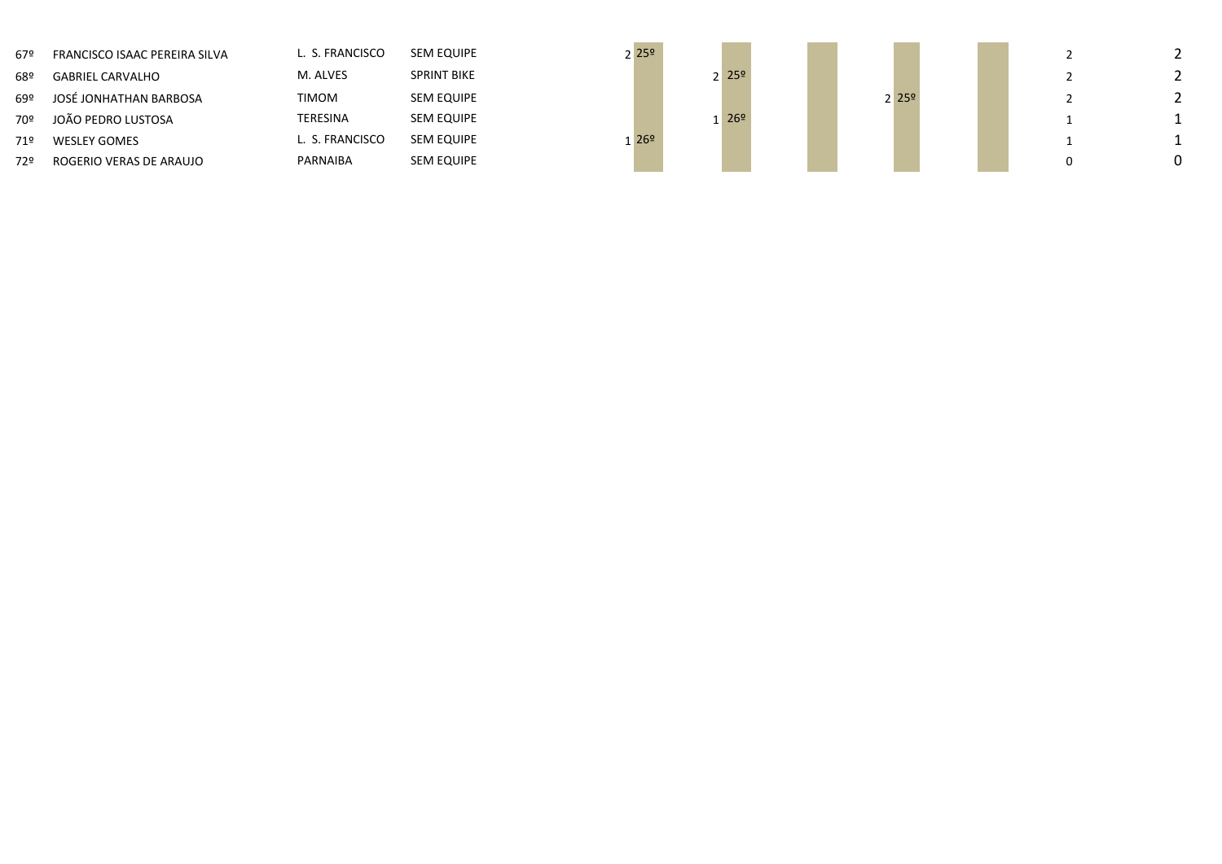| 67º | FRANCISCO ISAAC PEREIRA SILVA | L. S. FRANCISCO | <b>SEM EQUIPE</b>  |
|-----|-------------------------------|-----------------|--------------------|
| 68º | <b>GABRIEL CARVALHO</b>       | M. ALVES        | <b>SPRINT BIKE</b> |
| 692 | JOSÉ JONHATHAN BARBOSA        | <b>TIMOM</b>    | <b>SEM EQUIPE</b>  |
| 70º | JOÃO PEDRO LUSTOSA            | TERESINA        | <b>SEM EQUIPE</b>  |
| 71º | <b>WESLEY GOMES</b>           | L. S. FRANCISCO | <b>SEM EQUIPE</b>  |
| 729 | ROGERIO VERAS DE ARAUJO       | PARNAIBA        | <b>SEM EQUIPE</b>  |

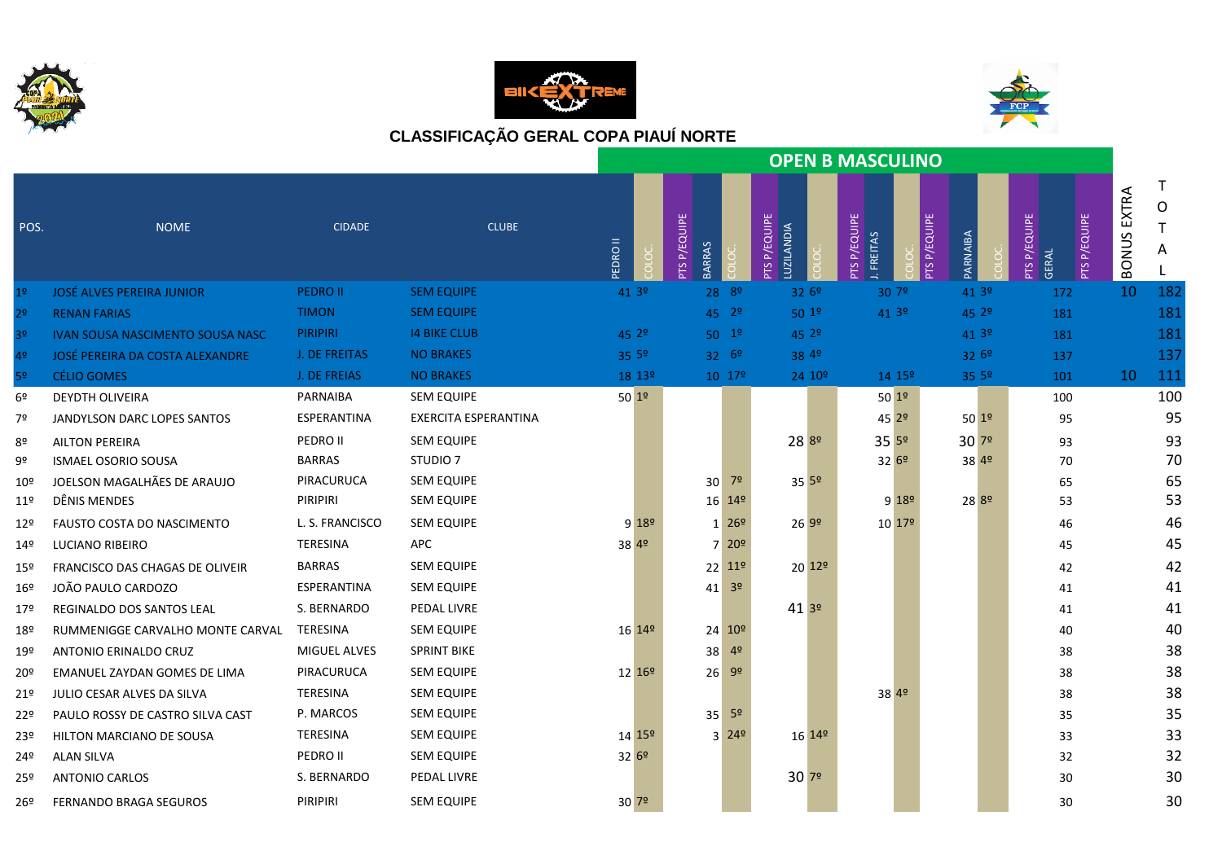





|                 |                                         |                     |                      |                    |                                         |                            |                            |                         | <b>OPEN B MASCULINO</b>              |                    |                     |                   |                              |                        |                       |                       |
|-----------------|-----------------------------------------|---------------------|----------------------|--------------------|-----------------------------------------|----------------------------|----------------------------|-------------------------|--------------------------------------|--------------------|---------------------|-------------------|------------------------------|------------------------|-----------------------|-----------------------|
| POS.            | <b>NOME</b>                             | <b>CIDADE</b>       | <b>CLUBE</b>         | <b>ONGIC</b>       | P/EQUIPE<br><b>BARRAS</b><br><b>PTS</b> |                            | PTS P/EQUIPE<br>LUZILANDIA |                         | P/EQUIPE<br>I. FREITAS<br><b>SLc</b> |                    | <b>PTS P/EQUIPE</b> | PARNAIBA          | PTS P/EQUIPE<br><b>GERAL</b> | <b>P/EQUIPE</b><br>SLc | EXTRA<br><b>BONUS</b> | $\mathsf T$<br>O<br>A |
| 1 <sup>°</sup>  | <b>JOSÉ ALVES PEREIRA JUNIOR</b>        | <b>PEDRO II</b>     | <b>SEM EQUIPE</b>    | 41 3 <sup>o</sup>  |                                         | $28^{89}$                  | 3269                       |                         |                                      | 30 7º              |                     | 41 3 <sup>0</sup> | 172                          |                        | <sup>10</sup>         | 182                   |
| 2 <sup>o</sup>  | <b>RENAN FARIAS</b>                     | <b>TIMON</b>        | <b>SEM EQUIPE</b>    |                    |                                         | $45 \t29$                  | $50^{19}$                  |                         |                                      | 41 3º              |                     | 45 2 <sup>o</sup> | 181                          |                        |                       | 181                   |
| 3 <sup>o</sup>  | <b>IVAN SOUSA NASCIMENTO SOUSA NASC</b> | <b>PIRIPIRI</b>     | <b>14 BIKE CLUB</b>  | 45 2 <sup>o</sup>  |                                         | $50^{19}$                  | $45^{29}$                  |                         |                                      |                    |                     | 41 3 <sup>0</sup> | 181                          |                        |                       | 181                   |
| 4 <sup>o</sup>  | <b>JOSÉ PEREIRA DA COSTA ALEXANDRE</b>  | J. DE FREITAS       | <b>NO BRAKES</b>     | 35 5°              |                                         | $32 6^{\circ}$             | 38 4º                      |                         |                                      |                    |                     | 3269              | 137                          |                        |                       | 137                   |
| 5 <sup>o</sup>  | <b>CÉLIO GOMES</b>                      | <b>J. DE FREIAS</b> | <b>NO BRAKES</b>     | 18 13 <sup>o</sup> |                                         | $10^{172}$                 |                            | 24 10 <sup>o</sup>      |                                      | $14 \; 15^{\circ}$ |                     | 35.5 <sup>°</sup> | 101                          |                        | 10                    | 111                   |
| 6º              | <b>DEYDTH OLIVEIRA</b>                  | PARNAIBA            | <b>SEM EQUIPE</b>    | $50^{19}$          |                                         |                            |                            |                         |                                      | 501 <sup>°</sup>   |                     |                   | 100                          |                        |                       | 100                   |
| 7º              | JANDYLSON DARC LOPES SANTOS             | ESPERANTINA         | EXERCITA ESPERANTINA |                    |                                         |                            |                            |                         |                                      | 45 29              |                     | $50^{19}$         | 95                           |                        |                       | 95                    |
| 8º              | <b>AILTON PEREIRA</b>                   | PEDRO II            | <b>SEM EQUIPE</b>    |                    |                                         |                            | 28 89                      |                         |                                      | 3559               |                     | 3079              | 93                           |                        |                       | 93                    |
| 9º              | <b>ISMAEL OSORIO SOUSA</b>              | <b>BARRAS</b>       | STUDIO <sub>7</sub>  |                    |                                         |                            |                            |                         |                                      | 3269               |                     | 38 49             | 70                           |                        |                       | 70                    |
| 10 <sup>°</sup> | JOELSON MAGALHÃES DE ARAUJO             | PIRACURUCA          | <b>SEM EQUIPE</b>    |                    | 30                                      | 7º                         | $35^{52}$                  |                         |                                      |                    |                     |                   | 65                           |                        |                       | 65                    |
| 11 <sup>°</sup> | DÊNIS MENDES                            | PIRIPIRI            | SEM EQUIPE           |                    |                                         | 16 14 <sup>o</sup>         |                            |                         |                                      | $9 18^{\circ} $    |                     | 28 <sup>8º</sup>  | 53                           |                        |                       | 53                    |
| 12 <sup>°</sup> | <b>FAUSTO COSTA DO NASCIMENTO</b>       | L. S. FRANCISCO     | <b>SEM EQUIPE</b>    | $9 18^{\circ}$     |                                         | $1^{269}$                  | 269°                       |                         |                                      | 10 179             |                     |                   | 46                           |                        |                       | 46                    |
| 149             | LUCIANO RIBEIRO                         | <b>TERESINA</b>     | <b>APC</b>           | 38 4 <sup>o</sup>  |                                         | $7^{209}$                  |                            |                         |                                      |                    |                     |                   | 45                           |                        |                       | 45                    |
| 15 <sup>°</sup> | FRANCISCO DAS CHAGAS DE OLIVEIR         | <b>BARRAS</b>       | <b>SEM EQUIPE</b>    |                    |                                         | $22 \, 11^{\circ}$         |                            | $20 \, 12$ <sup>o</sup> |                                      |                    |                     |                   | 42                           |                        |                       | 42                    |
| 16º             | JOÃO PAULO CARDOZO                      | ESPERANTINA         | SEM EQUIPE           |                    | 41                                      | 3 <sup>o</sup>             |                            |                         |                                      |                    |                     |                   | 41                           |                        |                       | 41                    |
| 17º             | REGINALDO DOS SANTOS LEAL               | S. BERNARDO         | PEDAL LIVRE          |                    |                                         |                            | 413°                       |                         |                                      |                    |                     |                   | 41                           |                        |                       | 41                    |
| 18º             | RUMMENIGGE CARVALHO MONTE CARVAL        | TERESINA            | <b>SEM EQUIPE</b>    | 16 14 <sup>o</sup> |                                         | $24 \overline{10^{\circ}}$ |                            |                         |                                      |                    |                     |                   | 40                           |                        |                       | 40                    |
| 19º             | ANTONIO ERINALDO CRUZ                   | <b>MIGUEL ALVES</b> | <b>SPRINT BIKE</b>   |                    | 38                                      | 4 <sup>o</sup>             |                            |                         |                                      |                    |                     |                   | 38                           |                        |                       | 38                    |
| 20º             | <b>EMANUEL ZAYDAN GOMES DE LIMA</b>     | PIRACURUCA          | <b>SEM EQUIPE</b>    | $12 \, 169$        | 26                                      | 9 <sup>o</sup>             |                            |                         |                                      |                    |                     |                   | 38                           |                        |                       | 38                    |
| 21º             | JULIO CESAR ALVES DA SILVA              | TERESINA            | <b>SEM EQUIPE</b>    |                    |                                         |                            |                            |                         |                                      | 38 49              |                     |                   | 38                           |                        |                       | 38                    |
| 22º             | PAULO ROSSY DE CASTRO SILVA CAST        | P. MARCOS           | <b>SEM EQUIPE</b>    |                    | 35                                      | 5 <sup>o</sup>             |                            |                         |                                      |                    |                     |                   | 35                           |                        |                       | 35                    |
| 23º             | HILTON MARCIANO DE SOUSA                | TERESINA            | <b>SEM EQUIPE</b>    | 14 15 <sup>o</sup> |                                         | $3 \ 249$                  |                            | 16 14 <sup>o</sup>      |                                      |                    |                     |                   | 33                           |                        |                       | 33                    |
| 24º             | <b>ALAN SILVA</b>                       | PEDRO II            | <b>SEM EQUIPE</b>    | 3269               |                                         |                            |                            |                         |                                      |                    |                     |                   | 32                           |                        |                       | 32                    |
| 25º             | <b>ANTONIO CARLOS</b>                   | S. BERNARDO         | PEDAL LIVRE          |                    |                                         |                            | 307°                       |                         |                                      |                    |                     |                   | 30                           |                        |                       | 30                    |
| 26 <sup>°</sup> | <b>FERNANDO BRAGA SEGUROS</b>           | PIRIPIRI            | <b>SEM EQUIPE</b>    | 30 <sup>72</sup>   |                                         |                            |                            |                         |                                      |                    |                     |                   | 30                           |                        |                       | 30                    |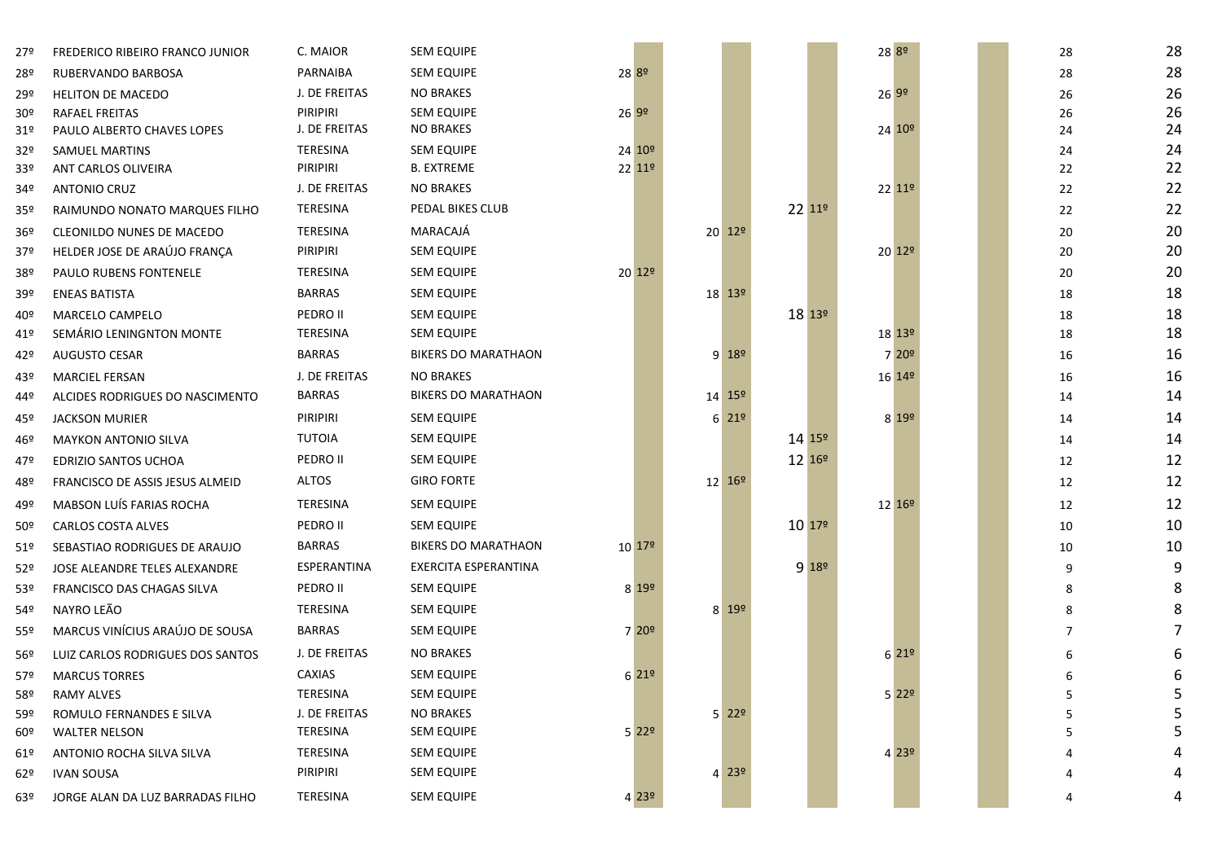| 27º             | FREDERICO RIBEIRO FRANCO JUNIOR  | C. MAIOR        | <b>SEM EQUIPE</b>          |                    |                           |                    | 28 89              |           | 28 | 28 |
|-----------------|----------------------------------|-----------------|----------------------------|--------------------|---------------------------|--------------------|--------------------|-----------|----|----|
| 28º             | RUBERVANDO BARBOSA               | PARNAIBA        | <b>SEM EQUIPE</b>          | 28 <sup>8º</sup>   |                           |                    |                    |           | 28 | 28 |
| 29º             | <b>HELITON DE MACEDO</b>         | J. DE FREITAS   | <b>NO BRAKES</b>           |                    |                           |                    | 2699               |           | 26 | 26 |
| 30 <sup>o</sup> | <b>RAFAEL FREITAS</b>            | PIRIPIRI        | <b>SEM EQUIPE</b>          | 2699               |                           |                    |                    |           | 26 | 26 |
| 31º             | PAULO ALBERTO CHAVES LOPES       | J. DE FREITAS   | <b>NO BRAKES</b>           |                    |                           |                    | 24 10 <sup>o</sup> |           | 24 | 24 |
| 32º             | <b>SAMUEL MARTINS</b>            | TERESINA        | <b>SEM EQUIPE</b>          | $24 \, 10^{\circ}$ |                           |                    |                    |           | 24 | 24 |
| 33º             | ANT CARLOS OLIVEIRA              | PIRIPIRI        | <b>B. EXTREME</b>          | 22 11 <sup>o</sup> |                           |                    |                    |           | 22 | 22 |
| 34º             | <b>ANTONIO CRUZ</b>              | J. DE FREITAS   | <b>NO BRAKES</b>           |                    |                           |                    | 22 11 <sup>o</sup> |           | 22 | 22 |
| 35º             | RAIMUNDO NONATO MARQUES FILHO    | TERESINA        | PEDAL BIKES CLUB           |                    |                           | 22 11º             |                    |           | 22 | 22 |
| 36 <sup>°</sup> | CLEONILDO NUNES DE MACEDO        | TERESINA        | MARACAJÁ                   |                    | $20 \, 129$               |                    |                    |           | 20 | 20 |
| 37º             | HELDER JOSE DE ARAÚJO FRANÇA     | PIRIPIRI        | SEM EQUIPE                 |                    |                           |                    | 20 12 <sup>o</sup> |           | 20 | 20 |
| 38º             | PAULO RUBENS FONTENELE           | <b>TERESINA</b> | <b>SEM EQUIPE</b>          | $20 \frac{129}{ }$ |                           |                    |                    |           | 20 | 20 |
| 39º             | <b>ENEAS BATISTA</b>             | <b>BARRAS</b>   | <b>SEM EQUIPE</b>          |                    | $18^{139}$                |                    |                    |           | 18 | 18 |
| 40º             | MARCELO CAMPELO                  | PEDRO II        | <b>SEM EQUIPE</b>          |                    |                           | 18 139             |                    |           | 18 | 18 |
| 41º             | SEMÁRIO LENINGNTON MONTE         | TERESINA        | <b>SEM EQUIPE</b>          |                    |                           |                    | 18 13 <sup>o</sup> |           | 18 | 18 |
| 42º             | <b>AUGUSTO CESAR</b>             | <b>BARRAS</b>   | <b>BIKERS DO MARATHAON</b> |                    | $9 18^{\circ}$            |                    |                    | 7 20°     | 16 | 16 |
| 43º             | <b>MARCIEL FERSAN</b>            | J. DE FREITAS   | <b>NO BRAKES</b>           |                    |                           |                    | 16 14 <sup>o</sup> |           | 16 | 16 |
| 44º             | ALCIDES RODRIGUES DO NASCIMENTO  | <b>BARRAS</b>   | <b>BIKERS DO MARATHAON</b> |                    | 14 15 <sup>o</sup>        |                    |                    |           | 14 | 14 |
| 45º             | <b>JACKSON MURIER</b>            | PIRIPIRI        | <b>SEM EQUIPE</b>          |                    | $6 \overline{21^{\circ}}$ |                    |                    | 8 199     | 14 | 14 |
| 46º             | <b>MAYKON ANTONIO SILVA</b>      | TUTOIA          | <b>SEM EQUIPE</b>          |                    |                           | 14 15°             |                    |           | 14 | 14 |
| 47º             | EDRIZIO SANTOS UCHOA             | PEDRO II        | <b>SEM EQUIPE</b>          |                    |                           | 12 16 <sup>o</sup> |                    |           | 12 | 12 |
| 48º             | FRANCISCO DE ASSIS JESUS ALMEID  | <b>ALTOS</b>    | <b>GIRO FORTE</b>          |                    | $12^{169}$                |                    |                    |           | 12 | 12 |
| 49º             | MABSON LUÍS FARIAS ROCHA         | TERESINA        | <b>SEM EQUIPE</b>          |                    |                           |                    | 12 16 <sup>o</sup> |           | 12 | 12 |
| 50 <sup>o</sup> | <b>CARLOS COSTA ALVES</b>        | PEDRO II        | <b>SEM EQUIPE</b>          |                    |                           | 10 179             |                    |           | 10 | 10 |
| 51º             | SEBASTIAO RODRIGUES DE ARAUJO    | <b>BARRAS</b>   | <b>BIKERS DO MARATHAON</b> | $10^{179}$         |                           |                    |                    |           | 10 | 10 |
| 52º             | JOSE ALEANDRE TELES ALEXANDRE    | ESPERANTINA     | EXERCITA ESPERANTINA       |                    |                           | 9 18 <sup>o</sup>  |                    |           | 9  | 9  |
| 53º             | FRANCISCO DAS CHAGAS SILVA       | PEDRO II        | <b>SEM EQUIPE</b>          | 8 19 <sup>o</sup>  |                           |                    |                    |           | 8  | 8  |
| 54º             | NAYRO LEÃO                       | TERESINA        | <b>SEM EQUIPE</b>          |                    | $8 \overline{19^{\circ}}$ |                    |                    |           | 8  | 8  |
| 55º             | MARCUS VINÍCIUS ARAÚJO DE SOUSA  | <b>BARRAS</b>   | <b>SEM EQUIPE</b>          | 7 20°              |                           |                    |                    |           | 7  | 7  |
| 56º             | LUIZ CARLOS RODRIGUES DOS SANTOS | J. DE FREITAS   | <b>NO BRAKES</b>           |                    |                           |                    |                    | $6^{219}$ | 6  | 6  |
| 57º             | <b>MARCUS TORRES</b>             | CAXIAS          | <b>SEM EQUIPE</b>          | 6 219              |                           |                    |                    |           | 6  | 6  |
| 58º             | RAMY ALVES                       | TERESINA        | SEM EQUIPE                 |                    |                           |                    |                    | $5^{229}$ | כ  | 5  |
| 59º             | ROMULO FERNANDES E SILVA         | J. DE FREITAS   | <b>NO BRAKES</b>           |                    | $5$ 22 <sup>o</sup>       |                    |                    |           | 5  | 5  |
| 60º             | <b>WALTER NELSON</b>             | TERESINA        | <b>SEM EQUIPE</b>          | 5 229              |                           |                    |                    |           | 5  | 5  |
| 61º             | ANTONIO ROCHA SILVA SILVA        | TERESINA        | <b>SEM EQUIPE</b>          |                    |                           |                    |                    | 4 239     |    | 4  |
| 62º             | <b>IVAN SOUSA</b>                | PIRIPIRI        | <b>SEM EQUIPE</b>          |                    | 4 23°                     |                    |                    |           | 4  | 4  |
| 63º             | JORGE ALAN DA LUZ BARRADAS FILHO | TERESINA        | <b>SEM EQUIPE</b>          | $4^{239}$          |                           |                    |                    |           | 4  | 4  |